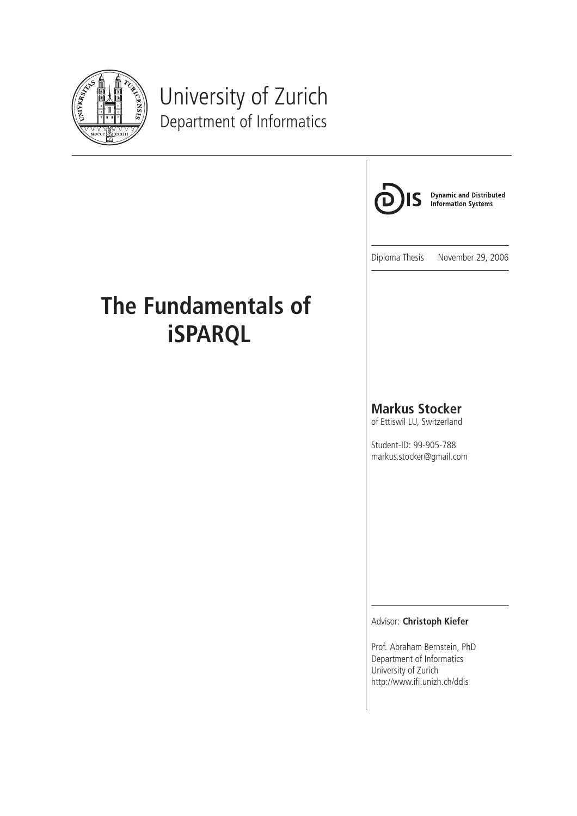

# University of Zurich Department of Informatics



**Dynamic and Distributed Information Systems** 

Diploma Thesis November 29, 2006

# **The Fundamentals of iSPARQL**

#### **Markus Stocker**

of Ettiswil LU, Switzerland

Student-ID: 99-905-788 markus.stocker@gmail.com

#### Advisor: **Christoph Kiefer**

Prof. Abraham Bernstein, PhD Department of Informatics University of Zurich http://www.ifi.unizh.ch/ddis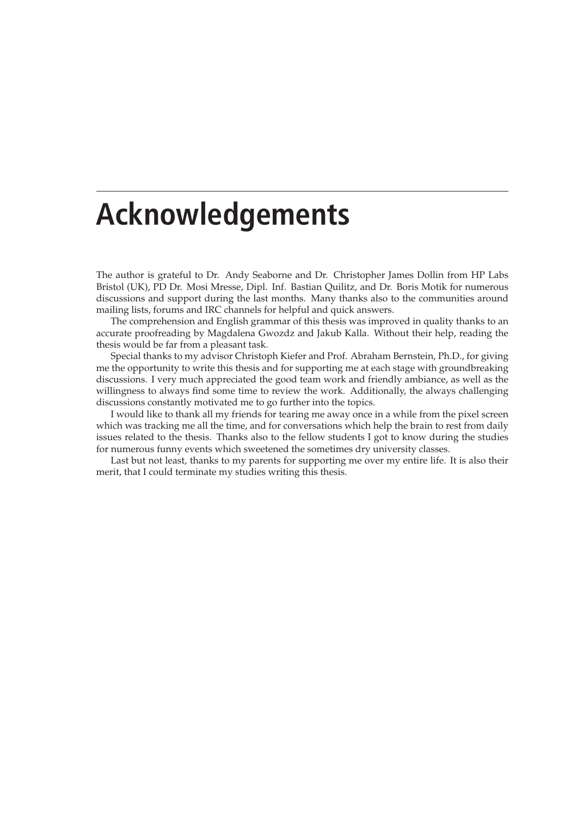# **Acknowledgements**

The author is grateful to Dr. Andy Seaborne and Dr. Christopher James Dollin from HP Labs Bristol (UK), PD Dr. Mosi Mresse, Dipl. Inf. Bastian Quilitz, and Dr. Boris Motik for numerous discussions and support during the last months. Many thanks also to the communities around mailing lists, forums and IRC channels for helpful and quick answers.

The comprehension and English grammar of this thesis was improved in quality thanks to an accurate proofreading by Magdalena Gwozdz and Jakub Kalla. Without their help, reading the thesis would be far from a pleasant task.

Special thanks to my advisor Christoph Kiefer and Prof. Abraham Bernstein, Ph.D., for giving me the opportunity to write this thesis and for supporting me at each stage with groundbreaking discussions. I very much appreciated the good team work and friendly ambiance, as well as the willingness to always find some time to review the work. Additionally, the always challenging discussions constantly motivated me to go further into the topics.

I would like to thank all my friends for tearing me away once in a while from the pixel screen which was tracking me all the time, and for conversations which help the brain to rest from daily issues related to the thesis. Thanks also to the fellow students I got to know during the studies for numerous funny events which sweetened the sometimes dry university classes.

Last but not least, thanks to my parents for supporting me over my entire life. It is also their merit, that I could terminate my studies writing this thesis.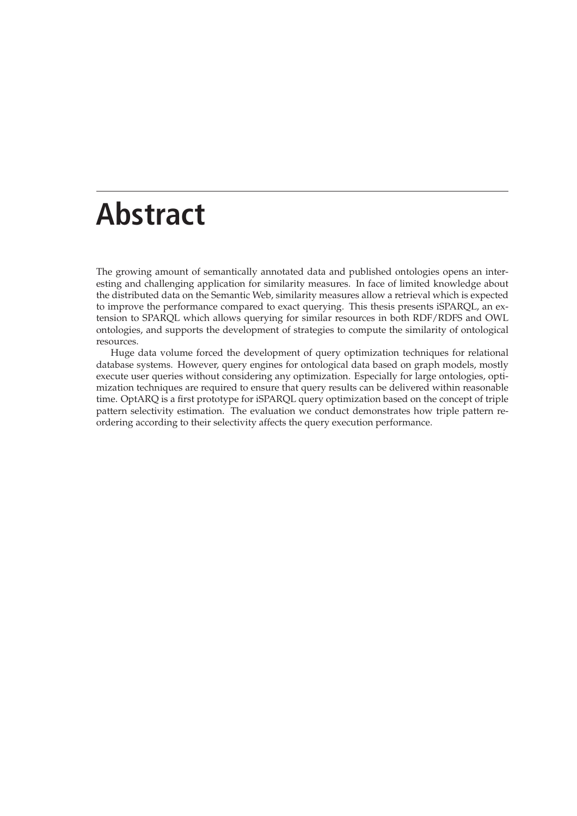# **Abstract**

The growing amount of semantically annotated data and published ontologies opens an interesting and challenging application for similarity measures. In face of limited knowledge about the distributed data on the Semantic Web, similarity measures allow a retrieval which is expected to improve the performance compared to exact querying. This thesis presents iSPARQL, an extension to SPARQL which allows querying for similar resources in both RDF/RDFS and OWL ontologies, and supports the development of strategies to compute the similarity of ontological resources.

Huge data volume forced the development of query optimization techniques for relational database systems. However, query engines for ontological data based on graph models, mostly execute user queries without considering any optimization. Especially for large ontologies, optimization techniques are required to ensure that query results can be delivered within reasonable time. OptARQ is a first prototype for iSPARQL query optimization based on the concept of triple pattern selectivity estimation. The evaluation we conduct demonstrates how triple pattern reordering according to their selectivity affects the query execution performance.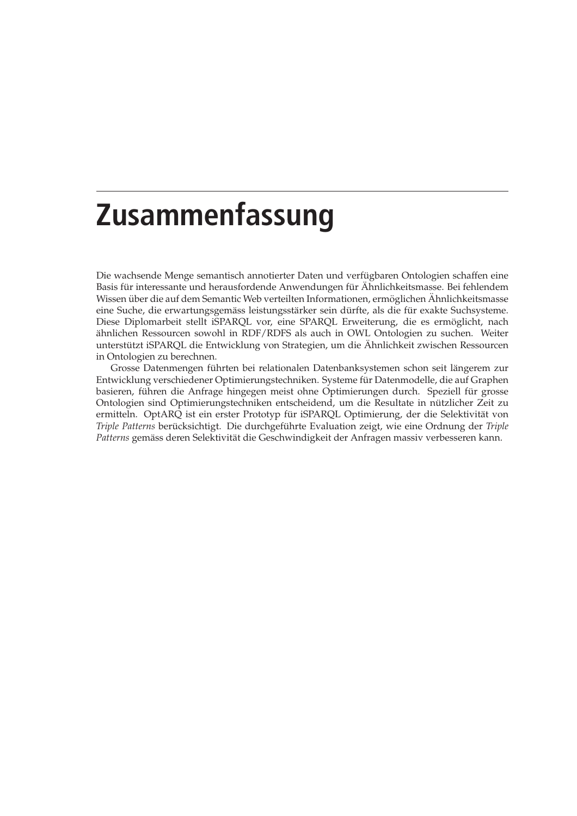# **Zusammenfassung**

Die wachsende Menge semantisch annotierter Daten und verfügbaren Ontologien schaffen eine Basis für interessante und herausfordende Anwendungen für Ahnlichkeitsmasse. Bei fehlendem Wissen über die auf dem Semantic Web verteilten Informationen, ermöglichen Ähnlichkeitsmasse eine Suche, die erwartungsgemäss leistungsstärker sein dürfte, als die für exakte Suchsysteme. Diese Diplomarbeit stellt iSPARQL vor, eine SPARQL Erweiterung, die es ermoglicht, nach ¨ ähnlichen Ressourcen sowohl in RDF/RDFS als auch in OWL Ontologien zu suchen. Weiter unterstützt iSPARQL die Entwicklung von Strategien, um die Ähnlichkeit zwischen Ressourcen in Ontologien zu berechnen.

Grosse Datenmengen führten bei relationalen Datenbanksystemen schon seit längerem zur Entwicklung verschiedener Optimierungstechniken. Systeme fur Datenmodelle, die auf Graphen ¨ basieren, führen die Anfrage hingegen meist ohne Optimierungen durch. Speziell für grosse Ontologien sind Optimierungstechniken entscheidend, um die Resultate in nutzlicher Zeit zu ¨ ermitteln. OptARQ ist ein erster Prototyp für iSPARQL Optimierung, der die Selektivität von *Triple Patterns* berücksichtigt. Die durchgeführte Evaluation zeigt, wie eine Ordnung der *Triple* Patterns gemäss deren Selektivität die Geschwindigkeit der Anfragen massiv verbesseren kann.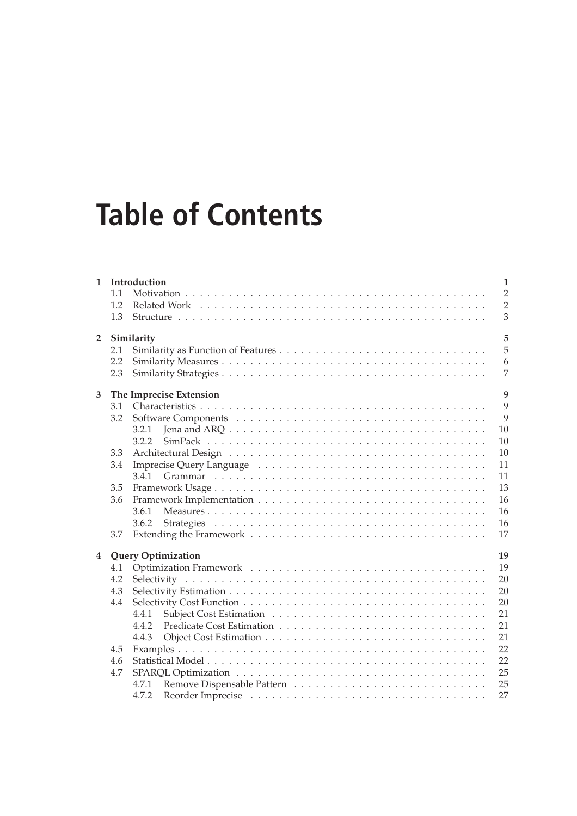# **Table of Contents**

| $\mathbf{1}$     |     | Introduction                                                                                                | $\mathbf{1}$   |  |
|------------------|-----|-------------------------------------------------------------------------------------------------------------|----------------|--|
|                  | 1.1 |                                                                                                             | $\overline{2}$ |  |
|                  | 1.2 |                                                                                                             | $\overline{2}$ |  |
|                  | 1.3 |                                                                                                             | 3              |  |
| $\overline{2}$   |     | Similarity                                                                                                  | 5              |  |
|                  | 2.1 |                                                                                                             | 5              |  |
|                  | 2.2 |                                                                                                             | 6              |  |
|                  | 2.3 |                                                                                                             | 7              |  |
| 3                |     | The Imprecise Extension                                                                                     | 9              |  |
|                  | 3.1 |                                                                                                             | 9              |  |
|                  | 3.2 |                                                                                                             | 9              |  |
|                  |     | Jena and ARQ $\ldots \ldots \ldots \ldots \ldots \ldots \ldots \ldots \ldots \ldots \ldots \ldots$<br>3.2.1 | 10             |  |
|                  |     | 3.2.2                                                                                                       | 10             |  |
|                  | 3.3 |                                                                                                             | 10             |  |
|                  | 3.4 |                                                                                                             | 11             |  |
|                  |     | 3.4.1                                                                                                       | 11             |  |
|                  | 3.5 |                                                                                                             | 13             |  |
|                  | 3.6 |                                                                                                             | 16             |  |
|                  |     | 3.6.1                                                                                                       | 16             |  |
|                  |     | 3.6.2                                                                                                       | 16             |  |
|                  | 3.7 |                                                                                                             | 17             |  |
| $\boldsymbol{4}$ |     | <b>Query Optimization</b>                                                                                   | 19             |  |
|                  | 4.1 |                                                                                                             | 19             |  |
|                  | 4.2 |                                                                                                             | 20             |  |
|                  | 4.3 |                                                                                                             | 20             |  |
|                  | 4.4 |                                                                                                             | 20             |  |
|                  |     | 4.4.1                                                                                                       | 21             |  |
|                  |     | 4.4.2                                                                                                       | 21             |  |
|                  |     | 4.4.3                                                                                                       | 21             |  |
|                  | 4.5 |                                                                                                             | 22             |  |
|                  | 4.6 |                                                                                                             | 22             |  |
|                  | 4.7 |                                                                                                             | 25             |  |
|                  |     | 4.7.1                                                                                                       | 25             |  |
|                  |     | 4.7.2                                                                                                       | 27             |  |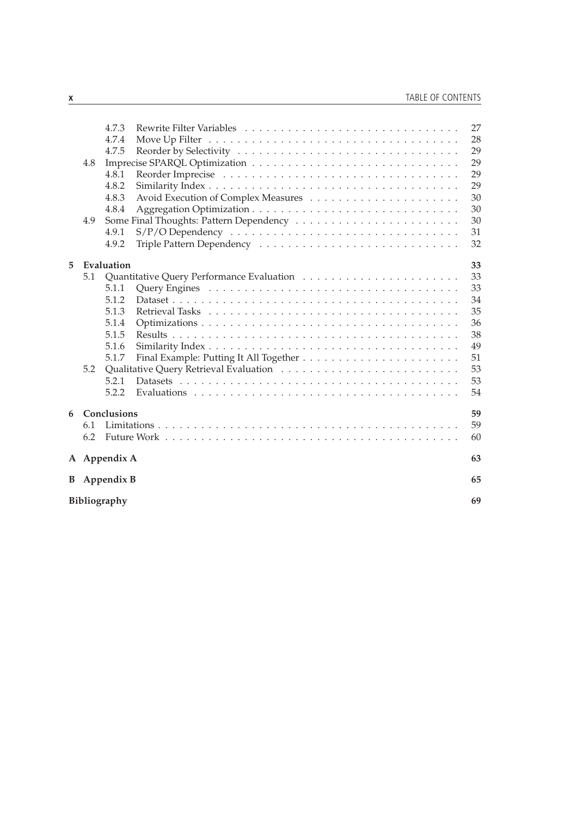|   | 4.8<br>4.9 | 4.7.3<br>4.7.4<br>4.7.5<br>4.8.1<br>4.8.2<br>4.8.3<br>4.8.4<br>4.9.1<br>4.9.2 | 27<br>28<br>29<br>29<br>29<br>29<br>30<br>30<br>30<br>31<br>32 |
|---|------------|-------------------------------------------------------------------------------|----------------------------------------------------------------|
| 5 |            | Evaluation                                                                    | 33                                                             |
|   | 5.1        |                                                                               | 33                                                             |
|   |            | 5.1.1                                                                         | 33                                                             |
|   |            | 5.1.2                                                                         | 34                                                             |
|   |            | 5.1.3                                                                         | 35                                                             |
|   |            | 5.1.4                                                                         | 36                                                             |
|   |            | 5.1.5                                                                         | 38                                                             |
|   |            | 5.1.6                                                                         | 49                                                             |
|   |            | 5.1.7                                                                         | 51                                                             |
|   | 5.2        |                                                                               | 53                                                             |
|   |            | 5.2.1                                                                         | 53                                                             |
|   |            | 5.2.2                                                                         | 54                                                             |
| 6 |            | Conclusions                                                                   | 59                                                             |
|   | 6.1        |                                                                               | 59                                                             |
|   | 6.2        |                                                                               | 60                                                             |
|   |            | A Appendix A                                                                  | 63                                                             |
|   |            | <b>B</b> Appendix <b>B</b>                                                    | 65                                                             |
|   |            | Bibliography                                                                  | 69                                                             |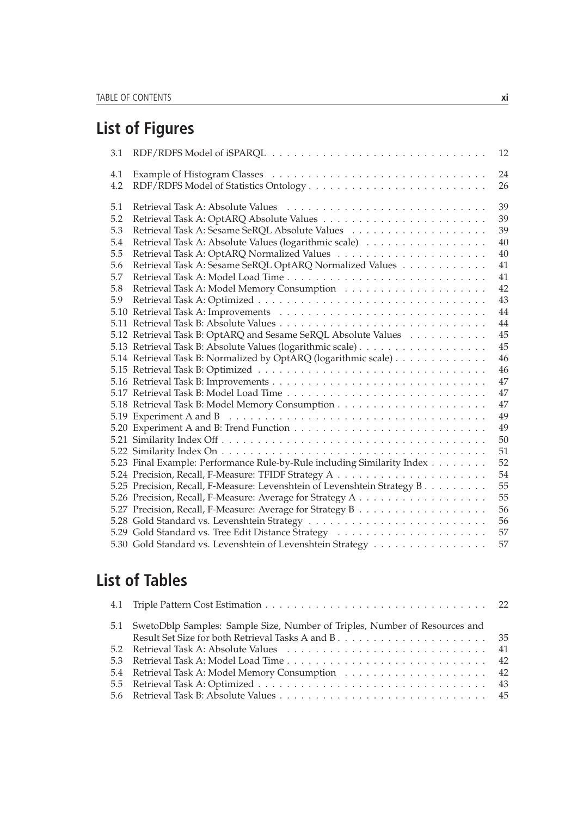# **List of Figures**

| 3.1 | 12                                                                              |
|-----|---------------------------------------------------------------------------------|
| 4.1 | 24                                                                              |
| 4.2 | 26                                                                              |
| 5.1 | 39                                                                              |
| 5.2 | 39                                                                              |
| 5.3 | 39                                                                              |
| 5.4 | Retrieval Task A: Absolute Values (logarithmic scale)<br>40                     |
| 5.5 | 40                                                                              |
| 5.6 | Retrieval Task A: Sesame SeRQL OptARQ Normalized Values<br>41                   |
| 5.7 | 41                                                                              |
| 5.8 | 42                                                                              |
| 5.9 | 43                                                                              |
|     | 44                                                                              |
|     | 44                                                                              |
|     | 45<br>5.12 Retrieval Task B: OptARQ and Sesame SeRQL Absolute Values            |
|     | 45                                                                              |
|     | 46<br>5.14 Retrieval Task B: Normalized by OptARQ (logarithmic scale)           |
|     | 46                                                                              |
|     | 47                                                                              |
|     | 47                                                                              |
|     | 47                                                                              |
|     | 49                                                                              |
|     | 49                                                                              |
|     | 50                                                                              |
|     | 51                                                                              |
|     | 52<br>5.23 Final Example: Performance Rule-by-Rule including Similarity Index   |
|     | 54                                                                              |
|     | 55<br>5.25 Precision, Recall, F-Measure: Levenshtein of Levenshtein Strategy B. |
|     | 55                                                                              |
|     | 56                                                                              |
|     | 56                                                                              |
|     | 57                                                                              |
|     | 5.30 Gold Standard vs. Levenshtein of Levenshtein Strategy<br>57                |

# **List of Tables**

| 5.1 SwetoDblp Samples: Sample Size, Number of Triples, Number of Resources and                                                                                                                                                 |  |
|--------------------------------------------------------------------------------------------------------------------------------------------------------------------------------------------------------------------------------|--|
| 5.2 Retrieval Task A: Absolute Values rums rums rums rums rums rums rums and the S2 Retrieval Task A: Absolute Values rums rums rums rums rums rums and the S2 Retrieval Task A: Absolute Values rums rums rums rums rums rums |  |
|                                                                                                                                                                                                                                |  |
|                                                                                                                                                                                                                                |  |
|                                                                                                                                                                                                                                |  |
|                                                                                                                                                                                                                                |  |
|                                                                                                                                                                                                                                |  |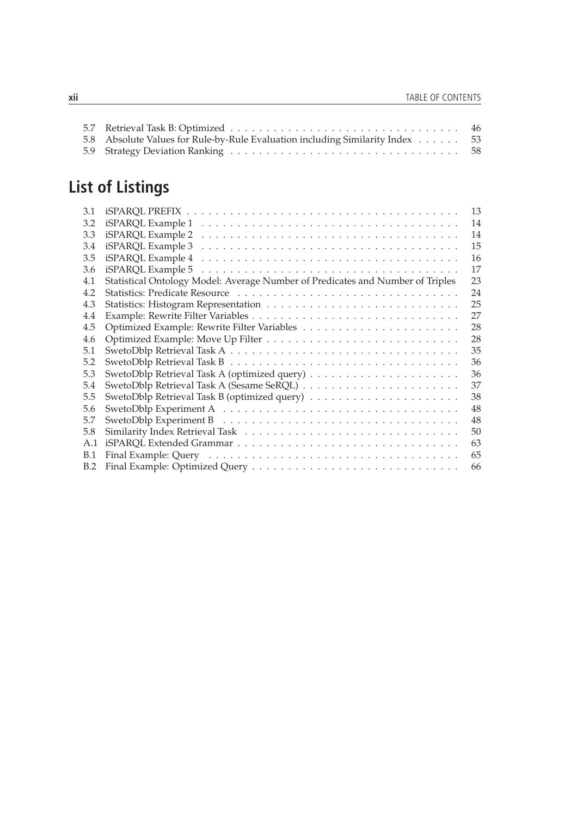| 5.8 Absolute Values for Rule-by-Rule Evaluation including Similarity Index 53 |  |
|-------------------------------------------------------------------------------|--|
|                                                                               |  |

# **List of Listings**

| 3.1 | 13                                                                                                              |
|-----|-----------------------------------------------------------------------------------------------------------------|
| 3.2 | 14                                                                                                              |
| 3.3 | 14                                                                                                              |
| 3.4 | 15                                                                                                              |
| 3.5 | 16                                                                                                              |
| 3.6 | 17<br>$iSPARCL$ Example 5 $\dots \dots \dots \dots \dots \dots \dots \dots \dots \dots \dots \dots \dots \dots$ |
| 4.1 | Statistical Ontology Model: Average Number of Predicates and Number of Triples<br>23                            |
| 4.2 | 24                                                                                                              |
| 4.3 | 25                                                                                                              |
| 4.4 | 27                                                                                                              |
| 4.5 | 28                                                                                                              |
| 4.6 | 28                                                                                                              |
| 5.1 | 35                                                                                                              |
| 5.2 | 36                                                                                                              |
| 5.3 | 36                                                                                                              |
| 5.4 | 37                                                                                                              |
| 5.5 | 38                                                                                                              |
| 5.6 | 48                                                                                                              |
| 5.7 | 48                                                                                                              |
| 5.8 | 50                                                                                                              |
| A.1 | 63                                                                                                              |
| B.1 | 65                                                                                                              |
| B.2 | 66                                                                                                              |
|     |                                                                                                                 |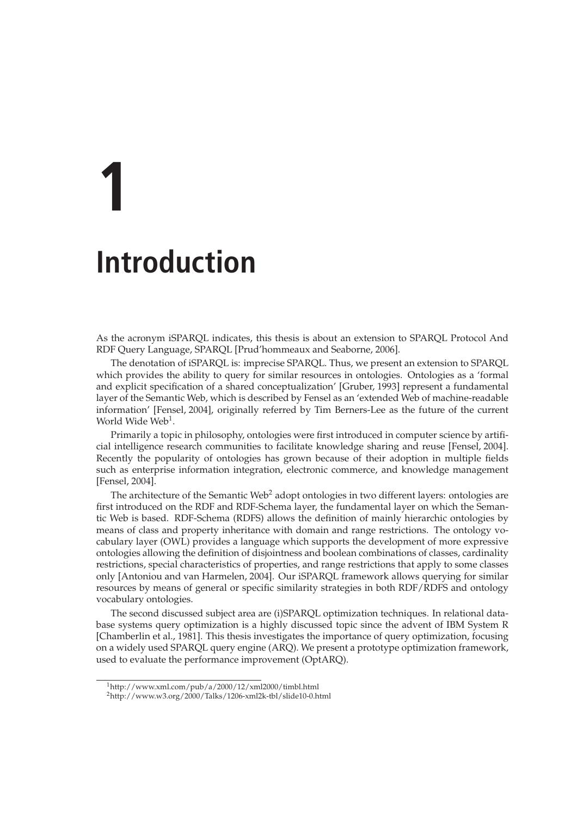# **1 Introduction**

As the acronym iSPARQL indicates, this thesis is about an extension to SPARQL Protocol And RDF Query Language, SPARQL [Prud'hommeaux and Seaborne, 2006].

The denotation of iSPARQL is: imprecise SPARQL. Thus, we present an extension to SPARQL which provides the ability to query for similar resources in ontologies. Ontologies as a 'formal and explicit specification of a shared conceptualization' [Gruber, 1993] represent a fundamental layer of the Semantic Web, which is described by Fensel as an 'extended Web of machine-readable information' [Fensel, 2004], originally referred by Tim Berners-Lee as the future of the current World Wide Web<sup>1</sup>.

Primarily a topic in philosophy, ontologies were first introduced in computer science by artificial intelligence research communities to facilitate knowledge sharing and reuse [Fensel, 2004]. Recently the popularity of ontologies has grown because of their adoption in multiple fields such as enterprise information integration, electronic commerce, and knowledge management [Fensel, 2004].

The architecture of the Semantic Web<sup>2</sup> adopt ontologies in two different layers: ontologies are first introduced on the RDF and RDF-Schema layer, the fundamental layer on which the Semantic Web is based. RDF-Schema (RDFS) allows the definition of mainly hierarchic ontologies by means of class and property inheritance with domain and range restrictions. The ontology vocabulary layer (OWL) provides a language which supports the development of more expressive ontologies allowing the definition of disjointness and boolean combinations of classes, cardinality restrictions, special characteristics of properties, and range restrictions that apply to some classes only [Antoniou and van Harmelen, 2004]. Our iSPARQL framework allows querying for similar resources by means of general or specific similarity strategies in both RDF/RDFS and ontology vocabulary ontologies.

The second discussed subject area are (i)SPARQL optimization techniques. In relational database systems query optimization is a highly discussed topic since the advent of IBM System R [Chamberlin et al., 1981]. This thesis investigates the importance of query optimization, focusing on a widely used SPARQL query engine (ARQ). We present a prototype optimization framework, used to evaluate the performance improvement (OptARQ).

<sup>1</sup>http://www.xml.com/pub/a/2000/12/xml2000/timbl.html

<sup>2</sup>http://www.w3.org/2000/Talks/1206-xml2k-tbl/slide10-0.html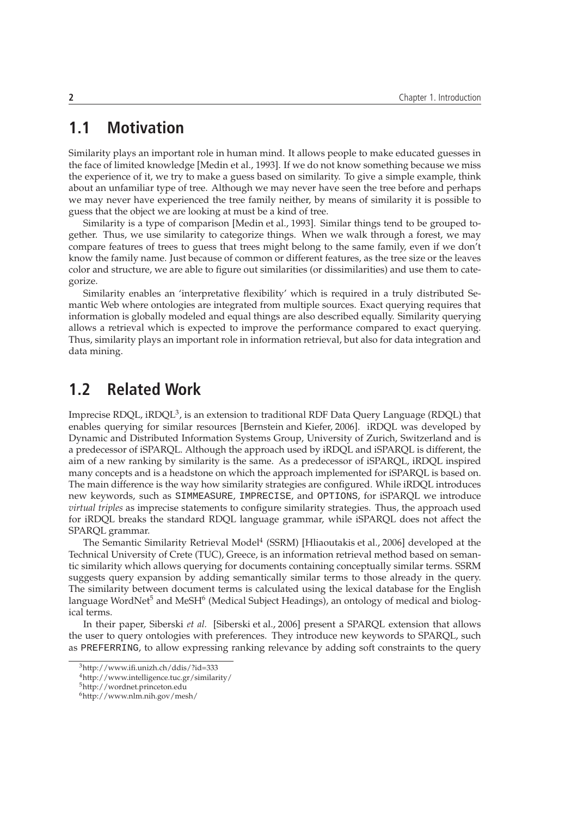# **1.1 Motivation**

Similarity plays an important role in human mind. It allows people to make educated guesses in the face of limited knowledge [Medin et al., 1993]. If we do not know something because we miss the experience of it, we try to make a guess based on similarity. To give a simple example, think about an unfamiliar type of tree. Although we may never have seen the tree before and perhaps we may never have experienced the tree family neither, by means of similarity it is possible to guess that the object we are looking at must be a kind of tree.

Similarity is a type of comparison [Medin et al., 1993]. Similar things tend to be grouped together. Thus, we use similarity to categorize things. When we walk through a forest, we may compare features of trees to guess that trees might belong to the same family, even if we don't know the family name. Just because of common or different features, as the tree size or the leaves color and structure, we are able to figure out similarities (or dissimilarities) and use them to categorize.

Similarity enables an 'interpretative flexibility' which is required in a truly distributed Semantic Web where ontologies are integrated from multiple sources. Exact querying requires that information is globally modeled and equal things are also described equally. Similarity querying allows a retrieval which is expected to improve the performance compared to exact querying. Thus, similarity plays an important role in information retrieval, but also for data integration and data mining.

## **1.2 Related Work**

Imprecise RDQL, iRDQL $^3$ , is an extension to traditional RDF Data Query Language (RDQL) that enables querying for similar resources [Bernstein and Kiefer, 2006]. iRDQL was developed by Dynamic and Distributed Information Systems Group, University of Zurich, Switzerland and is a predecessor of iSPARQL. Although the approach used by iRDQL and iSPARQL is different, the aim of a new ranking by similarity is the same. As a predecessor of iSPARQL, iRDQL inspired many concepts and is a headstone on which the approach implemented for iSPARQL is based on. The main difference is the way how similarity strategies are configured. While iRDQL introduces new keywords, such as SIMMEASURE, IMPRECISE, and OPTIONS, for iSPARQL we introduce *virtual triples* as imprecise statements to configure similarity strategies. Thus, the approach used for iRDQL breaks the standard RDQL language grammar, while iSPARQL does not affect the SPARQL grammar.

The Semantic Similarity Retrieval Model<sup>4</sup> (SSRM) [Hliaoutakis et al., 2006] developed at the Technical University of Crete (TUC), Greece, is an information retrieval method based on semantic similarity which allows querying for documents containing conceptually similar terms. SSRM suggests query expansion by adding semantically similar terms to those already in the query. The similarity between document terms is calculated using the lexical database for the English language WordNet<sup>5</sup> and MeSH<sup>6</sup> (Medical Subject Headings), an ontology of medical and biological terms.

In their paper, Siberski *et al.* [Siberski et al., 2006] present a SPARQL extension that allows the user to query ontologies with preferences. They introduce new keywords to SPARQL, such as PREFERRING, to allow expressing ranking relevance by adding soft constraints to the query

<sup>3</sup>http://www.ifi.unizh.ch/ddis/?id=333

<sup>4</sup>http://www.intelligence.tuc.gr/similarity/

<sup>5</sup>http://wordnet.princeton.edu

<sup>6</sup>http://www.nlm.nih.gov/mesh/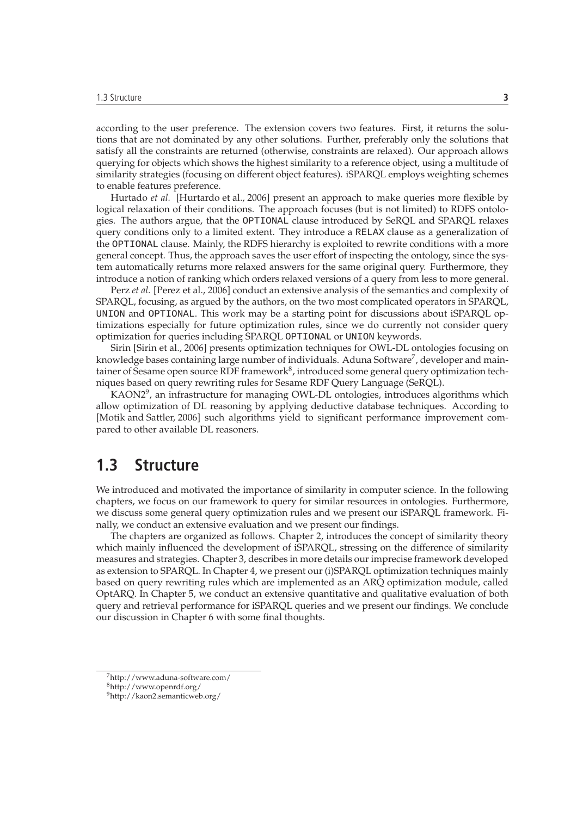according to the user preference. The extension covers two features. First, it returns the solutions that are not dominated by any other solutions. Further, preferably only the solutions that satisfy all the constraints are returned (otherwise, constraints are relaxed). Our approach allows querying for objects which shows the highest similarity to a reference object, using a multitude of similarity strategies (focusing on different object features). iSPARQL employs weighting schemes to enable features preference.

Hurtado *et al.* [Hurtardo et al., 2006] present an approach to make queries more flexible by logical relaxation of their conditions. The approach focuses (but is not limited) to RDFS ontologies. The authors argue, that the OPTIONAL clause introduced by SeRQL and SPARQL relaxes query conditions only to a limited extent. They introduce a RELAX clause as a generalization of the OPTIONAL clause. Mainly, the RDFS hierarchy is exploited to rewrite conditions with a more general concept. Thus, the approach saves the user effort of inspecting the ontology, since the system automatically returns more relaxed answers for the same original query. Furthermore, they introduce a notion of ranking which orders relaxed versions of a query from less to more general.

Perz *et al.* [Perez et al., 2006] conduct an extensive analysis of the semantics and complexity of SPARQL, focusing, as argued by the authors, on the two most complicated operators in SPARQL, UNION and OPTIONAL. This work may be a starting point for discussions about iSPARQL optimizations especially for future optimization rules, since we do currently not consider query optimization for queries including SPARQL OPTIONAL or UNION keywords.

Sirin [Sirin et al., 2006] presents optimization techniques for OWL-DL ontologies focusing on knowledge bases containing large number of individuals. Aduna Software<sup>7</sup>, developer and maintainer of Sesame open source RDF framework $^8$ , introduced some general query optimization techniques based on query rewriting rules for Sesame RDF Query Language (SeRQL).

KAON2<sup>9</sup>, an infrastructure for managing OWL-DL ontologies, introduces algorithms which allow optimization of DL reasoning by applying deductive database techniques. According to [Motik and Sattler, 2006] such algorithms yield to significant performance improvement compared to other available DL reasoners.

### **1.3 Structure**

We introduced and motivated the importance of similarity in computer science. In the following chapters, we focus on our framework to query for similar resources in ontologies. Furthermore, we discuss some general query optimization rules and we present our iSPARQL framework. Finally, we conduct an extensive evaluation and we present our findings.

The chapters are organized as follows. Chapter 2, introduces the concept of similarity theory which mainly influenced the development of iSPARQL, stressing on the difference of similarity measures and strategies. Chapter 3, describes in more details our imprecise framework developed as extension to SPARQL. In Chapter 4, we present our (i)SPARQL optimization techniques mainly based on query rewriting rules which are implemented as an ARQ optimization module, called OptARQ. In Chapter 5, we conduct an extensive quantitative and qualitative evaluation of both query and retrieval performance for iSPARQL queries and we present our findings. We conclude our discussion in Chapter 6 with some final thoughts.

<sup>7</sup>http://www.aduna-software.com/

<sup>8</sup>http://www.openrdf.org/

<sup>9</sup>http://kaon2.semanticweb.org/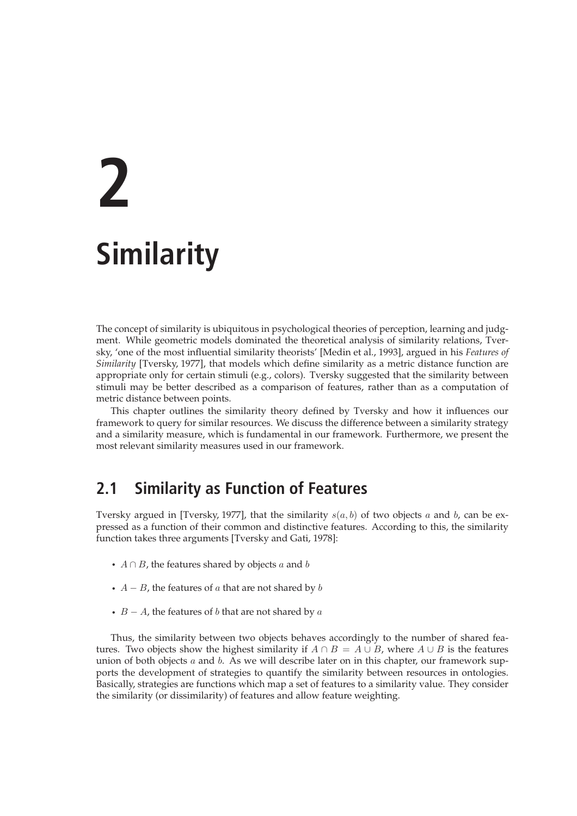# **2 Similarity**

The concept of similarity is ubiquitous in psychological theories of perception, learning and judgment. While geometric models dominated the theoretical analysis of similarity relations, Tversky, 'one of the most influential similarity theorists' [Medin et al., 1993], argued in his *Features of Similarity* [Tversky, 1977], that models which define similarity as a metric distance function are appropriate only for certain stimuli (e.g., colors). Tversky suggested that the similarity between stimuli may be better described as a comparison of features, rather than as a computation of metric distance between points.

This chapter outlines the similarity theory defined by Tversky and how it influences our framework to query for similar resources. We discuss the difference between a similarity strategy and a similarity measure, which is fundamental in our framework. Furthermore, we present the most relevant similarity measures used in our framework.

# **2.1 Similarity as Function of Features**

Tversky argued in [Tversky, 1977], that the similarity  $s(a, b)$  of two objects a and b, can be expressed as a function of their common and distinctive features. According to this, the similarity function takes three arguments [Tversky and Gati, 1978]:

- $A \cap B$ , the features shared by objects a and b
- $A B$ , the features of a that are not shared by b
- $B A$ , the features of b that are not shared by  $a$

Thus, the similarity between two objects behaves accordingly to the number of shared features. Two objects show the highest similarity if  $A \cap B = A \cup B$ , where  $A \cup B$  is the features union of both objects  $a$  and  $b$ . As we will describe later on in this chapter, our framework supports the development of strategies to quantify the similarity between resources in ontologies. Basically, strategies are functions which map a set of features to a similarity value. They consider the similarity (or dissimilarity) of features and allow feature weighting.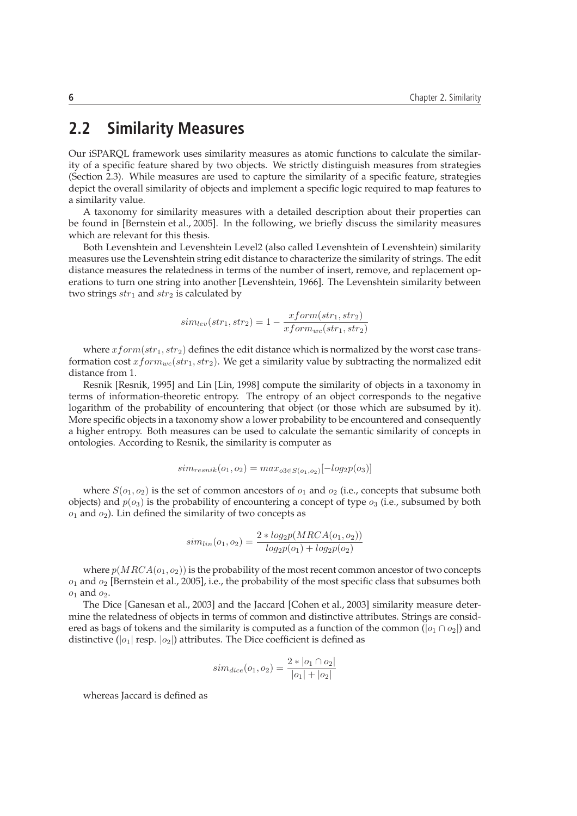## **2.2 Similarity Measures**

Our iSPARQL framework uses similarity measures as atomic functions to calculate the similarity of a specific feature shared by two objects. We strictly distinguish measures from strategies (Section 2.3). While measures are used to capture the similarity of a specific feature, strategies depict the overall similarity of objects and implement a specific logic required to map features to a similarity value.

A taxonomy for similarity measures with a detailed description about their properties can be found in [Bernstein et al., 2005]. In the following, we briefly discuss the similarity measures which are relevant for this thesis.

Both Levenshtein and Levenshtein Level2 (also called Levenshtein of Levenshtein) similarity measures use the Levenshtein string edit distance to characterize the similarity of strings. The edit distance measures the relatedness in terms of the number of insert, remove, and replacement operations to turn one string into another [Levenshtein, 1966]. The Levenshtein similarity between two strings  $str_1$  and  $str_2$  is calculated by

$$
sim_{lev}(str_1, str_2) = 1 - \frac{xform(str_1, str_2)}{xform_{wc}(str_1, str_2)}
$$

where  $xform(str_1, str_2)$  defines the edit distance which is normalized by the worst case transformation cost  $xform_{wc}(str_1, str_2)$ . We get a similarity value by subtracting the normalized edit distance from 1.

Resnik [Resnik, 1995] and Lin [Lin, 1998] compute the similarity of objects in a taxonomy in terms of information-theoretic entropy. The entropy of an object corresponds to the negative logarithm of the probability of encountering that object (or those which are subsumed by it). More specific objects in a taxonomy show a lower probability to be encountered and consequently a higher entropy. Both measures can be used to calculate the semantic similarity of concepts in ontologies. According to Resnik, the similarity is computer as

$$
sim_{resnik}(o_1, o_2) = max_{o3 \in S(o_1, o_2)}[-log_2 p(o_3)]
$$

where  $S(o_1, o_2)$  is the set of common ancestors of  $o_1$  and  $o_2$  (i.e., concepts that subsume both objects) and  $p(o_3)$  is the probability of encountering a concept of type  $o_3$  (i.e., subsumed by both  $o_1$  and  $o_2$ ). Lin defined the similarity of two concepts as

$$
sim_{lin}(o_1, o_2) = \frac{2 * log_2p(MRCA(o_1, o_2))}{log_2p(o_1) + log_2p(o_2)}
$$

where  $p(MRCA(o_1,o_2))$  is the probability of the most recent common ancestor of two concepts  $o_1$  and  $o_2$  [Bernstein et al., 2005], i.e., the probability of the most specific class that subsumes both  $o_1$  and  $o_2$ .

The Dice [Ganesan et al., 2003] and the Jaccard [Cohen et al., 2003] similarity measure determine the relatedness of objects in terms of common and distinctive attributes. Strings are considered as bags of tokens and the similarity is computed as a function of the common ( $|o_1 \cap o_2|$ ) and distinctive ( $|o_1|$  resp.  $|o_2|$ ) attributes. The Dice coefficient is defined as

$$
sim_{dice}(o_1, o_2) = \frac{2 * |o_1 \cap o_2|}{|o_1| + |o_2|}
$$

whereas Jaccard is defined as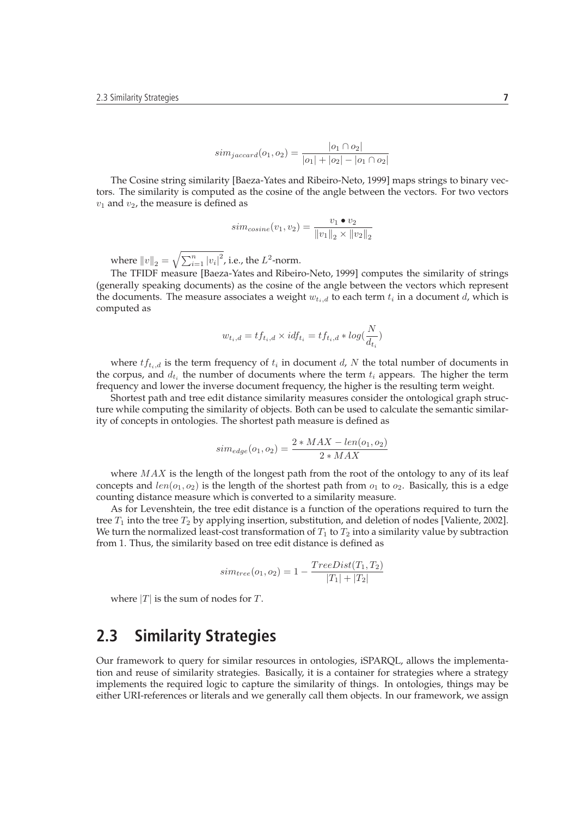$$
sim_{jaccard}(o_1, o_2) = \frac{|o_1 \cap o_2|}{|o_1| + |o_2| - |o_1 \cap o_2|}
$$

The Cosine string similarity [Baeza-Yates and Ribeiro-Neto, 1999] maps strings to binary vectors. The similarity is computed as the cosine of the angle between the vectors. For two vectors  $v_1$  and  $v_2$ , the measure is defined as

$$
sim_{cosine}(v_1, v_2) = \frac{v_1 \bullet v_2}{\|v_1\|_2 \times \|v_2\|_2}
$$

where  $\left\|v\right\|_2=\sqrt{\sum_{i=1}^n\left|v_i\right|^2}$ , i.e., the  $L^2$ -norm.

The TFIDF measure [Baeza-Yates and Ribeiro-Neto, 1999] computes the similarity of strings (generally speaking documents) as the cosine of the angle between the vectors which represent the documents. The measure associates a weight  $w_{t_i,d}$  to each term  $t_i$  in a document  $d$ , which is computed as

$$
w_{t_i,d} = t f_{t_i,d} \times idf_{t_i} = t f_{t_i,d} * log(\frac{N}{d_{t_i}})
$$

where  $tf_{t_i,d}$  is the term frequency of  $t_i$  in document d, N the total number of documents in the corpus, and  $d_{t_i}$  the number of documents where the term  $t_i$  appears. The higher the term frequency and lower the inverse document frequency, the higher is the resulting term weight.

Shortest path and tree edit distance similarity measures consider the ontological graph structure while computing the similarity of objects. Both can be used to calculate the semantic similarity of concepts in ontologies. The shortest path measure is defined as

$$
sim_{edge}(o_1, o_2) = \frac{2 * MAX - len(o_1, o_2)}{2 * MAX}
$$

where  $MAX$  is the length of the longest path from the root of the ontology to any of its leaf concepts and  $len(o_1, o_2)$  is the length of the shortest path from  $o_1$  to  $o_2$ . Basically, this is a edge counting distance measure which is converted to a similarity measure.

As for Levenshtein, the tree edit distance is a function of the operations required to turn the tree  $T_1$  into the tree  $T_2$  by applying insertion, substitution, and deletion of nodes [Valiente, 2002]. We turn the normalized least-cost transformation of  $T_1$  to  $T_2$  into a similarity value by subtraction from 1. Thus, the similarity based on tree edit distance is defined as

$$
sim_{tree}(o_1, o_2) = 1 - \frac{TreeDist(T_1, T_2)}{|T_1| + |T_2|}
$$

where  $|T|$  is the sum of nodes for  $T$ .

### **2.3 Similarity Strategies**

Our framework to query for similar resources in ontologies, iSPARQL, allows the implementation and reuse of similarity strategies. Basically, it is a container for strategies where a strategy implements the required logic to capture the similarity of things. In ontologies, things may be either URI-references or literals and we generally call them objects. In our framework, we assign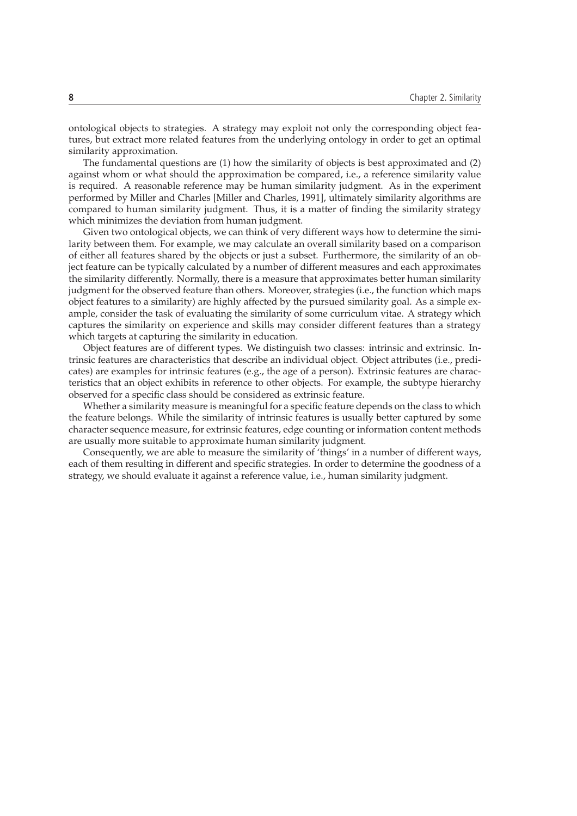ontological objects to strategies. A strategy may exploit not only the corresponding object features, but extract more related features from the underlying ontology in order to get an optimal similarity approximation.

The fundamental questions are (1) how the similarity of objects is best approximated and (2) against whom or what should the approximation be compared, i.e., a reference similarity value is required. A reasonable reference may be human similarity judgment. As in the experiment performed by Miller and Charles [Miller and Charles, 1991], ultimately similarity algorithms are compared to human similarity judgment. Thus, it is a matter of finding the similarity strategy which minimizes the deviation from human judgment.

Given two ontological objects, we can think of very different ways how to determine the similarity between them. For example, we may calculate an overall similarity based on a comparison of either all features shared by the objects or just a subset. Furthermore, the similarity of an object feature can be typically calculated by a number of different measures and each approximates the similarity differently. Normally, there is a measure that approximates better human similarity judgment for the observed feature than others. Moreover, strategies (i.e., the function which maps object features to a similarity) are highly affected by the pursued similarity goal. As a simple example, consider the task of evaluating the similarity of some curriculum vitae. A strategy which captures the similarity on experience and skills may consider different features than a strategy which targets at capturing the similarity in education.

Object features are of different types. We distinguish two classes: intrinsic and extrinsic. Intrinsic features are characteristics that describe an individual object. Object attributes (i.e., predicates) are examples for intrinsic features (e.g., the age of a person). Extrinsic features are characteristics that an object exhibits in reference to other objects. For example, the subtype hierarchy observed for a specific class should be considered as extrinsic feature.

Whether a similarity measure is meaningful for a specific feature depends on the class to which the feature belongs. While the similarity of intrinsic features is usually better captured by some character sequence measure, for extrinsic features, edge counting or information content methods are usually more suitable to approximate human similarity judgment.

Consequently, we are able to measure the similarity of 'things' in a number of different ways, each of them resulting in different and specific strategies. In order to determine the goodness of a strategy, we should evaluate it against a reference value, i.e., human similarity judgment.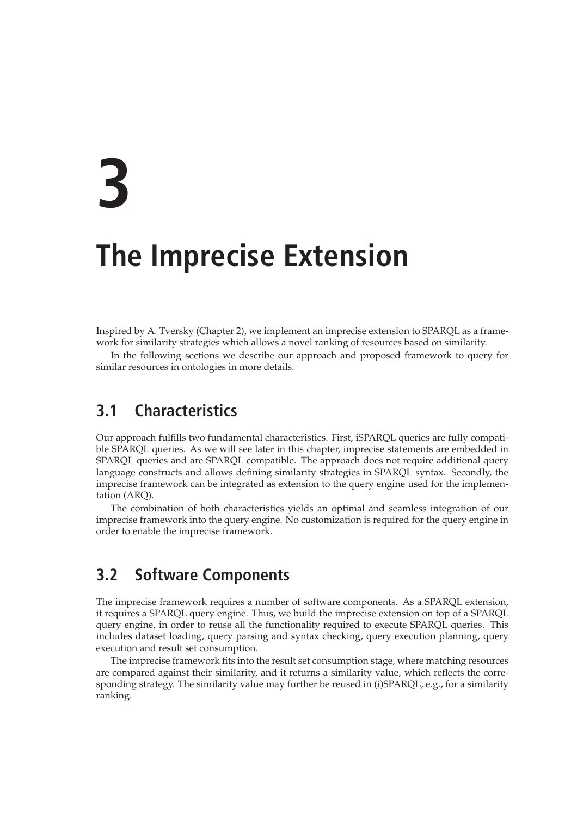# **3**

# **The Imprecise Extension**

Inspired by A. Tversky (Chapter 2), we implement an imprecise extension to SPARQL as a framework for similarity strategies which allows a novel ranking of resources based on similarity.

In the following sections we describe our approach and proposed framework to query for similar resources in ontologies in more details.

# **3.1 Characteristics**

Our approach fulfills two fundamental characteristics. First, iSPARQL queries are fully compatible SPARQL queries. As we will see later in this chapter, imprecise statements are embedded in SPARQL queries and are SPARQL compatible. The approach does not require additional query language constructs and allows defining similarity strategies in SPARQL syntax. Secondly, the imprecise framework can be integrated as extension to the query engine used for the implementation (ARQ).

The combination of both characteristics yields an optimal and seamless integration of our imprecise framework into the query engine. No customization is required for the query engine in order to enable the imprecise framework.

## **3.2 Software Components**

The imprecise framework requires a number of software components. As a SPARQL extension, it requires a SPARQL query engine. Thus, we build the imprecise extension on top of a SPARQL query engine, in order to reuse all the functionality required to execute SPARQL queries. This includes dataset loading, query parsing and syntax checking, query execution planning, query execution and result set consumption.

The imprecise framework fits into the result set consumption stage, where matching resources are compared against their similarity, and it returns a similarity value, which reflects the corresponding strategy. The similarity value may further be reused in (i)SPARQL, e.g., for a similarity ranking.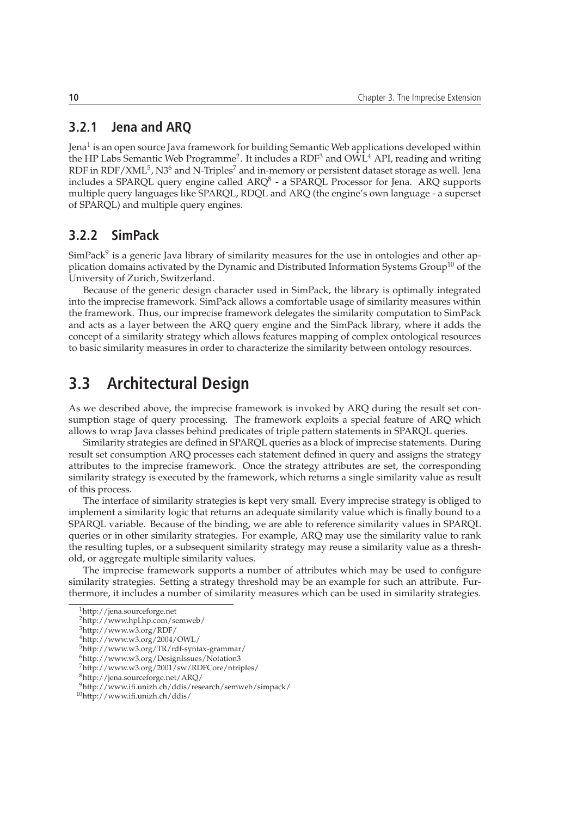#### **3.2.1 Jena and ARQ**

Jena<sup>1</sup> is an open source Java framework for building Semantic Web applications developed within the HP Labs Semantic Web Programme<sup>2</sup>. It includes a  $\mathrm{RDF^3}$  and  $\mathrm{OWL^4}$  API, reading and writing RDF in RDF/XML $^5$ , N3 $^6$  and N-Triples $^7$  and in-memory or persistent dataset storage as well. Jena includes a SPARQL query engine called ARQ $^8$  - a SPARQL Processor for Jena. ARQ supports multiple query languages like SPARQL, RDQL and ARQ (the engine's own language - a superset of SPARQL) and multiple query engines.

#### **3.2.2 SimPack**

SimPack<sup>9</sup> is a generic Java library of similarity measures for the use in ontologies and other application domains activated by the Dynamic and Distributed Information Systems  $Group^{10}$  of the University of Zurich, Switzerland.

Because of the generic design character used in SimPack, the library is optimally integrated into the imprecise framework. SimPack allows a comfortable usage of similarity measures within the framework. Thus, our imprecise framework delegates the similarity computation to SimPack and acts as a layer between the ARQ query engine and the SimPack library, where it adds the concept of a similarity strategy which allows features mapping of complex ontological resources to basic similarity measures in order to characterize the similarity between ontology resources.

## **3.3 Architectural Design**

As we described above, the imprecise framework is invoked by ARQ during the result set consumption stage of query processing. The framework exploits a special feature of ARQ which allows to wrap Java classes behind predicates of triple pattern statements in SPARQL queries.

Similarity strategies are defined in SPARQL queries as a block of imprecise statements. During result set consumption ARQ processes each statement defined in query and assigns the strategy attributes to the imprecise framework. Once the strategy attributes are set, the corresponding similarity strategy is executed by the framework, which returns a single similarity value as result of this process.

The interface of similarity strategies is kept very small. Every imprecise strategy is obliged to implement a similarity logic that returns an adequate similarity value which is finally bound to a SPARQL variable. Because of the binding, we are able to reference similarity values in SPARQL queries or in other similarity strategies. For example, ARQ may use the similarity value to rank the resulting tuples, or a subsequent similarity strategy may reuse a similarity value as a threshold, or aggregate multiple similarity values.

The imprecise framework supports a number of attributes which may be used to configure similarity strategies. Setting a strategy threshold may be an example for such an attribute. Furthermore, it includes a number of similarity measures which can be used in similarity strategies.

<sup>1</sup>http://jena.sourceforge.net

<sup>2</sup>http://www.hpl.hp.com/semweb/

<sup>3</sup>http://www.w3.org/RDF/

 $4$ http://www.w3.org/2004/OWL/

<sup>5</sup>http://www.w3.org/TR/rdf-syntax-grammar/

<sup>6</sup>http://www.w3.org/DesignIssues/Notation3 <sup>7</sup>http://www.w3.org/2001/sw/RDFCore/ntriples/

<sup>8</sup>http://jena.sourceforge.net/ARQ/

<sup>9</sup>http://www.ifi.unizh.ch/ddis/research/semweb/simpack/

<sup>10</sup>http://www.ifi.unizh.ch/ddis/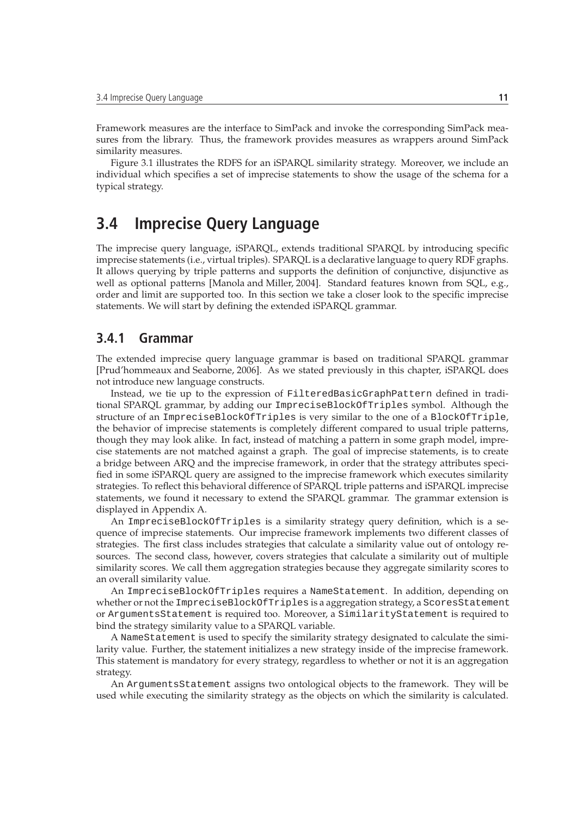Framework measures are the interface to SimPack and invoke the corresponding SimPack measures from the library. Thus, the framework provides measures as wrappers around SimPack similarity measures.

Figure 3.1 illustrates the RDFS for an iSPARQL similarity strategy. Moreover, we include an individual which specifies a set of imprecise statements to show the usage of the schema for a typical strategy.

# **3.4 Imprecise Query Language**

The imprecise query language, iSPARQL, extends traditional SPARQL by introducing specific imprecise statements (i.e., virtual triples). SPARQL is a declarative language to query RDF graphs. It allows querying by triple patterns and supports the definition of conjunctive, disjunctive as well as optional patterns [Manola and Miller, 2004]. Standard features known from SQL, e.g., order and limit are supported too. In this section we take a closer look to the specific imprecise statements. We will start by defining the extended iSPARQL grammar.

#### **3.4.1 Grammar**

The extended imprecise query language grammar is based on traditional SPARQL grammar [Prud'hommeaux and Seaborne, 2006]. As we stated previously in this chapter, iSPARQL does not introduce new language constructs.

Instead, we tie up to the expression of FilteredBasicGraphPattern defined in traditional SPARQL grammar, by adding our ImpreciseBlockOfTriples symbol. Although the structure of an ImpreciseBlockOfTriples is very similar to the one of a BlockOfTriple, the behavior of imprecise statements is completely different compared to usual triple patterns, though they may look alike. In fact, instead of matching a pattern in some graph model, imprecise statements are not matched against a graph. The goal of imprecise statements, is to create a bridge between ARQ and the imprecise framework, in order that the strategy attributes specified in some iSPARQL query are assigned to the imprecise framework which executes similarity strategies. To reflect this behavioral difference of SPARQL triple patterns and iSPARQL imprecise statements, we found it necessary to extend the SPARQL grammar. The grammar extension is displayed in Appendix A.

An ImpreciseBlockOfTriples is a similarity strategy query definition, which is a sequence of imprecise statements. Our imprecise framework implements two different classes of strategies. The first class includes strategies that calculate a similarity value out of ontology resources. The second class, however, covers strategies that calculate a similarity out of multiple similarity scores. We call them aggregation strategies because they aggregate similarity scores to an overall similarity value.

An ImpreciseBlockOfTriples requires a NameStatement. In addition, depending on whether or not the ImpreciseBlockOfTriples is a aggregation strategy, a ScoresStatement or ArgumentsStatement is required too. Moreover, a SimilarityStatement is required to bind the strategy similarity value to a SPARQL variable.

A NameStatement is used to specify the similarity strategy designated to calculate the similarity value. Further, the statement initializes a new strategy inside of the imprecise framework. This statement is mandatory for every strategy, regardless to whether or not it is an aggregation strategy.

An ArgumentsStatement assigns two ontological objects to the framework. They will be used while executing the similarity strategy as the objects on which the similarity is calculated.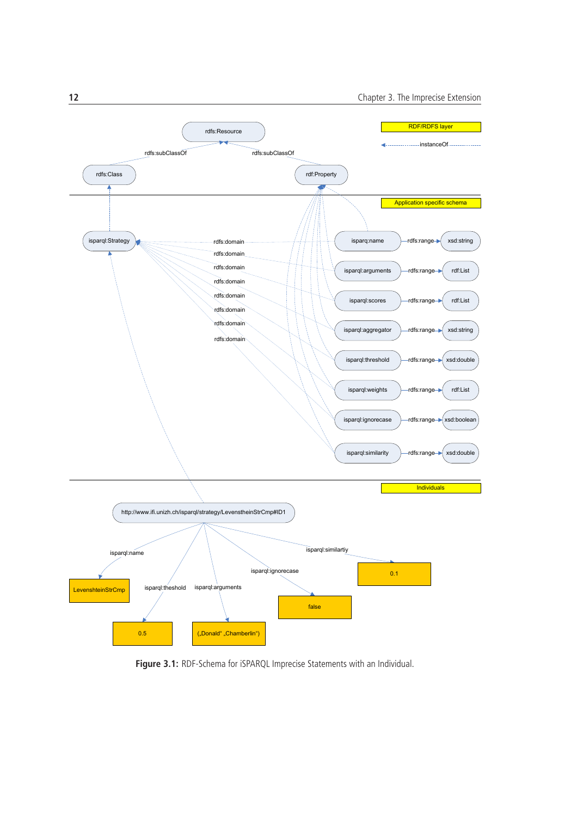

**Figure 3.1:** RDF-Schema for iSPARQL Imprecise Statements with an Individual.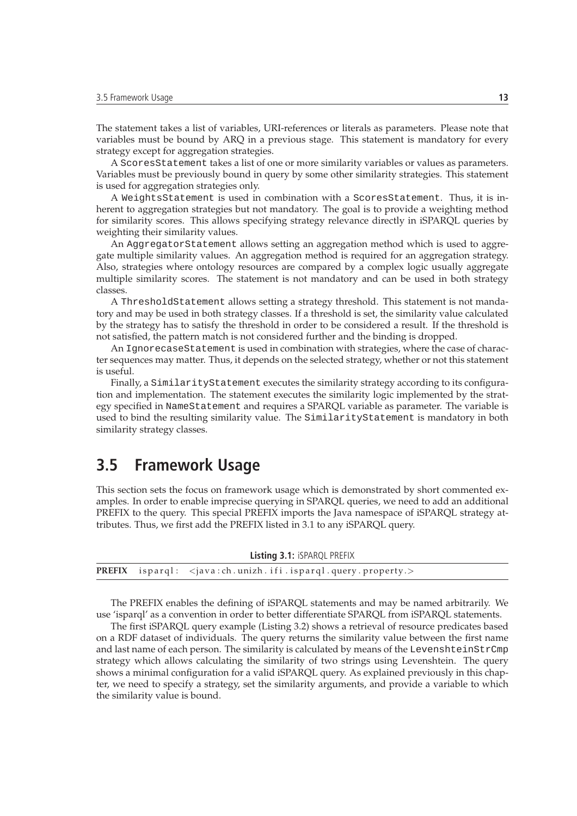The statement takes a list of variables, URI-references or literals as parameters. Please note that variables must be bound by ARQ in a previous stage. This statement is mandatory for every strategy except for aggregation strategies.

A ScoresStatement takes a list of one or more similarity variables or values as parameters. Variables must be previously bound in query by some other similarity strategies. This statement is used for aggregation strategies only.

A WeightsStatement is used in combination with a ScoresStatement. Thus, it is inherent to aggregation strategies but not mandatory. The goal is to provide a weighting method for similarity scores. This allows specifying strategy relevance directly in iSPARQL queries by weighting their similarity values.

An AggregatorStatement allows setting an aggregation method which is used to aggregate multiple similarity values. An aggregation method is required for an aggregation strategy. Also, strategies where ontology resources are compared by a complex logic usually aggregate multiple similarity scores. The statement is not mandatory and can be used in both strategy classes.

A ThresholdStatement allows setting a strategy threshold. This statement is not mandatory and may be used in both strategy classes. If a threshold is set, the similarity value calculated by the strategy has to satisfy the threshold in order to be considered a result. If the threshold is not satisfied, the pattern match is not considered further and the binding is dropped.

An IgnorecaseStatement is used in combination with strategies, where the case of character sequences may matter. Thus, it depends on the selected strategy, whether or not this statement is useful.

Finally, a SimilarityStatement executes the similarity strategy according to its configuration and implementation. The statement executes the similarity logic implemented by the strategy specified in NameStatement and requires a SPARQL variable as parameter. The variable is used to bind the resulting similarity value. The SimilarityStatement is mandatory in both similarity strategy classes.

### **3.5 Framework Usage**

This section sets the focus on framework usage which is demonstrated by short commented examples. In order to enable imprecise querying in SPARQL queries, we need to add an additional PREFIX to the query. This special PREFIX imports the Java namespace of iSPARQL strategy attributes. Thus, we first add the PREFIX listed in 3.1 to any iSPARQL query.

|  | <b>Listing 3.1: ISPARQL PREFIX</b>                                                 |
|--|------------------------------------------------------------------------------------|
|  | <b>PREFIX</b> $i$ sparql: $\langle i$ ava:ch.unizh.ifi.isparql.query.property. $>$ |

The PREFIX enables the defining of iSPARQL statements and may be named arbitrarily. We use 'isparql' as a convention in order to better differentiate SPARQL from iSPARQL statements.

The first iSPARQL query example (Listing 3.2) shows a retrieval of resource predicates based on a RDF dataset of individuals. The query returns the similarity value between the first name and last name of each person. The similarity is calculated by means of the LevenshteinStrCmp strategy which allows calculating the similarity of two strings using Levenshtein. The query shows a minimal configuration for a valid iSPARQL query. As explained previously in this chapter, we need to specify a strategy, set the similarity arguments, and provide a variable to which the similarity value is bound.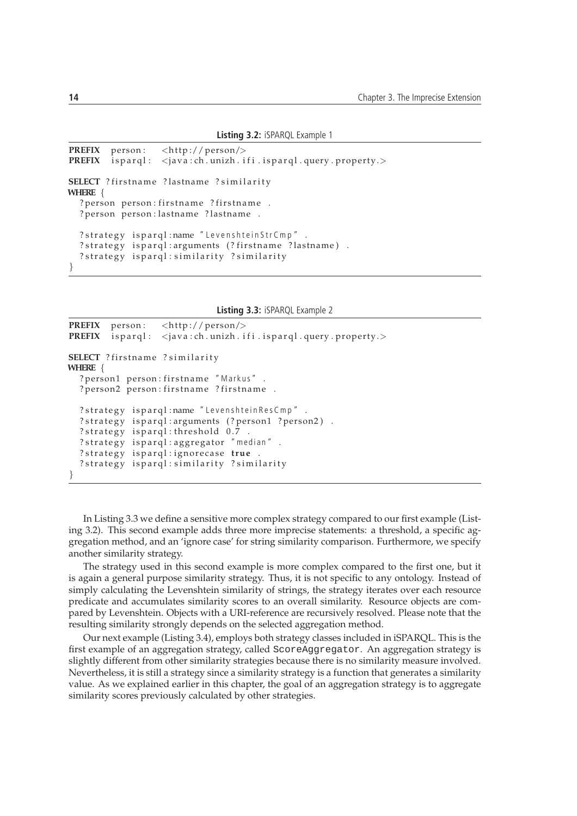**Listing 3.2:** iSPARQL Example 1

```
PREFIX person: <http://person/>
PREFIX is pargl: \langle java: ch. unizh. if i. is pargl. query. property. >SELECT ? firstname ? lastname ? similarity
WHERE {
  ? person person: firstname ? firstname .
  ? person person : lastname ? lastname .
  ? strategy isparql: name "LevenshteinStrCmp".
  ? strategy isparql: arguments (? firstname ? lastname).
  ? strategy isparql: similarity ? similarity
}
```

```
Listing 3.3: iSPARQL Example 2
```

```
PREFIX person: \langle \text{http://person/}\ranglePREFIX isparql: < java: ch. unizh. if i. isparql. query. property.>
SELECT ? firstname ? similarity
WHERE {
  ? person1 person: firstname "Markus".
  ? person2 person: firstname ? firstname .
  ? strategy isparql: name "Levenshtein Res Cmp".
  ? strategy isparql: arguments (? person1 ? person2).
  ? strategy isparql: threshold 0.7? strategy isparql: aggregator "median".
  ? strategy ispargl: ignorecase true.
  ? strategy isparql: similarity ? similarity
}
```
In Listing 3.3 we define a sensitive more complex strategy compared to our first example (Listing 3.2). This second example adds three more imprecise statements: a threshold, a specific aggregation method, and an 'ignore case' for string similarity comparison. Furthermore, we specify another similarity strategy.

The strategy used in this second example is more complex compared to the first one, but it is again a general purpose similarity strategy. Thus, it is not specific to any ontology. Instead of simply calculating the Levenshtein similarity of strings, the strategy iterates over each resource predicate and accumulates similarity scores to an overall similarity. Resource objects are compared by Levenshtein. Objects with a URI-reference are recursively resolved. Please note that the resulting similarity strongly depends on the selected aggregation method.

Our next example (Listing 3.4), employs both strategy classes included in iSPARQL. This is the first example of an aggregation strategy, called ScoreAggregator. An aggregation strategy is slightly different from other similarity strategies because there is no similarity measure involved. Nevertheless, it is still a strategy since a similarity strategy is a function that generates a similarity value. As we explained earlier in this chapter, the goal of an aggregation strategy is to aggregate similarity scores previously calculated by other strategies.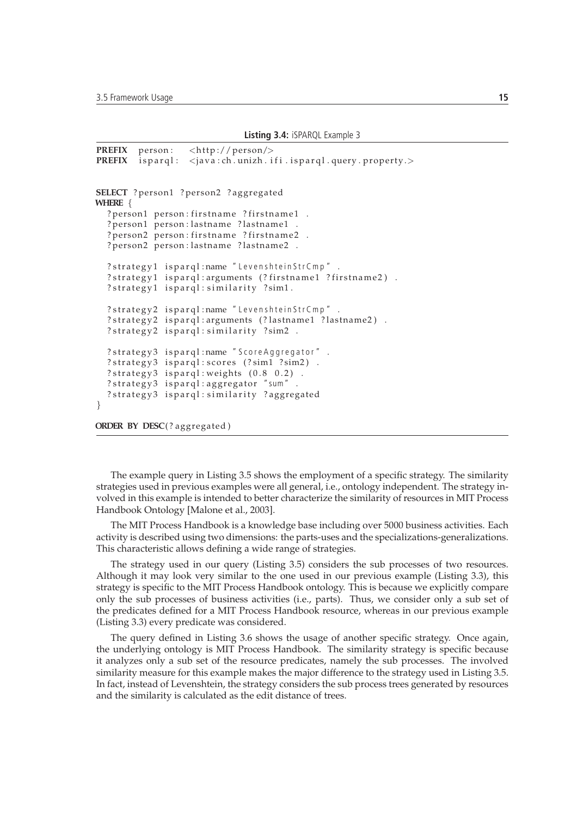**Listing 3.4:** iSPARQL Example 3

```
PREFIX person: <http://person/><br>PREFIX isparql: <java:ch.unizh.i
PREFIX is pargl: \langle java: ch. unizh. if i. is pargl. query. property. >SELECT ? person1 ? person2 ? aggregated
WHERE {
  ? person1 person: firstname ? firstname1.
  ? person1 person: lastname ? lastname1
  ? person2 person: firstname ? firstname2 .
  ? person2 person: lastname ? lastname2 .
  ? strategy1 isparql:name "LevenshteinStrCmp".
  ? strategy1 isparql: arguments (? firstname1 ? firstname2).
  ? strategy1 isparql: similarity ?sim1.
  ? strategy2 isparql:name "LevenshteinStrCmp".
  ? strategy2 isparql: arguments (? lastname1 ? lastname2).
  ? strategy2 isparql: similarity ?sim2 .
  ? strategy3 isparql:name "ScoreAggregator".
  ? strategy3 isparql: scores (?sim1 ?sim2).
  ? strategy3 isparql: weights (0.8 0.2).
  ? strategy3 isparql: aggregator "sum" .
  ? strategy3 isparql: similarity ? aggregated
}
```
**ORDER BY DESC**(? aggregated)

The example query in Listing 3.5 shows the employment of a specific strategy. The similarity strategies used in previous examples were all general, i.e., ontology independent. The strategy involved in this example is intended to better characterize the similarity of resources in MIT Process Handbook Ontology [Malone et al., 2003].

The MIT Process Handbook is a knowledge base including over 5000 business activities. Each activity is described using two dimensions: the parts-uses and the specializations-generalizations. This characteristic allows defining a wide range of strategies.

The strategy used in our query (Listing 3.5) considers the sub processes of two resources. Although it may look very similar to the one used in our previous example (Listing 3.3), this strategy is specific to the MIT Process Handbook ontology. This is because we explicitly compare only the sub processes of business activities (i.e., parts). Thus, we consider only a sub set of the predicates defined for a MIT Process Handbook resource, whereas in our previous example (Listing 3.3) every predicate was considered.

The query defined in Listing 3.6 shows the usage of another specific strategy. Once again, the underlying ontology is MIT Process Handbook. The similarity strategy is specific because it analyzes only a sub set of the resource predicates, namely the sub processes. The involved similarity measure for this example makes the major difference to the strategy used in Listing 3.5. In fact, instead of Levenshtein, the strategy considers the sub process trees generated by resources and the similarity is calculated as the edit distance of trees.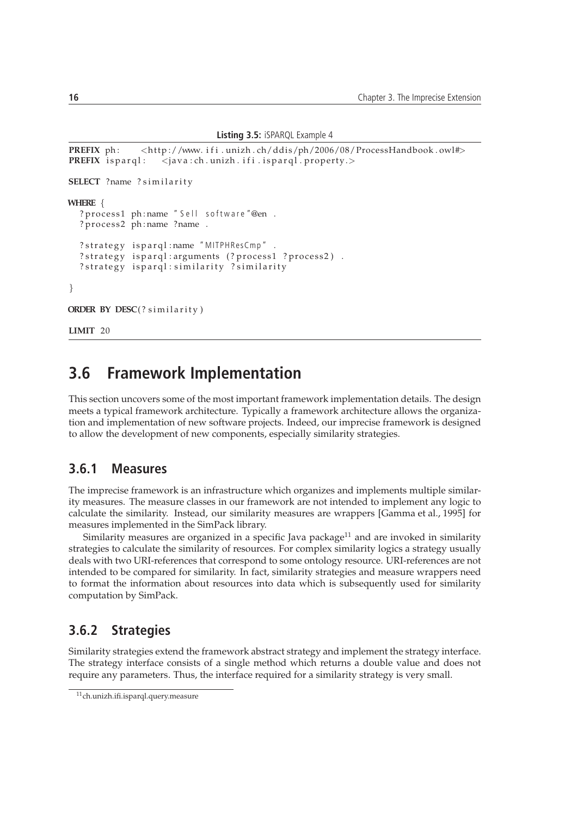```
Listing 3.5: iSPARQL Example 4
```

```
PREFIX ph: <http://www.ifi.unizh.ch/ddis/ph/2006/08/ProcessHandbook.owl#>
PREFIX is parql: < java: ch. unizh. if i. is parql. property.>
SELECT ?name ? similarity
WHERE {
  ? process1 ph:name "Sell software "@en .
  ? process2 ph:name ?name .
  ? strategy isparql:name "MITPHResCmp".
  ? strategy isparql: arguments (? process1 ? process2).
  ? strategy isparql: similarity ? similarity
}
ORDER BY DESC(? similarity)
```
**LIMIT** 20

## **3.6 Framework Implementation**

This section uncovers some of the most important framework implementation details. The design meets a typical framework architecture. Typically a framework architecture allows the organization and implementation of new software projects. Indeed, our imprecise framework is designed to allow the development of new components, especially similarity strategies.

#### **3.6.1 Measures**

The imprecise framework is an infrastructure which organizes and implements multiple similarity measures. The measure classes in our framework are not intended to implement any logic to calculate the similarity. Instead, our similarity measures are wrappers [Gamma et al., 1995] for measures implemented in the SimPack library.

Similarity measures are organized in a specific Java package $^{11}$  and are invoked in similarity strategies to calculate the similarity of resources. For complex similarity logics a strategy usually deals with two URI-references that correspond to some ontology resource. URI-references are not intended to be compared for similarity. In fact, similarity strategies and measure wrappers need to format the information about resources into data which is subsequently used for similarity computation by SimPack.

#### **3.6.2 Strategies**

Similarity strategies extend the framework abstract strategy and implement the strategy interface. The strategy interface consists of a single method which returns a double value and does not require any parameters. Thus, the interface required for a similarity strategy is very small.

<sup>11</sup>ch.unizh.ifi.isparql.query.measure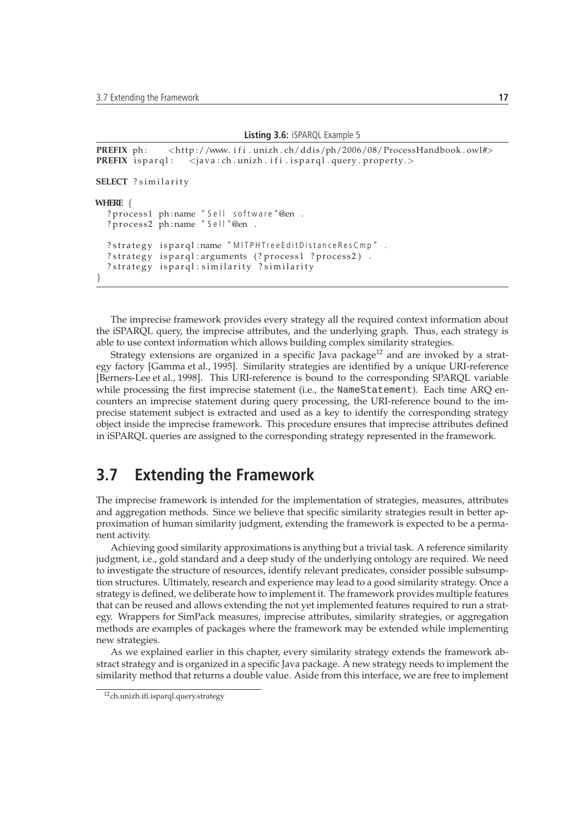**Listing 3.6:** iSPARQL Example 5

```
PREFIX ph: <http://www.ifi.unizh.ch/ddis/ph/2006/08/ProcessHandbook.owl#>
PREFIX isparql: < java: ch. unizh. if i. isparql. query. property.>
SELECT ? similarity
WHERE {
  ? process1 ph:name "Sell software "@en .
  ? process2 ph:name "Sell"@en.
  ? strategy isparql:name "MITPHTreeEditDistanceResCmp".
  ? strategy isparql: arguments (? process1 ? process2).
  ? strategy isparql: similarity ? similarity
}
```
The imprecise framework provides every strategy all the required context information about the iSPARQL query, the imprecise attributes, and the underlying graph. Thus, each strategy is able to use context information which allows building complex similarity strategies.

Strategy extensions are organized in a specific Java package<sup>12</sup> and are invoked by a strategy factory [Gamma et al., 1995]. Similarity strategies are identified by a unique URI-reference [Berners-Lee et al., 1998]. This URI-reference is bound to the corresponding SPARQL variable while processing the first imprecise statement (i.e., the NameStatement). Each time ARQ encounters an imprecise statement during query processing, the URI-reference bound to the imprecise statement subject is extracted and used as a key to identify the corresponding strategy object inside the imprecise framework. This procedure ensures that imprecise attributes defined in iSPARQL queries are assigned to the corresponding strategy represented in the framework.

## **3.7 Extending the Framework**

The imprecise framework is intended for the implementation of strategies, measures, attributes and aggregation methods. Since we believe that specific similarity strategies result in better approximation of human similarity judgment, extending the framework is expected to be a permanent activity.

Achieving good similarity approximations is anything but a trivial task. A reference similarity judgment, i.e., gold standard and a deep study of the underlying ontology are required. We need to investigate the structure of resources, identify relevant predicates, consider possible subsumption structures. Ultimately, research and experience may lead to a good similarity strategy. Once a strategy is defined, we deliberate how to implement it. The framework provides multiple features that can be reused and allows extending the not yet implemented features required to run a strategy. Wrappers for SimPack measures, imprecise attributes, similarity strategies, or aggregation methods are examples of packages where the framework may be extended while implementing new strategies.

As we explained earlier in this chapter, every similarity strategy extends the framework abstract strategy and is organized in a specific Java package. A new strategy needs to implement the similarity method that returns a double value. Aside from this interface, we are free to implement

<sup>12</sup>ch.unizh.ifi.isparql.query.strategy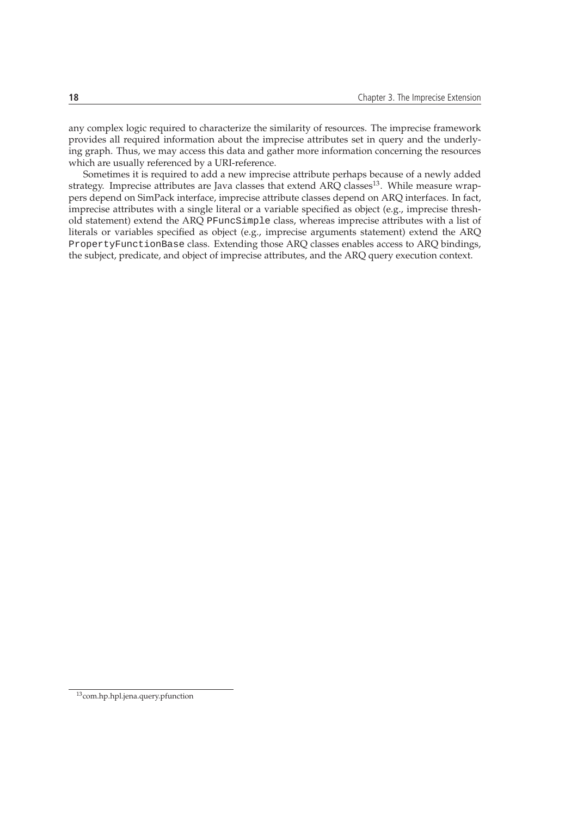any complex logic required to characterize the similarity of resources. The imprecise framework provides all required information about the imprecise attributes set in query and the underlying graph. Thus, we may access this data and gather more information concerning the resources which are usually referenced by a URI-reference.

Sometimes it is required to add a new imprecise attribute perhaps because of a newly added strategy. Imprecise attributes are Java classes that extend ARQ classes<sup>13</sup>. While measure wrappers depend on SimPack interface, imprecise attribute classes depend on ARQ interfaces. In fact, imprecise attributes with a single literal or a variable specified as object (e.g., imprecise threshold statement) extend the ARQ PFuncSimple class, whereas imprecise attributes with a list of literals or variables specified as object (e.g., imprecise arguments statement) extend the ARQ PropertyFunctionBase class. Extending those ARQ classes enables access to ARQ bindings, the subject, predicate, and object of imprecise attributes, and the ARQ query execution context.

<sup>13</sup>com.hp.hpl.jena.query.pfunction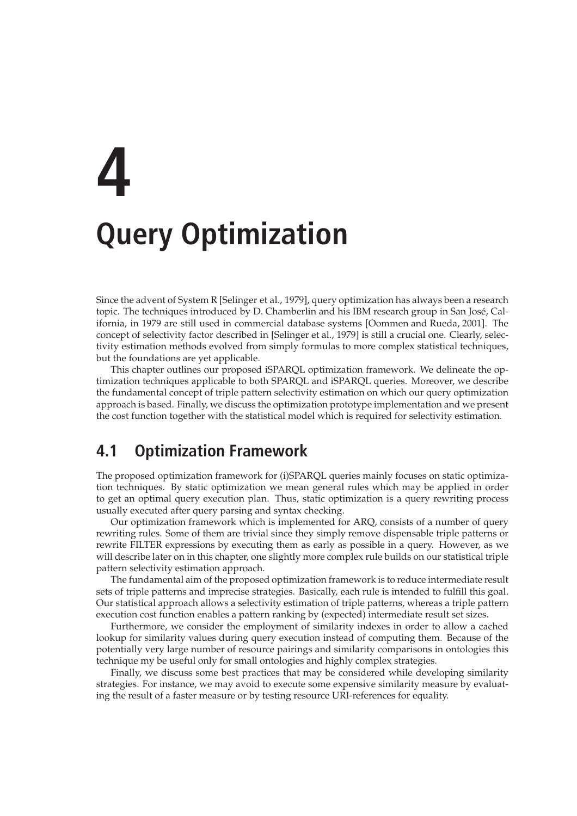# **4 Query Optimization**

Since the advent of System R [Selinger et al., 1979], query optimization has always been a research topic. The techniques introduced by D. Chamberlin and his IBM research group in San Jose, Cal- ´ ifornia, in 1979 are still used in commercial database systems [Oommen and Rueda, 2001]. The concept of selectivity factor described in [Selinger et al., 1979] is still a crucial one. Clearly, selectivity estimation methods evolved from simply formulas to more complex statistical techniques, but the foundations are yet applicable.

This chapter outlines our proposed iSPARQL optimization framework. We delineate the optimization techniques applicable to both SPARQL and iSPARQL queries. Moreover, we describe the fundamental concept of triple pattern selectivity estimation on which our query optimization approach is based. Finally, we discuss the optimization prototype implementation and we present the cost function together with the statistical model which is required for selectivity estimation.

# **4.1 Optimization Framework**

The proposed optimization framework for (i)SPARQL queries mainly focuses on static optimization techniques. By static optimization we mean general rules which may be applied in order to get an optimal query execution plan. Thus, static optimization is a query rewriting process usually executed after query parsing and syntax checking.

Our optimization framework which is implemented for ARQ, consists of a number of query rewriting rules. Some of them are trivial since they simply remove dispensable triple patterns or rewrite FILTER expressions by executing them as early as possible in a query. However, as we will describe later on in this chapter, one slightly more complex rule builds on our statistical triple pattern selectivity estimation approach.

The fundamental aim of the proposed optimization framework is to reduce intermediate result sets of triple patterns and imprecise strategies. Basically, each rule is intended to fulfill this goal. Our statistical approach allows a selectivity estimation of triple patterns, whereas a triple pattern execution cost function enables a pattern ranking by (expected) intermediate result set sizes.

Furthermore, we consider the employment of similarity indexes in order to allow a cached lookup for similarity values during query execution instead of computing them. Because of the potentially very large number of resource pairings and similarity comparisons in ontologies this technique my be useful only for small ontologies and highly complex strategies.

Finally, we discuss some best practices that may be considered while developing similarity strategies. For instance, we may avoid to execute some expensive similarity measure by evaluating the result of a faster measure or by testing resource URI-references for equality.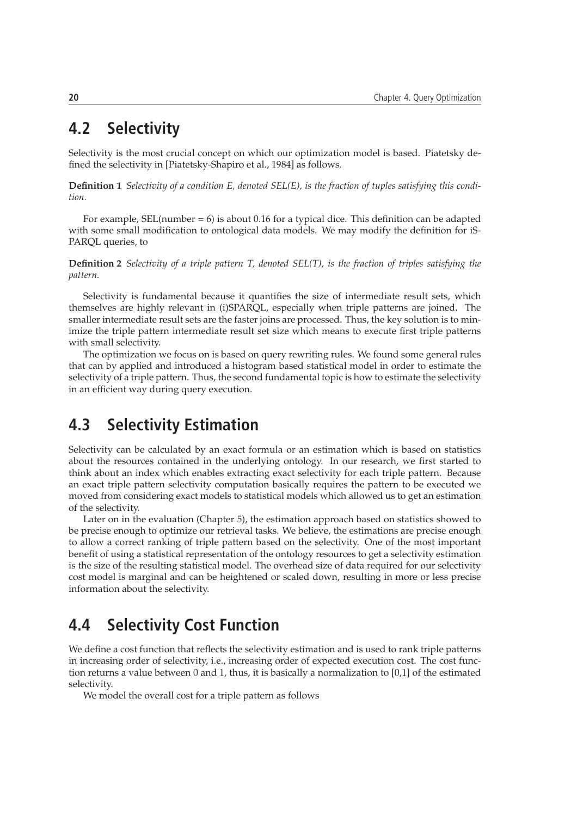# **4.2 Selectivity**

Selectivity is the most crucial concept on which our optimization model is based. Piatetsky defined the selectivity in [Piatetsky-Shapiro et al., 1984] as follows.

**Definition 1** *Selectivity of a condition E, denoted SEL(E), is the fraction of tuples satisfying this condition.*

For example,  $SEL$ (number  $= 6$ ) is about 0.16 for a typical dice. This definition can be adapted with some small modification to ontological data models. We may modify the definition for iS-PARQL queries, to

**Definition 2** *Selectivity of a triple pattern T, denoted SEL(T), is the fraction of triples satisfying the pattern.*

Selectivity is fundamental because it quantifies the size of intermediate result sets, which themselves are highly relevant in (i)SPARQL, especially when triple patterns are joined. The smaller intermediate result sets are the faster joins are processed. Thus, the key solution is to minimize the triple pattern intermediate result set size which means to execute first triple patterns with small selectivity.

The optimization we focus on is based on query rewriting rules. We found some general rules that can by applied and introduced a histogram based statistical model in order to estimate the selectivity of a triple pattern. Thus, the second fundamental topic is how to estimate the selectivity in an efficient way during query execution.

# **4.3 Selectivity Estimation**

Selectivity can be calculated by an exact formula or an estimation which is based on statistics about the resources contained in the underlying ontology. In our research, we first started to think about an index which enables extracting exact selectivity for each triple pattern. Because an exact triple pattern selectivity computation basically requires the pattern to be executed we moved from considering exact models to statistical models which allowed us to get an estimation of the selectivity.

Later on in the evaluation (Chapter 5), the estimation approach based on statistics showed to be precise enough to optimize our retrieval tasks. We believe, the estimations are precise enough to allow a correct ranking of triple pattern based on the selectivity. One of the most important benefit of using a statistical representation of the ontology resources to get a selectivity estimation is the size of the resulting statistical model. The overhead size of data required for our selectivity cost model is marginal and can be heightened or scaled down, resulting in more or less precise information about the selectivity.

# **4.4 Selectivity Cost Function**

We define a cost function that reflects the selectivity estimation and is used to rank triple patterns in increasing order of selectivity, i.e., increasing order of expected execution cost. The cost function returns a value between 0 and 1, thus, it is basically a normalization to [0,1] of the estimated selectivity.

We model the overall cost for a triple pattern as follows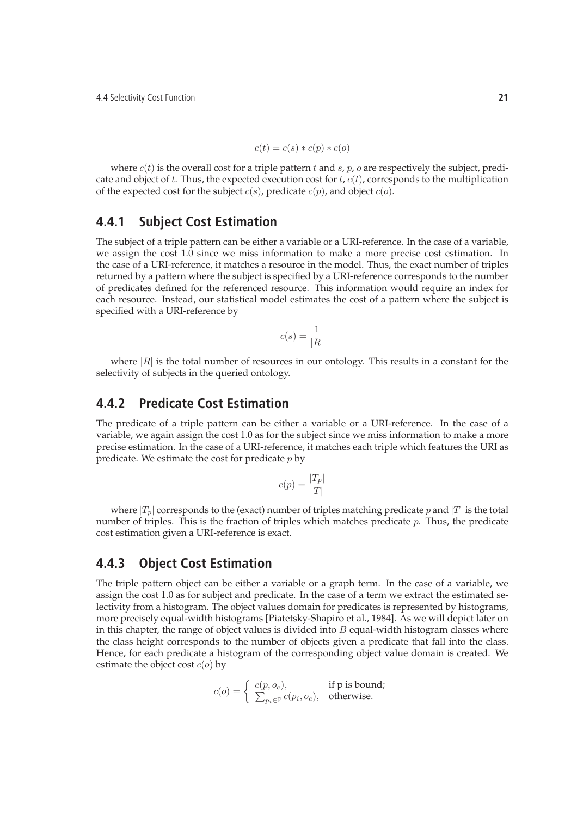$$
c(t) = c(s) * c(p) * c(o)
$$

where  $c(t)$  is the overall cost for a triple pattern t and s, p, o are respectively the subject, predicate and object of t. Thus, the expected execution cost for  $t$ ,  $c(t)$ , corresponds to the multiplication of the expected cost for the subject  $c(s)$ , predicate  $c(p)$ , and object  $c(o)$ .

#### **4.4.1 Subject Cost Estimation**

The subject of a triple pattern can be either a variable or a URI-reference. In the case of a variable, we assign the cost 1.0 since we miss information to make a more precise cost estimation. In the case of a URI-reference, it matches a resource in the model. Thus, the exact number of triples returned by a pattern where the subject is specified by a URI-reference corresponds to the number of predicates defined for the referenced resource. This information would require an index for each resource. Instead, our statistical model estimates the cost of a pattern where the subject is specified with a URI-reference by

$$
c(s) = \frac{1}{|R|}
$$

where  $|R|$  is the total number of resources in our ontology. This results in a constant for the selectivity of subjects in the queried ontology.

#### **4.4.2 Predicate Cost Estimation**

The predicate of a triple pattern can be either a variable or a URI-reference. In the case of a variable, we again assign the cost 1.0 as for the subject since we miss information to make a more precise estimation. In the case of a URI-reference, it matches each triple which features the URI as predicate. We estimate the cost for predicate  $p$  by

$$
c(p) = \frac{|T_p|}{|T|}
$$

where  $|T_p|$  corresponds to the (exact) number of triples matching predicate p and  $|T|$  is the total number of triples. This is the fraction of triples which matches predicate  $p$ . Thus, the predicate cost estimation given a URI-reference is exact.

#### **4.4.3 Object Cost Estimation**

The triple pattern object can be either a variable or a graph term. In the case of a variable, we assign the cost 1.0 as for subject and predicate. In the case of a term we extract the estimated selectivity from a histogram. The object values domain for predicates is represented by histograms, more precisely equal-width histograms [Piatetsky-Shapiro et al., 1984]. As we will depict later on in this chapter, the range of object values is divided into  $B$  equal-width histogram classes where the class height corresponds to the number of objects given a predicate that fall into the class. Hence, for each predicate a histogram of the corresponding object value domain is created. We estimate the object cost  $c(o)$  by

$$
c(o) = \begin{cases} c(p, o_c), & \text{if p is bound;} \\ \sum_{p_i \in \mathbb{P}} c(p_i, o_c), & \text{otherwise.} \end{cases}
$$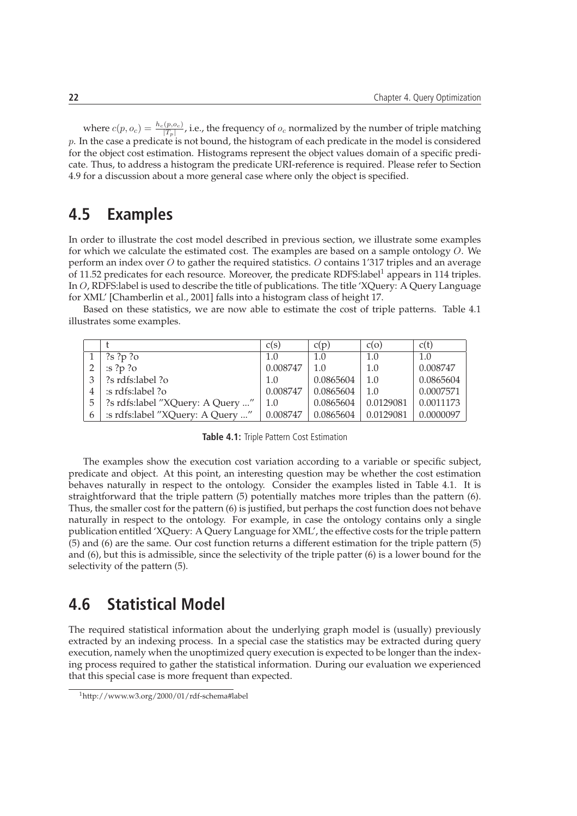where  $c(p, o_c) = \frac{h_c(p, o_c)}{|T_p|}$ , i.e., the frequency of  $o_c$  normalized by the number of triple matching  $p$ . In the case a predicate is not bound, the histogram of each predicate in the model is considered for the object cost estimation. Histograms represent the object values domain of a specific predicate. Thus, to address a histogram the predicate URI-reference is required. Please refer to Section 4.9 for a discussion about a more general case where only the object is specified.

### **4.5 Examples**

In order to illustrate the cost model described in previous section, we illustrate some examples for which we calculate the estimated cost. The examples are based on a sample ontology O. We perform an index over  $O$  to gather the required statistics.  $O$  contains 1'317 triples and an average of 11.52 predicates for each resource. Moreover, the predicate RDFS: label<sup>1</sup> appears in 114 triples. In O, RDFS:label is used to describe the title of publications. The title 'XQuery: A Query Language for XML' [Chamberlin et al., 2001] falls into a histogram class of height 17.

Based on these statistics, we are now able to estimate the cost of triple patterns. Table 4.1 illustrates some examples.

|              |                                      | c(s)     | c(p)      | c(o)      | c(t)      |
|--------------|--------------------------------------|----------|-----------|-----------|-----------|
|              | ?s ?p ?o                             | 1.0      | 1.0       | 1.0       | 1.0       |
|              | $\mathop{\text{is }}\nolimits$ ?p ?o | 0.008747 | 1.0       | 1.0       | 0.008747  |
|              | ?s rdfs:label ?o                     | 1.0      | 0.0865604 | 1.0       | 0.0865604 |
| 4            | :s rdfs:label ?o                     | 0.008747 | 0.0865604 | 1.0       | 0.0007571 |
| 5            | ?s rdfs:label "XQuery: A Query "     | 1.0      | 0.0865604 | 0.0129081 | 0.0011173 |
| $\mathbf{6}$ | :s rdfs:label "XQuery: A Query "     | 0.008747 | 0.0865604 | 0.0129081 | 0.0000097 |

**Table 4.1:** Triple Pattern Cost Estimation

The examples show the execution cost variation according to a variable or specific subject, predicate and object. At this point, an interesting question may be whether the cost estimation behaves naturally in respect to the ontology. Consider the examples listed in Table 4.1. It is straightforward that the triple pattern (5) potentially matches more triples than the pattern (6). Thus, the smaller cost for the pattern (6) is justified, but perhaps the cost function does not behave naturally in respect to the ontology. For example, in case the ontology contains only a single publication entitled 'XQuery: A Query Language for XML', the effective costs for the triple pattern (5) and (6) are the same. Our cost function returns a different estimation for the triple pattern (5) and (6), but this is admissible, since the selectivity of the triple patter (6) is a lower bound for the selectivity of the pattern (5).

# **4.6 Statistical Model**

The required statistical information about the underlying graph model is (usually) previously extracted by an indexing process. In a special case the statistics may be extracted during query execution, namely when the unoptimized query execution is expected to be longer than the indexing process required to gather the statistical information. During our evaluation we experienced that this special case is more frequent than expected.

<sup>1</sup>http://www.w3.org/2000/01/rdf-schema#label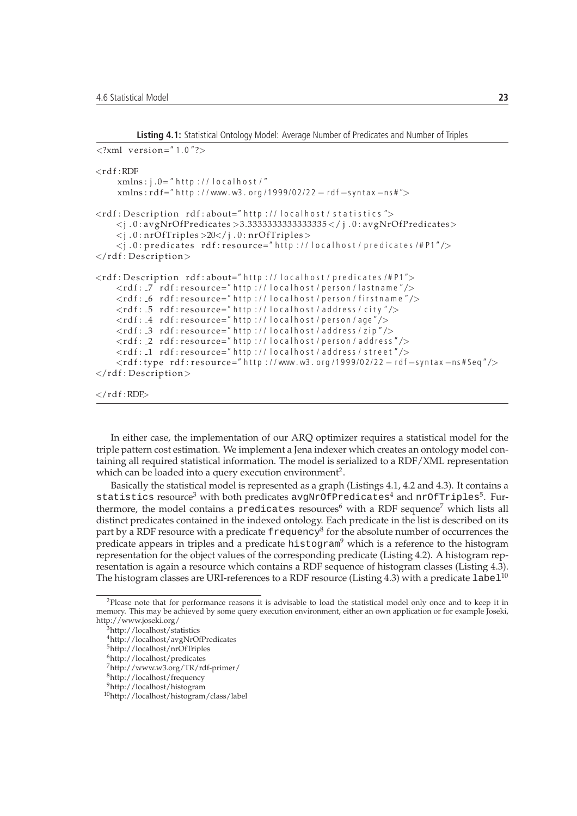```
Listing 4.1: Statistical Ontology Model: Average Number of Predicates and Number of Triples
```

```
\langle 2 \times 1 \rangle version="1.0"?>
<rd f : RDF
     xmlns: j.0=" http://localhost/"
     xmlns: rd f = " http://www.w3.org/1999/02/22 - rd f -syntax -ns#">
\ltrdf: Description rdf: about=" http://localhost/statistics">
     \langle i.0:avgNrOfPredicates > 3.333333333333335 < / j.0:avgNrOfPredicates > 3.333333333335\langlej.0:nrOfTriples >20\langlej.0:nrOfTriples >
     \langlej.0: predicates rdf: resource=" http://localhost/predicates/#P1"/>
\langlerdf: Description>
<rdf: Description rdf: about="http://localhost/predicates/#P1">
     <rdf: _7 rdf:resource="http://localhost/person/lastname"/>
     <rdf: _6 rdf:resource="http://localhost/person/firstname"/>
     \ltrdf: -5 rdf: resource=" http://localhost/address/city"/><rdf: -4 rdf: resource=" http://localhost/person/age"/>
    \langle \text{rdf} : 3 \text{ rdf} : \text{resource} = \text{"http://localhost/address/zip"} \rangle\langle \text{rdf:} \_2 \text{ rdf: resource="http://localhost/person/address''} \rangle\ltrdf: _1 rdf:resource=" http://localhost/address/street"/>
     <rdf:type rdf:resource=" http://www.w3.org/1999/02/22 - rdf-syntax -ns#Seq"/>
\langlerdf: Description>
```

```
\langlerdf:RDF>
```
In either case, the implementation of our ARQ optimizer requires a statistical model for the triple pattern cost estimation. We implement a Jena indexer which creates an ontology model containing all required statistical information. The model is serialized to a RDF/XML representation which can be loaded into a query execution environment<sup>2</sup>.

Basically the statistical model is represented as a graph (Listings 4.1, 4.2 and 4.3). It contains a statistics resource<sup>3</sup> with both predicates avgNrOfPredicates<sup>4</sup> and  $\mathrm{nr}$ OfTriples<sup>5</sup>. Furthermore, the model contains a predicates resources<sup>6</sup> with a RDF sequence<sup>7</sup> which lists all distinct predicates contained in the indexed ontology. Each predicate in the list is described on its part by a RDF resource with a predicate <code>frequency</code><sup>8</sup> for the absolute number of occurrences the predicate appears in triples and a predicate histogram<sup>9</sup> which is a reference to the histogram representation for the object values of the corresponding predicate (Listing 4.2). A histogram representation is again a resource which contains a RDF sequence of histogram classes (Listing 4.3). The histogram classes are URI-references to a RDF resource (Listing 4.3) with a predicate label<sup>10</sup>

<sup>2</sup>Please note that for performance reasons it is advisable to load the statistical model only once and to keep it in memory. This may be achieved by some query execution environment, either an own application or for example Joseki, http://www.joseki.org/

<sup>3</sup>http://localhost/statistics

<sup>4</sup>http://localhost/avgNrOfPredicates

<sup>5</sup>http://localhost/nrOfTriples

<sup>6</sup>http://localhost/predicates

<sup>7</sup>http://www.w3.org/TR/rdf-primer/

<sup>8</sup>http://localhost/frequency

<sup>9</sup>http://localhost/histogram

<sup>10</sup>http://localhost/histogram/class/label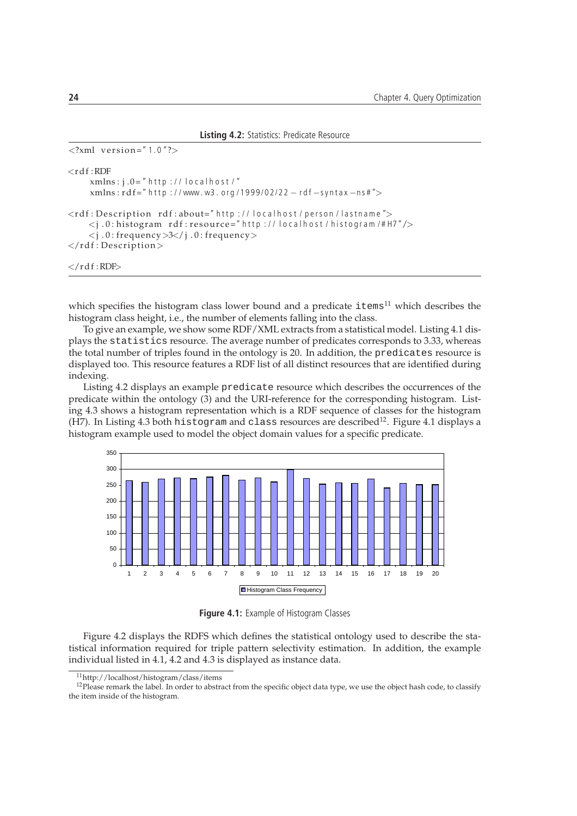| <b>Listing 4.2:</b> Statistics: Predicate Resource                                                                                                                                                                                                                                                                             |
|--------------------------------------------------------------------------------------------------------------------------------------------------------------------------------------------------------------------------------------------------------------------------------------------------------------------------------|
| $\langle 2 \times 1 \rangle$ version="1.0"?>                                                                                                                                                                                                                                                                                   |
| $<$ rdf:RDF<br>$xmlns:j.0="http://localhost/"$<br>$xmlns: rdf="http://www.w3. org/1999/02/22 - rdf-syntax-ns#">$                                                                                                                                                                                                               |
| <rdf:description rdf:about="http://localhost/person/lastname"><br/><math>\langle i.0:</math> histogram rdf: resource=" http://localhost/histogram/#H7"/&gt;<br/><math>\langle</math>j.0: frequency &gt;3<math>\langle</math>j.0: frequency &gt;<br/><math>\langle</math> rdf : Description <math>&gt;</math></rdf:description> |
| $\langle$ /rdf:RDF $\rangle$                                                                                                                                                                                                                                                                                                   |

which specifies the histogram class lower bound and a predicate  $i$ tems $i$ <sup>11</sup> which describes the histogram class height, i.e., the number of elements falling into the class.

To give an example, we show some RDF/XML extracts from a statistical model. Listing 4.1 displays the statistics resource. The average number of predicates corresponds to 3.33, whereas the total number of triples found in the ontology is 20. In addition, the predicates resource is displayed too. This resource features a RDF list of all distinct resources that are identified during indexing.

Listing 4.2 displays an example predicate resource which describes the occurrences of the predicate within the ontology (3) and the URI-reference for the corresponding histogram. Listing 4.3 shows a histogram representation which is a RDF sequence of classes for the histogram (H7). In Listing 4.3 both histogram and class resources are described<sup>12</sup>. Figure 4.1 displays a histogram example used to model the object domain values for a specific predicate.



**Figure 4.1:** Example of Histogram Classes

Figure 4.2 displays the RDFS which defines the statistical ontology used to describe the statistical information required for triple pattern selectivity estimation. In addition, the example individual listed in 4.1, 4.2 and 4.3 is displayed as instance data.

<sup>11</sup>http://localhost/histogram/class/items

 $12$ Please remark the label. In order to abstract from the specific object data type, we use the object hash code, to classify the item inside of the histogram.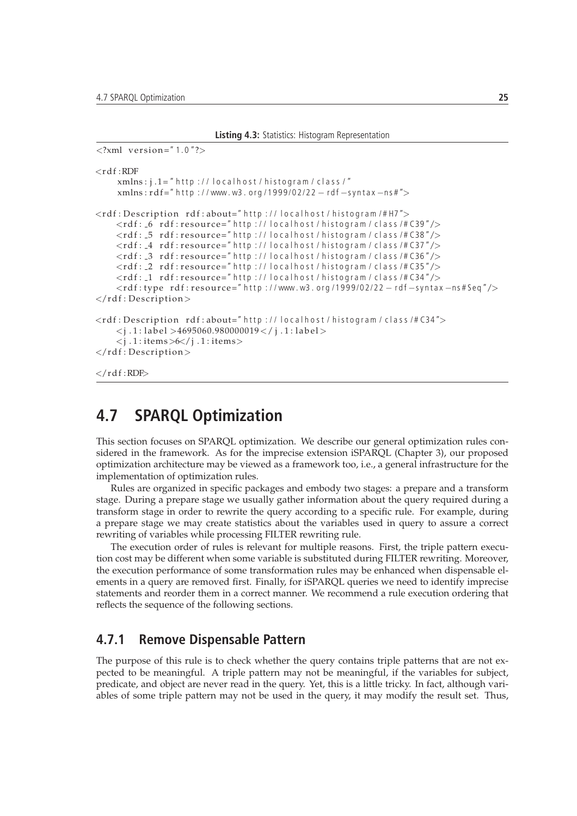```
Listing 4.3: Statistics: Histogram Representation
```

```
\langle 2 \times 1 \rangle version="1.0"?>
<rd f \cdotRDF
     xmlns: j.1=" http://localhost/histogram/class/"xmlns: rd f = " http://www.w3.org/1999/02/22 - rd f -syntax -ns#">
<rdf: Description rdf: about=" http://localhost/histogram/#H7">
    \ltrdf: _6 rdf: resource=" http://localhost/histogram/class/#C39"/>
    <rdf: _5 rdf:resource="http://localhost/histogram/class/#C38"/>
    <rdf: _4 rdf:resource="http://localhost/histogram/class/#C37"/>
    <rdf: _3 rdf:resource="http://localhost/histogram/class/#C36"/>
    \langle \text{rdf} : \text{-}2 \text{ rdf} : \text{resource} = \text{"http://localhost/histogram/class/+C35"}/\rangle\ltrdf: _1 rdf:resource="http://localhost/histogram/class/#C34"/>
    <rdf:type rdf:resource=" http://www.w3.org/1999/02/22 - rdf-syntax -ns#Seq"/>
\langlerdf: Description>
<rdf: Description rdf: about=" http://localhost/histogram/class/#C34">
    \langle i. 1 : label >4695060.980000019\langle i. 1 : label >
     <j . 1 : i tems>6</ j . 1 : i tems>
\langlerdf: Description>
\langlerdf:RDF>
```
## **4.7 SPARQL Optimization**

This section focuses on SPARQL optimization. We describe our general optimization rules considered in the framework. As for the imprecise extension iSPARQL (Chapter 3), our proposed optimization architecture may be viewed as a framework too, i.e., a general infrastructure for the implementation of optimization rules.

Rules are organized in specific packages and embody two stages: a prepare and a transform stage. During a prepare stage we usually gather information about the query required during a transform stage in order to rewrite the query according to a specific rule. For example, during a prepare stage we may create statistics about the variables used in query to assure a correct rewriting of variables while processing FILTER rewriting rule.

The execution order of rules is relevant for multiple reasons. First, the triple pattern execution cost may be different when some variable is substituted during FILTER rewriting. Moreover, the execution performance of some transformation rules may be enhanced when dispensable elements in a query are removed first. Finally, for iSPARQL queries we need to identify imprecise statements and reorder them in a correct manner. We recommend a rule execution ordering that reflects the sequence of the following sections.

## **4.7.1 Remove Dispensable Pattern**

The purpose of this rule is to check whether the query contains triple patterns that are not expected to be meaningful. A triple pattern may not be meaningful, if the variables for subject, predicate, and object are never read in the query. Yet, this is a little tricky. In fact, although variables of some triple pattern may not be used in the query, it may modify the result set. Thus,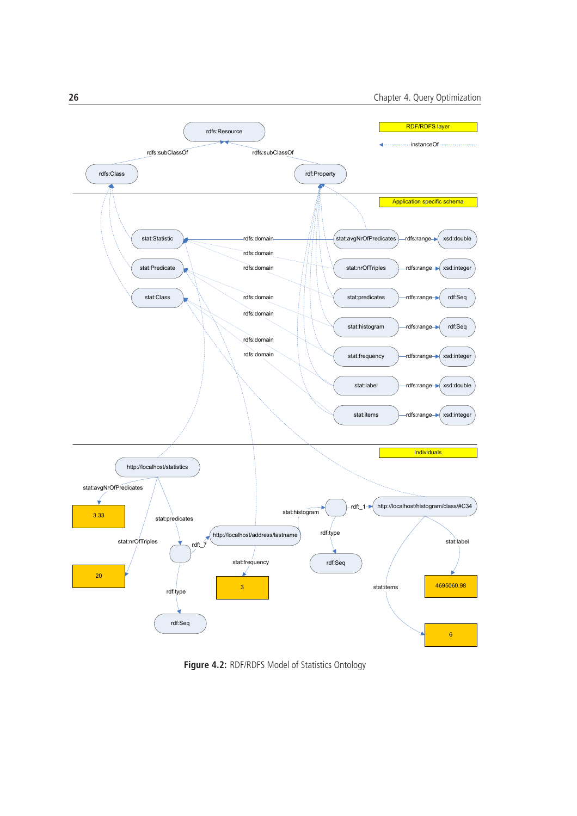

**Figure 4.2:** RDF/RDFS Model of Statistics Ontology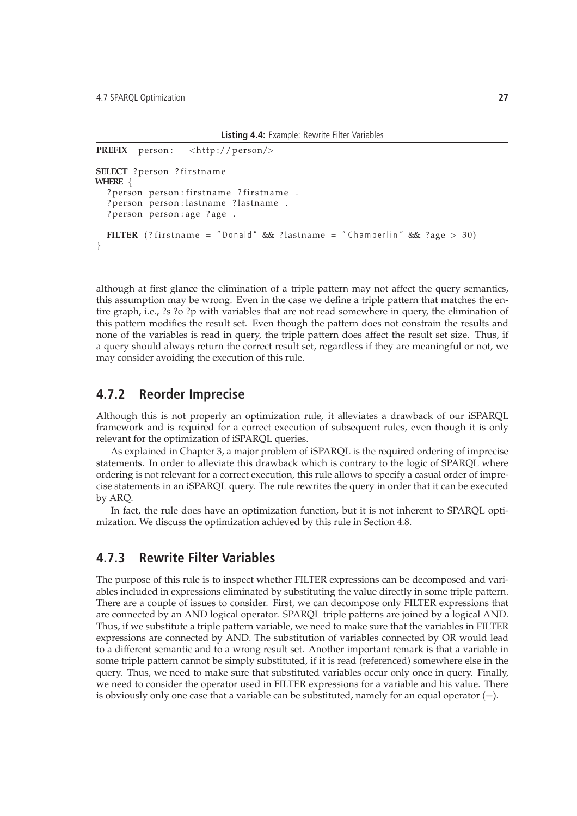```
Listing 4.4: Example: Rewrite Filter Variables
```

```
PREFIX person: <http://person/>
SELECT ? person ? firstname
WHERE {
  ? person person: firstname ? firstname .
  ? person person : lastname ? lastname .
  ? person person: age ? age .
  FILTER (? firstname = "Donald" && ?lastname = "Chamberlin" &\& ?age > 30)
}
```
although at first glance the elimination of a triple pattern may not affect the query semantics, this assumption may be wrong. Even in the case we define a triple pattern that matches the entire graph, i.e., ?s ?o ?p with variables that are not read somewhere in query, the elimination of this pattern modifies the result set. Even though the pattern does not constrain the results and none of the variables is read in query, the triple pattern does affect the result set size. Thus, if a query should always return the correct result set, regardless if they are meaningful or not, we may consider avoiding the execution of this rule.

### **4.7.2 Reorder Imprecise**

Although this is not properly an optimization rule, it alleviates a drawback of our iSPARQL framework and is required for a correct execution of subsequent rules, even though it is only relevant for the optimization of iSPARQL queries.

As explained in Chapter 3, a major problem of iSPARQL is the required ordering of imprecise statements. In order to alleviate this drawback which is contrary to the logic of SPARQL where ordering is not relevant for a correct execution, this rule allows to specify a casual order of imprecise statements in an iSPARQL query. The rule rewrites the query in order that it can be executed by ARQ.

In fact, the rule does have an optimization function, but it is not inherent to SPARQL optimization. We discuss the optimization achieved by this rule in Section 4.8.

#### **4.7.3 Rewrite Filter Variables**

The purpose of this rule is to inspect whether FILTER expressions can be decomposed and variables included in expressions eliminated by substituting the value directly in some triple pattern. There are a couple of issues to consider. First, we can decompose only FILTER expressions that are connected by an AND logical operator. SPARQL triple patterns are joined by a logical AND. Thus, if we substitute a triple pattern variable, we need to make sure that the variables in FILTER expressions are connected by AND. The substitution of variables connected by OR would lead to a different semantic and to a wrong result set. Another important remark is that a variable in some triple pattern cannot be simply substituted, if it is read (referenced) somewhere else in the query. Thus, we need to make sure that substituted variables occur only once in query. Finally, we need to consider the operator used in FILTER expressions for a variable and his value. There is obviously only one case that a variable can be substituted, namely for an equal operator  $(=)$ .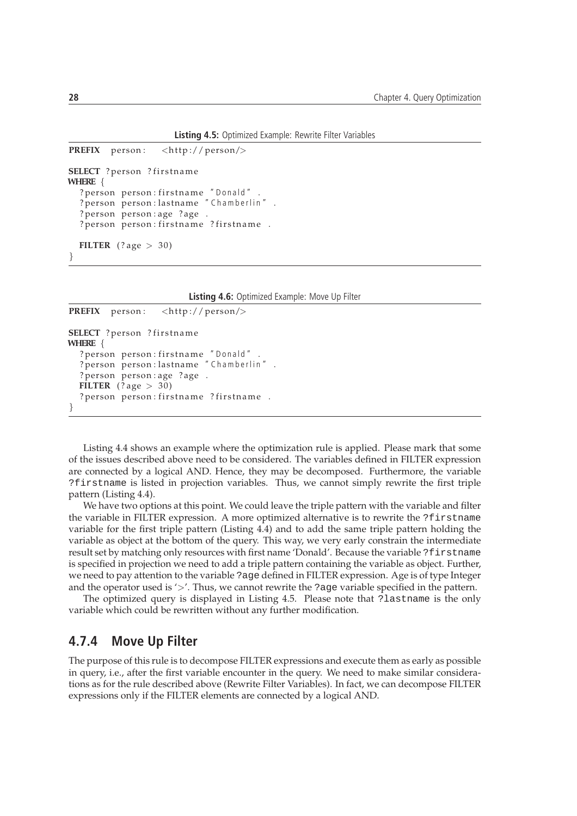**Listing 4.5:** Optimized Example: Rewrite Filter Variables

```
PREFIX person: <http://person/>
SELECT ? person ? firstname
WHERE {
  ? person person: firstname "Donald".
  ? person person : lastname "Chamberlin"
  ? person person : age ? age .
  ? person person : firstname ? firstname .
  FILTER (2 \text{ age} > 30)}
```
**Listing 4.6:** Optimized Example: Move Up Filter

```
PREFIX person: <http://person/>
SELECT ? person ? firstname
WHERE {
  ? person person : firstname "Donald".
  ? person person : lastname "Chamberlin".
  ? person person : age ? age .
  FILTER (? age > 30)
  ? person person : firstname ? firstname .
}
```
Listing 4.4 shows an example where the optimization rule is applied. Please mark that some of the issues described above need to be considered. The variables defined in FILTER expression are connected by a logical AND. Hence, they may be decomposed. Furthermore, the variable ?firstname is listed in projection variables. Thus, we cannot simply rewrite the first triple pattern (Listing 4.4).

We have two options at this point. We could leave the triple pattern with the variable and filter the variable in FILTER expression. A more optimized alternative is to rewrite the ?firstname variable for the first triple pattern (Listing 4.4) and to add the same triple pattern holding the variable as object at the bottom of the query. This way, we very early constrain the intermediate result set by matching only resources with first name 'Donald'. Because the variable ?firstname is specified in projection we need to add a triple pattern containing the variable as object. Further, we need to pay attention to the variable ?age defined in FILTER expression. Age is of type Integer and the operator used is '>'. Thus, we cannot rewrite the ?age variable specified in the pattern.

The optimized query is displayed in Listing 4.5. Please note that ?lastname is the only variable which could be rewritten without any further modification.

#### **4.7.4 Move Up Filter**

The purpose of this rule is to decompose FILTER expressions and execute them as early as possible in query, i.e., after the first variable encounter in the query. We need to make similar considerations as for the rule described above (Rewrite Filter Variables). In fact, we can decompose FILTER expressions only if the FILTER elements are connected by a logical AND.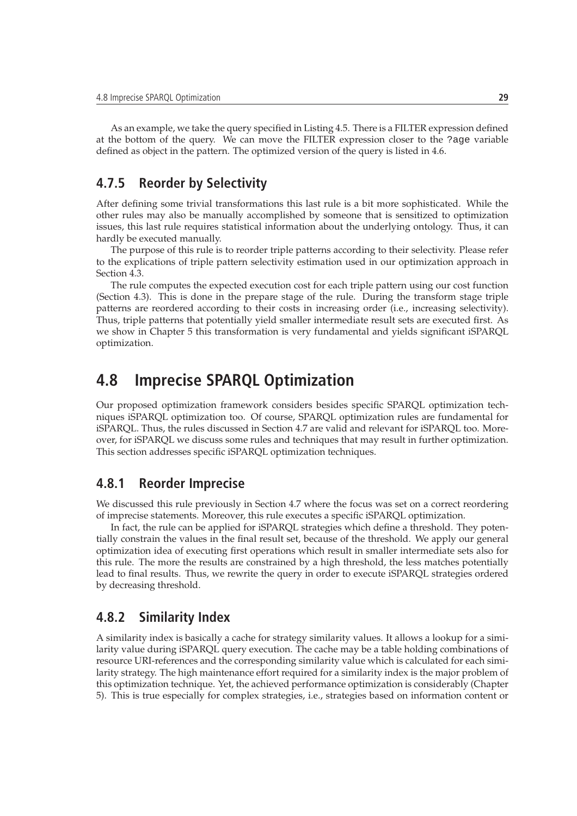As an example, we take the query specified in Listing 4.5. There is a FILTER expression defined at the bottom of the query. We can move the FILTER expression closer to the ?age variable defined as object in the pattern. The optimized version of the query is listed in 4.6.

## **4.7.5 Reorder by Selectivity**

After defining some trivial transformations this last rule is a bit more sophisticated. While the other rules may also be manually accomplished by someone that is sensitized to optimization issues, this last rule requires statistical information about the underlying ontology. Thus, it can hardly be executed manually.

The purpose of this rule is to reorder triple patterns according to their selectivity. Please refer to the explications of triple pattern selectivity estimation used in our optimization approach in Section 4.3.

The rule computes the expected execution cost for each triple pattern using our cost function (Section 4.3). This is done in the prepare stage of the rule. During the transform stage triple patterns are reordered according to their costs in increasing order (i.e., increasing selectivity). Thus, triple patterns that potentially yield smaller intermediate result sets are executed first. As we show in Chapter 5 this transformation is very fundamental and yields significant iSPARQL optimization.

# **4.8 Imprecise SPARQL Optimization**

Our proposed optimization framework considers besides specific SPARQL optimization techniques iSPARQL optimization too. Of course, SPARQL optimization rules are fundamental for iSPARQL. Thus, the rules discussed in Section 4.7 are valid and relevant for iSPARQL too. Moreover, for iSPARQL we discuss some rules and techniques that may result in further optimization. This section addresses specific iSPARQL optimization techniques.

### **4.8.1 Reorder Imprecise**

We discussed this rule previously in Section 4.7 where the focus was set on a correct reordering of imprecise statements. Moreover, this rule executes a specific iSPARQL optimization.

In fact, the rule can be applied for iSPARQL strategies which define a threshold. They potentially constrain the values in the final result set, because of the threshold. We apply our general optimization idea of executing first operations which result in smaller intermediate sets also for this rule. The more the results are constrained by a high threshold, the less matches potentially lead to final results. Thus, we rewrite the query in order to execute iSPARQL strategies ordered by decreasing threshold.

#### **4.8.2 Similarity Index**

A similarity index is basically a cache for strategy similarity values. It allows a lookup for a similarity value during iSPARQL query execution. The cache may be a table holding combinations of resource URI-references and the corresponding similarity value which is calculated for each similarity strategy. The high maintenance effort required for a similarity index is the major problem of this optimization technique. Yet, the achieved performance optimization is considerably (Chapter 5). This is true especially for complex strategies, i.e., strategies based on information content or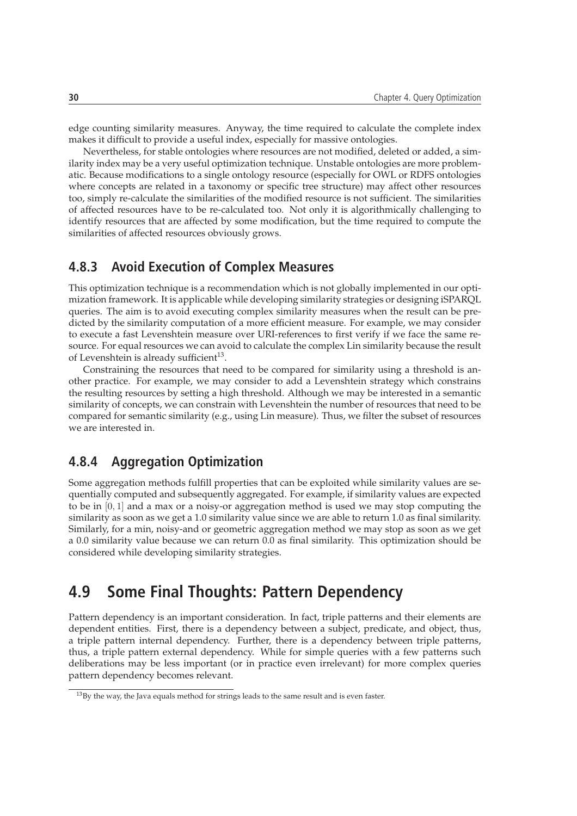edge counting similarity measures. Anyway, the time required to calculate the complete index makes it difficult to provide a useful index, especially for massive ontologies.

Nevertheless, for stable ontologies where resources are not modified, deleted or added, a similarity index may be a very useful optimization technique. Unstable ontologies are more problematic. Because modifications to a single ontology resource (especially for OWL or RDFS ontologies where concepts are related in a taxonomy or specific tree structure) may affect other resources too, simply re-calculate the similarities of the modified resource is not sufficient. The similarities of affected resources have to be re-calculated too. Not only it is algorithmically challenging to identify resources that are affected by some modification, but the time required to compute the similarities of affected resources obviously grows.

## **4.8.3 Avoid Execution of Complex Measures**

This optimization technique is a recommendation which is not globally implemented in our optimization framework. It is applicable while developing similarity strategies or designing iSPARQL queries. The aim is to avoid executing complex similarity measures when the result can be predicted by the similarity computation of a more efficient measure. For example, we may consider to execute a fast Levenshtein measure over URI-references to first verify if we face the same resource. For equal resources we can avoid to calculate the complex Lin similarity because the result of Levenshtein is already sufficient $^{13}$ .

Constraining the resources that need to be compared for similarity using a threshold is another practice. For example, we may consider to add a Levenshtein strategy which constrains the resulting resources by setting a high threshold. Although we may be interested in a semantic similarity of concepts, we can constrain with Levenshtein the number of resources that need to be compared for semantic similarity (e.g., using Lin measure). Thus, we filter the subset of resources we are interested in.

## **4.8.4 Aggregation Optimization**

Some aggregation methods fulfill properties that can be exploited while similarity values are sequentially computed and subsequently aggregated. For example, if similarity values are expected to be in [0, 1] and a max or a noisy-or aggregation method is used we may stop computing the similarity as soon as we get a 1.0 similarity value since we are able to return 1.0 as final similarity. Similarly, for a min, noisy-and or geometric aggregation method we may stop as soon as we get a 0.0 similarity value because we can return 0.0 as final similarity. This optimization should be considered while developing similarity strategies.

# **4.9 Some Final Thoughts: Pattern Dependency**

Pattern dependency is an important consideration. In fact, triple patterns and their elements are dependent entities. First, there is a dependency between a subject, predicate, and object, thus, a triple pattern internal dependency. Further, there is a dependency between triple patterns, thus, a triple pattern external dependency. While for simple queries with a few patterns such deliberations may be less important (or in practice even irrelevant) for more complex queries pattern dependency becomes relevant.

<sup>&</sup>lt;sup>13</sup>By the way, the Java equals method for strings leads to the same result and is even faster.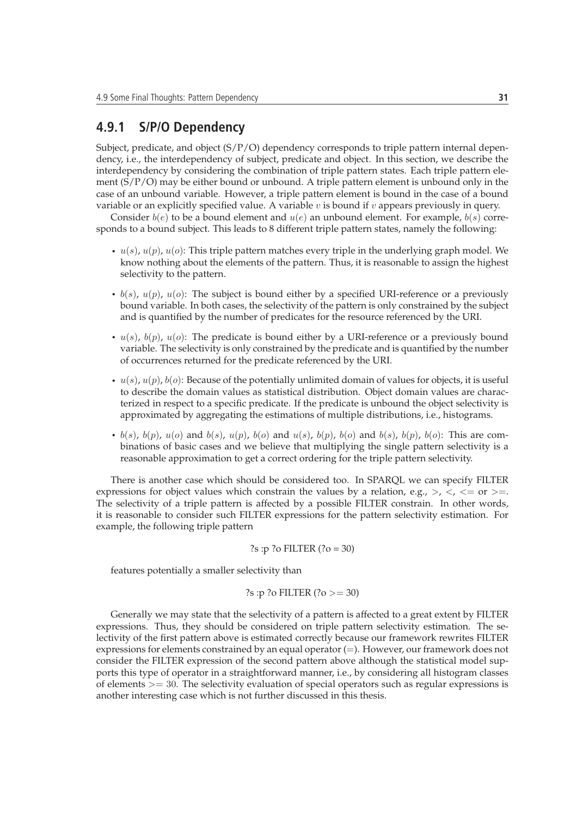#### **4.9.1 S/P/O Dependency**

Subject, predicate, and object  $(S/P/O)$  dependency corresponds to triple pattern internal dependency, i.e., the interdependency of subject, predicate and object. In this section, we describe the interdependency by considering the combination of triple pattern states. Each triple pattern element  $(S/P/O)$  may be either bound or unbound. A triple pattern element is unbound only in the case of an unbound variable. However, a triple pattern element is bound in the case of a bound variable or an explicitly specified value. A variable  $v$  is bound if  $v$  appears previously in query.

Consider  $b(e)$  to be a bound element and  $u(e)$  an unbound element. For example,  $b(s)$  corresponds to a bound subject. This leads to 8 different triple pattern states, namely the following:

- $u(s)$ ,  $u(p)$ ,  $u(o)$ : This triple pattern matches every triple in the underlying graph model. We know nothing about the elements of the pattern. Thus, it is reasonable to assign the highest selectivity to the pattern.
- $b(s)$ ,  $u(p)$ ,  $u(o)$ : The subject is bound either by a specified URI-reference or a previously bound variable. In both cases, the selectivity of the pattern is only constrained by the subject and is quantified by the number of predicates for the resource referenced by the URI.
- $u(s)$ ,  $b(p)$ ,  $u(o)$ : The predicate is bound either by a URI-reference or a previously bound variable. The selectivity is only constrained by the predicate and is quantified by the number of occurrences returned for the predicate referenced by the URI.
- $u(s)$ ,  $u(p)$ ,  $b(o)$ : Because of the potentially unlimited domain of values for objects, it is useful to describe the domain values as statistical distribution. Object domain values are characterized in respect to a specific predicate. If the predicate is unbound the object selectivity is approximated by aggregating the estimations of multiple distributions, i.e., histograms.
- $b(s)$ ,  $b(p)$ ,  $u(o)$  and  $b(s)$ ,  $u(p)$ ,  $b(o)$  and  $u(s)$ ,  $b(p)$ ,  $b(o)$  and  $b(s)$ ,  $b(p)$ ,  $b(o)$ : This are combinations of basic cases and we believe that multiplying the single pattern selectivity is a reasonable approximation to get a correct ordering for the triple pattern selectivity.

There is another case which should be considered too. In SPARQL we can specify FILTER expressions for object values which constrain the values by a relation, e.g.,  $>$ ,  $\lt$ ,  $\lt$  = or  $\gt$ =. The selectivity of a triple pattern is affected by a possible FILTER constrain. In other words, it is reasonable to consider such FILTER expressions for the pattern selectivity estimation. For example, the following triple pattern

?s :p ?o FILTER 
$$
(?o = 30)
$$

features potentially a smaller selectivity than

?s :p ?o FILTER 
$$
(?o >= 30)
$$

Generally we may state that the selectivity of a pattern is affected to a great extent by FILTER expressions. Thus, they should be considered on triple pattern selectivity estimation. The selectivity of the first pattern above is estimated correctly because our framework rewrites FILTER expressions for elements constrained by an equal operator  $(=)$ . However, our framework does not consider the FILTER expression of the second pattern above although the statistical model supports this type of operator in a straightforward manner, i.e., by considering all histogram classes of elements  $\geq$  30. The selectivity evaluation of special operators such as regular expressions is another interesting case which is not further discussed in this thesis.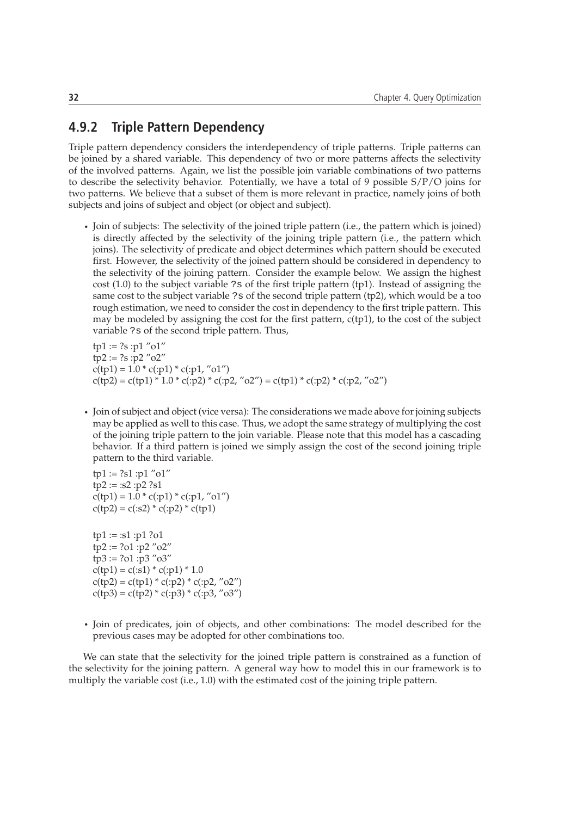## **4.9.2 Triple Pattern Dependency**

Triple pattern dependency considers the interdependency of triple patterns. Triple patterns can be joined by a shared variable. This dependency of two or more patterns affects the selectivity of the involved patterns. Again, we list the possible join variable combinations of two patterns to describe the selectivity behavior. Potentially, we have a total of 9 possible  $S/P/O$  joins for two patterns. We believe that a subset of them is more relevant in practice, namely joins of both subjects and joins of subject and object (or object and subject).

• Join of subjects: The selectivity of the joined triple pattern (i.e., the pattern which is joined) is directly affected by the selectivity of the joining triple pattern (i.e., the pattern which joins). The selectivity of predicate and object determines which pattern should be executed first. However, the selectivity of the joined pattern should be considered in dependency to the selectivity of the joining pattern. Consider the example below. We assign the highest cost (1.0) to the subject variable ?s of the first triple pattern (tp1). Instead of assigning the same cost to the subject variable ?s of the second triple pattern (tp2), which would be a too rough estimation, we need to consider the cost in dependency to the first triple pattern. This may be modeled by assigning the cost for the first pattern, c(tp1), to the cost of the subject variable ?s of the second triple pattern. Thus,

 $tp1 := ?s : p1 "o1"$  $tp2 := ?s : p2 "o2"$  $c(tp1) = 1.0 * c(:p1) * c(:p1, "o1")$  $c(tp2) = c(tp1) * 1.0 * c(:p2) * c(:p2, "o2") = c(tp1) * c(:p2) * c(:p2, "o2")$ 

• Join of subject and object (vice versa): The considerations we made above for joining subjects may be applied as well to this case. Thus, we adopt the same strategy of multiplying the cost of the joining triple pattern to the join variable. Please note that this model has a cascading behavior. If a third pattern is joined we simply assign the cost of the second joining triple pattern to the third variable.

 $tp1 := ?s1 : p1 "o1"$  $tp2 := :s2 : p2 ?s1$  $c(tp1) = 1.0 * c(:p1) * c(:p1, "o1")$  $c(tp2) = c(:s2) * c(:p2) * c(tp1)$ 

 $tp1 := :s1 : p1 ? o1$  $tp2 := ?o1 : p2 "o2"$  $tp3 := ?o1 : p3 "o3"$  $c(tp1) = c(:s1) * c(:p1) * 1.0$  $c(tp2) = c(tp1) * c(:p2) * c(:p2, "o2")$  $c(tp3) = c(tp2) * c(:p3) * c(:p3, "03")$ 

• Join of predicates, join of objects, and other combinations: The model described for the previous cases may be adopted for other combinations too.

We can state that the selectivity for the joined triple pattern is constrained as a function of the selectivity for the joining pattern. A general way how to model this in our framework is to multiply the variable cost (i.e., 1.0) with the estimated cost of the joining triple pattern.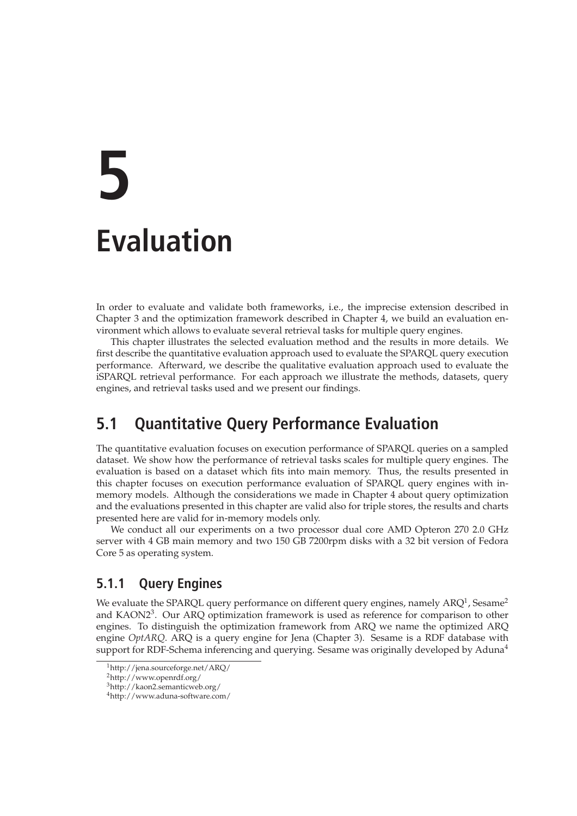# **5 Evaluation**

In order to evaluate and validate both frameworks, i.e., the imprecise extension described in Chapter 3 and the optimization framework described in Chapter 4, we build an evaluation environment which allows to evaluate several retrieval tasks for multiple query engines.

This chapter illustrates the selected evaluation method and the results in more details. We first describe the quantitative evaluation approach used to evaluate the SPARQL query execution performance. Afterward, we describe the qualitative evaluation approach used to evaluate the iSPARQL retrieval performance. For each approach we illustrate the methods, datasets, query engines, and retrieval tasks used and we present our findings.

# **5.1 Quantitative Query Performance Evaluation**

The quantitative evaluation focuses on execution performance of SPARQL queries on a sampled dataset. We show how the performance of retrieval tasks scales for multiple query engines. The evaluation is based on a dataset which fits into main memory. Thus, the results presented in this chapter focuses on execution performance evaluation of SPARQL query engines with inmemory models. Although the considerations we made in Chapter 4 about query optimization and the evaluations presented in this chapter are valid also for triple stores, the results and charts presented here are valid for in-memory models only.

We conduct all our experiments on a two processor dual core AMD Opteron 270 2.0 GHz server with 4 GB main memory and two 150 GB 7200rpm disks with a 32 bit version of Fedora Core 5 as operating system.

## **5.1.1 Query Engines**

We evaluate the SPARQL query performance on different query engines, namely ARQ<sup>1</sup>, Sesame<sup>2</sup> and KAON2<sup>3</sup>. Our ARQ optimization framework is used as reference for comparison to other engines. To distinguish the optimization framework from ARQ we name the optimized ARQ engine *OptARQ*. ARQ is a query engine for Jena (Chapter 3). Sesame is a RDF database with support for RDF-Schema inferencing and querying. Sesame was originally developed by Aduna<sup>4</sup>

<sup>1</sup>http://jena.sourceforge.net/ARQ/

<sup>2</sup>http://www.openrdf.org/

<sup>3</sup>http://kaon2.semanticweb.org/

<sup>4</sup>http://www.aduna-software.com/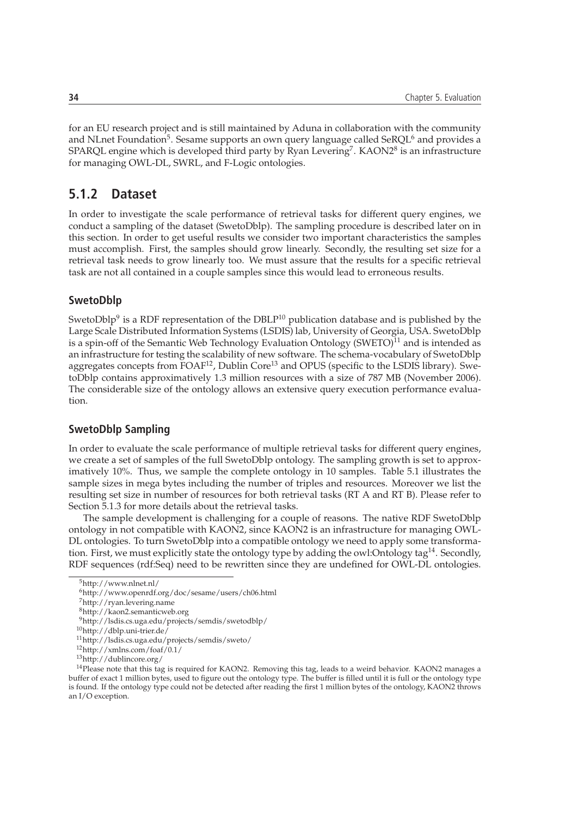for an EU research project and is still maintained by Aduna in collaboration with the community and NLnet Foundation $^5$ . Sesame supports an own query language called SeRQL $^6$  and provides a SPARQL engine which is developed third party by Ryan Levering<sup>7</sup>. KAON2 $^8$  is an infrastructure for managing OWL-DL, SWRL, and F-Logic ontologies.

### **5.1.2 Dataset**

In order to investigate the scale performance of retrieval tasks for different query engines, we conduct a sampling of the dataset (SwetoDblp). The sampling procedure is described later on in this section. In order to get useful results we consider two important characteristics the samples must accomplish. First, the samples should grow linearly. Secondly, the resulting set size for a retrieval task needs to grow linearly too. We must assure that the results for a specific retrieval task are not all contained in a couple samples since this would lead to erroneous results.

#### **SwetoDblp**

SwetoDblp $9$  is a RDF representation of the DBLP $^{10}$  publication database and is published by the Large Scale Distributed Information Systems (LSDIS) lab, University of Georgia, USA. SwetoDblp is a spin-off of the Semantic Web Technology Evaluation Ontology  $(SWETO)^{11}$  and is intended as an infrastructure for testing the scalability of new software. The schema-vocabulary of SwetoDblp aggregates concepts from  $FOAF^{12}$ , Dublin Core<sup>13</sup> and OPUS (specific to the LSDIS library). SwetoDblp contains approximatively 1.3 million resources with a size of 787 MB (November 2006). The considerable size of the ontology allows an extensive query execution performance evaluation.

#### **SwetoDblp Sampling**

In order to evaluate the scale performance of multiple retrieval tasks for different query engines, we create a set of samples of the full SwetoDblp ontology. The sampling growth is set to approximatively 10%. Thus, we sample the complete ontology in 10 samples. Table 5.1 illustrates the sample sizes in mega bytes including the number of triples and resources. Moreover we list the resulting set size in number of resources for both retrieval tasks (RT A and RT B). Please refer to Section 5.1.3 for more details about the retrieval tasks.

The sample development is challenging for a couple of reasons. The native RDF SwetoDblp ontology in not compatible with KAON2, since KAON2 is an infrastructure for managing OWL-DL ontologies. To turn SwetoDblp into a compatible ontology we need to apply some transformation. First, we must explicitly state the ontology type by adding the owl: Ontology tag<sup>14</sup>. Secondly, RDF sequences (rdf:Seq) need to be rewritten since they are undefined for OWL-DL ontologies.

<sup>5</sup>http://www.nlnet.nl/

<sup>6</sup>http://www.openrdf.org/doc/sesame/users/ch06.html

<sup>7</sup>http://ryan.levering.name

<sup>8</sup>http://kaon2.semanticweb.org

<sup>9</sup>http://lsdis.cs.uga.edu/projects/semdis/swetodblp/

<sup>10</sup>http://dblp.uni-trier.de/

<sup>11</sup>http://lsdis.cs.uga.edu/projects/semdis/sweto/

<sup>12</sup>http://xmlns.com/foaf/0.1/

<sup>13</sup>http://dublincore.org/

<sup>&</sup>lt;sup>14</sup>Please note that this tag is required for KAON2. Removing this tag, leads to a weird behavior. KAON2 manages a buffer of exact 1 million bytes, used to figure out the ontology type. The buffer is filled until it is full or the ontology type is found. If the ontology type could not be detected after reading the first 1 million bytes of the ontology, KAON2 throws an I/O exception.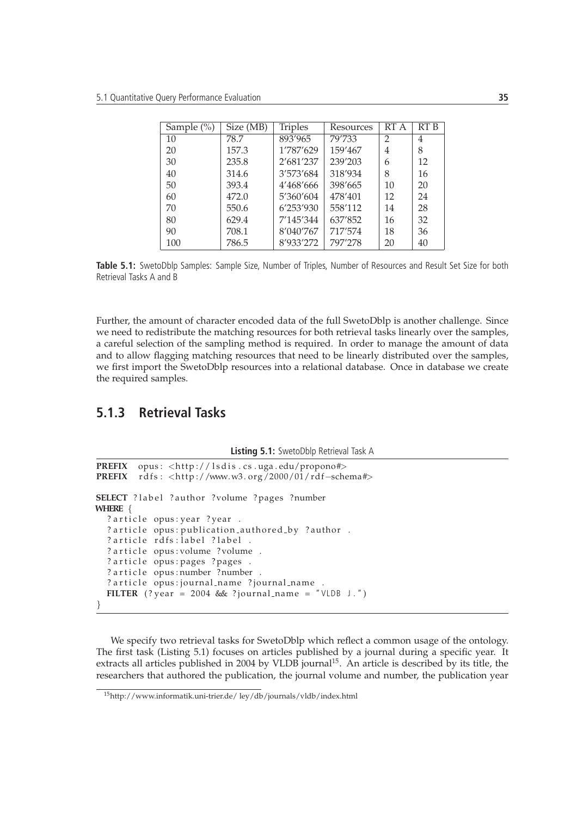| Sample $(\% )$ | Size (MB) | <b>Triples</b> | Resources | RT A           | RT <sub>B</sub> |
|----------------|-----------|----------------|-----------|----------------|-----------------|
| 10             | 78.7      | 893'965        | 79'733    | $\mathfrak{D}$ | 4               |
| 20             | 157.3     | 1'787'629      | 159'467   | 4              | 8               |
| 30             | 235.8     | 2'681'237      | 239'203   | 6              | 12              |
| 40             | 314.6     | 3'573'684      | 318'934   | 8              | 16              |
| 50             | 393.4     | 4'468'666      | 398'665   | 10             | 20              |
| 60             | 472.0     | 5'360'604      | 478'401   | 12             | 24              |
| 70             | 550.6     | 6'253'930      | 558'112   | 14             | 28              |
| 80             | 629.4     | 7'145'344      | 637'852   | 16             | 32              |
| 90             | 708.1     | 8'040'767      | 717'574   | 18             | 36              |
| 100            | 786.5     | 8'933'272      | 797'278   | 20             | 40              |

Table 5.1: SwetoDblp Samples: Sample Size, Number of Triples, Number of Resources and Result Set Size for both Retrieval Tasks A and B

Further, the amount of character encoded data of the full SwetoDblp is another challenge. Since we need to redistribute the matching resources for both retrieval tasks linearly over the samples, a careful selection of the sampling method is required. In order to manage the amount of data and to allow flagging matching resources that need to be linearly distributed over the samples, we first import the SwetoDblp resources into a relational database. Once in database we create the required samples.

## **5.1.3 Retrieval Tasks**

**Listing 5.1:** SwetoDblp Retrieval Task A

```
PREFIX opus: <http://lsdis.cs.uga.edu/propono#>
PREFIX rdfs: <http://www.w3.org/2000/01/rdf-schema#>
SELECT ? label ? author ? volume ? pages ? number
WHERE {
  ? article opus: year ? year .
  ? article opus: publication_authored_by ?author .
  ? article rdfs: label ? label .
  ? article opus: volume ?volume .
  ? article opus: pages ? pages .
  ? article opus: number ? number .
  ? article opus: journal_name ? journal_name .
  FILTER (? year = 2004 & ? journal name = "VLDB J.")
}
```
We specify two retrieval tasks for SwetoDblp which reflect a common usage of the ontology. The first task (Listing 5.1) focuses on articles published by a journal during a specific year. It extracts all articles published in 2004 by VLDB journal<sup>15</sup>. An article is described by its title, the researchers that authored the publication, the journal volume and number, the publication year

<sup>15</sup>http://www.informatik.uni-trier.de/ ley/db/journals/vldb/index.html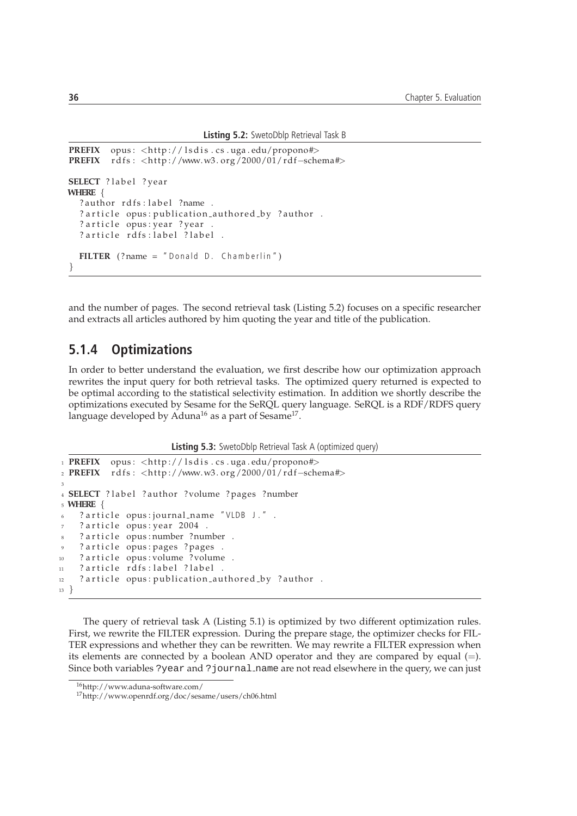```
Listing 5.2: SwetoDblp Retrieval Task B
```

```
PREFIX opus: <http://lsdis.cs.uga.edu/propono#>
PREFIX rdfs: <http://www.w3.org/2000/01/rdf-schema#>
SELECT ? label ? year
WHERE {
  ? author rdfs: label ?name .
  ? article opus: publication_authored_by ?author .
  ? article opus: year ? year .
  ? article rdfs: label ? label .
  FILTER (?name = " Donald D. Chamberlin")
}
```
and the number of pages. The second retrieval task (Listing 5.2) focuses on a specific researcher and extracts all articles authored by him quoting the year and title of the publication.

#### **5.1.4 Optimizations**

In order to better understand the evaluation, we first describe how our optimization approach rewrites the input query for both retrieval tasks. The optimized query returned is expected to be optimal according to the statistical selectivity estimation. In addition we shortly describe the optimizations executed by Sesame for the SeRQL query language. SeRQL is a RDF/RDFS query language developed by Aduna $^{16}$  as a part of Sesame $^{17}$ .

**Listing 5.3:** SwetoDblp Retrieval Task A (optimized query)

```
1 PREFIX opus: <http://lsdis.cs.uga.edu/propono#>
2 PREFIX rdfs: <http://www.w3.org/2000/01/rdf-schema#>
3
4 SELECT ? label ? author ? volume ? pages ? number
5 WHERE {
6 ? article opus: journal_name "VLDB J.".
   ? article opus: year 2004.
8 ? article opus: number ? number .
   ? article opus: pages ? pages .
10 ? article opus: volume ?volume.
11 ? article rdfs: label ? label .
12 ? article opus: publication_authored_by ? author.
13 }
```
The query of retrieval task A (Listing 5.1) is optimized by two different optimization rules. First, we rewrite the FILTER expression. During the prepare stage, the optimizer checks for FIL-TER expressions and whether they can be rewritten. We may rewrite a FILTER expression when its elements are connected by a boolean AND operator and they are compared by equal (=). Since both variables ?year and ?journal name are not read elsewhere in the query, we can just

<sup>16</sup>http://www.aduna-software.com/

<sup>17</sup>http://www.openrdf.org/doc/sesame/users/ch06.html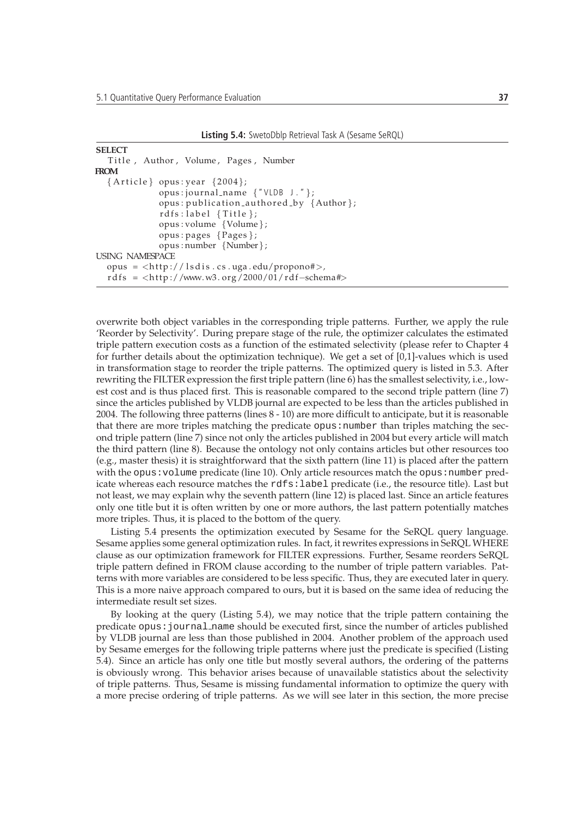**Listing 5.4:** SwetoDblp Retrieval Task A (Sesame SeRQL)

```
SELECT
  Title, Author, Volume, Pages, Number
FROM
  \{Article\} opus: year \{2004\};opus : journal name {" VLDB J . " } ;
              opus : publication_authored_by {Author};
              rdfs:label{thm:} { Title };
              opus : volume {Volume } ;
              opus : pages {Pages } ;
              opus : number {Number} ;
USING NAMESPACE
  opus = <h t tp :// l s d i s . c s . uga . edu/propono#>,
  rd f s = <http://www.w3.org/2000/01/rdf-schema#>
```
overwrite both object variables in the corresponding triple patterns. Further, we apply the rule 'Reorder by Selectivity'. During prepare stage of the rule, the optimizer calculates the estimated triple pattern execution costs as a function of the estimated selectivity (please refer to Chapter 4 for further details about the optimization technique). We get a set of [0,1]-values which is used in transformation stage to reorder the triple patterns. The optimized query is listed in 5.3. After rewriting the FILTER expression the first triple pattern (line 6) has the smallest selectivity, i.e., lowest cost and is thus placed first. This is reasonable compared to the second triple pattern (line 7) since the articles published by VLDB journal are expected to be less than the articles published in 2004. The following three patterns (lines 8 - 10) are more difficult to anticipate, but it is reasonable that there are more triples matching the predicate opus: number than triples matching the second triple pattern (line 7) since not only the articles published in 2004 but every article will match the third pattern (line 8). Because the ontology not only contains articles but other resources too (e.g., master thesis) it is straightforward that the sixth pattern (line 11) is placed after the pattern with the opus: volume predicate (line 10). Only article resources match the opus: number predicate whereas each resource matches the rdfs:label predicate (i.e., the resource title). Last but not least, we may explain why the seventh pattern (line 12) is placed last. Since an article features only one title but it is often written by one or more authors, the last pattern potentially matches more triples. Thus, it is placed to the bottom of the query.

Listing 5.4 presents the optimization executed by Sesame for the SeRQL query language. Sesame applies some general optimization rules. In fact, it rewrites expressions in SeRQL WHERE clause as our optimization framework for FILTER expressions. Further, Sesame reorders SeRQL triple pattern defined in FROM clause according to the number of triple pattern variables. Patterns with more variables are considered to be less specific. Thus, they are executed later in query. This is a more naive approach compared to ours, but it is based on the same idea of reducing the intermediate result set sizes.

By looking at the query (Listing 5.4), we may notice that the triple pattern containing the predicate opus:journal name should be executed first, since the number of articles published by VLDB journal are less than those published in 2004. Another problem of the approach used by Sesame emerges for the following triple patterns where just the predicate is specified (Listing 5.4). Since an article has only one title but mostly several authors, the ordering of the patterns is obviously wrong. This behavior arises because of unavailable statistics about the selectivity of triple patterns. Thus, Sesame is missing fundamental information to optimize the query with a more precise ordering of triple patterns. As we will see later in this section, the more precise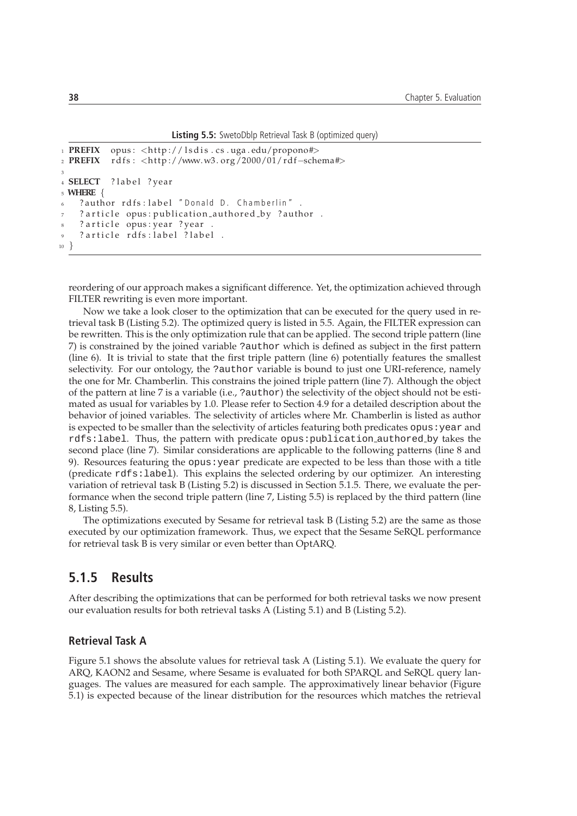**Listing 5.5:** SwetoDblp Retrieval Task B (optimized query)

```
1 PREFIX opus: <http://lsdis.cs.uga.edu/propono#>
2 PREFIX r d f s : <h t tp ://www.w3 . org /2000/01/ rd f−schema#>
3
4 SELECT ? label ? year
5 WHERE {
    ? author rdfs: label "Donald D. Chamberlin".
    ? article opus: publication_authored_by ?author .
    ? article opus: year ? year
    ? article rdfs: label ? label .
10 }
```
reordering of our approach makes a significant difference. Yet, the optimization achieved through FILTER rewriting is even more important.

Now we take a look closer to the optimization that can be executed for the query used in retrieval task B (Listing 5.2). The optimized query is listed in 5.5. Again, the FILTER expression can be rewritten. This is the only optimization rule that can be applied. The second triple pattern (line 7) is constrained by the joined variable ?author which is defined as subject in the first pattern (line 6). It is trivial to state that the first triple pattern (line 6) potentially features the smallest selectivity. For our ontology, the ?author variable is bound to just one URI-reference, namely the one for Mr. Chamberlin. This constrains the joined triple pattern (line 7). Although the object of the pattern at line 7 is a variable (i.e., ?author) the selectivity of the object should not be estimated as usual for variables by 1.0. Please refer to Section 4.9 for a detailed description about the behavior of joined variables. The selectivity of articles where Mr. Chamberlin is listed as author is expected to be smaller than the selectivity of articles featuring both predicates opus: year and rdfs:label. Thus, the pattern with predicate opus:publication authored by takes the second place (line 7). Similar considerations are applicable to the following patterns (line 8 and 9). Resources featuring the opus:year predicate are expected to be less than those with a title (predicate rdfs:label). This explains the selected ordering by our optimizer. An interesting variation of retrieval task B (Listing 5.2) is discussed in Section 5.1.5. There, we evaluate the performance when the second triple pattern (line 7, Listing 5.5) is replaced by the third pattern (line 8, Listing 5.5).

The optimizations executed by Sesame for retrieval task B (Listing 5.2) are the same as those executed by our optimization framework. Thus, we expect that the Sesame SeRQL performance for retrieval task B is very similar or even better than OptARQ.

## **5.1.5 Results**

After describing the optimizations that can be performed for both retrieval tasks we now present our evaluation results for both retrieval tasks A (Listing 5.1) and B (Listing 5.2).

#### **Retrieval Task A**

Figure 5.1 shows the absolute values for retrieval task A (Listing 5.1). We evaluate the query for ARQ, KAON2 and Sesame, where Sesame is evaluated for both SPARQL and SeRQL query languages. The values are measured for each sample. The approximatively linear behavior (Figure 5.1) is expected because of the linear distribution for the resources which matches the retrieval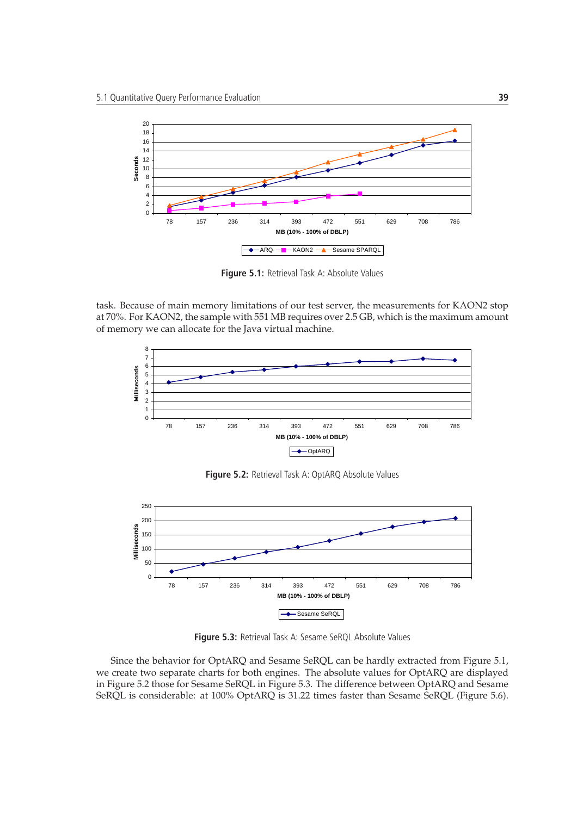

**Figure 5.1:** Retrieval Task A: Absolute Values

task. Because of main memory limitations of our test server, the measurements for KAON2 stop at 70%. For KAON2, the sample with 551 MB requires over 2.5 GB, which is the maximum amount of memory we can allocate for the Java virtual machine.



**Figure 5.2:** Retrieval Task A: OptARQ Absolute Values



**Figure 5.3:** Retrieval Task A: Sesame SeRQL Absolute Values

Since the behavior for OptARQ and Sesame SeRQL can be hardly extracted from Figure 5.1, we create two separate charts for both engines. The absolute values for OptARQ are displayed in Figure 5.2 those for Sesame SeRQL in Figure 5.3. The difference between OptARQ and Sesame SeRQL is considerable: at 100% OptARQ is 31.22 times faster than Sesame SeRQL (Figure 5.6).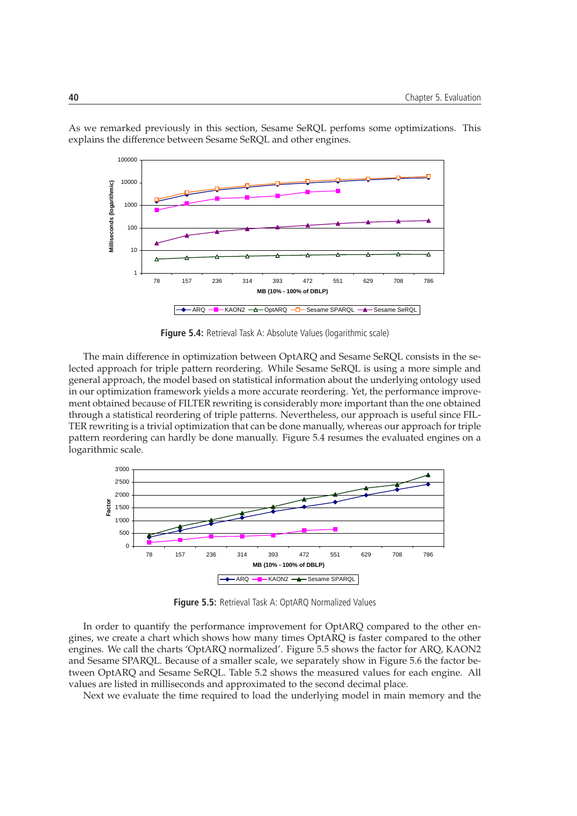

As we remarked previously in this section, Sesame SeRQL perfoms some optimizations. This explains the difference between Sesame SeRQL and other engines.

**Figure 5.4:** Retrieval Task A: Absolute Values (logarithmic scale)

The main difference in optimization between OptARQ and Sesame SeRQL consists in the selected approach for triple pattern reordering. While Sesame SeRQL is using a more simple and general approach, the model based on statistical information about the underlying ontology used in our optimization framework yields a more accurate reordering. Yet, the performance improvement obtained because of FILTER rewriting is considerably more important than the one obtained through a statistical reordering of triple patterns. Nevertheless, our approach is useful since FIL-TER rewriting is a trivial optimization that can be done manually, whereas our approach for triple pattern reordering can hardly be done manually. Figure 5.4 resumes the evaluated engines on a logarithmic scale.



**Figure 5.5:** Retrieval Task A: OptARQ Normalized Values

In order to quantify the performance improvement for OptARQ compared to the other engines, we create a chart which shows how many times OptARQ is faster compared to the other engines. We call the charts 'OptARQ normalized'. Figure 5.5 shows the factor for ARQ, KAON2 and Sesame SPARQL. Because of a smaller scale, we separately show in Figure 5.6 the factor between OptARQ and Sesame SeRQL. Table 5.2 shows the measured values for each engine. All values are listed in milliseconds and approximated to the second decimal place.

Next we evaluate the time required to load the underlying model in main memory and the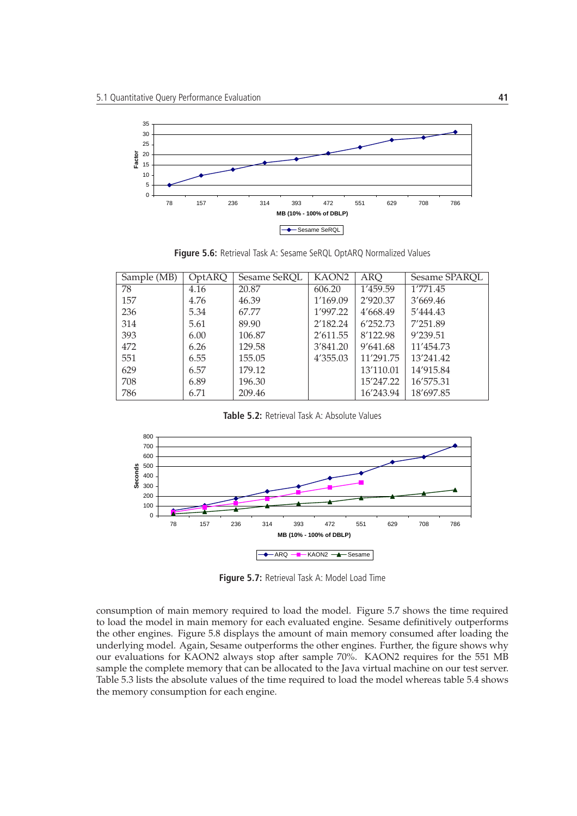

**Figure 5.6:** Retrieval Task A: Sesame SeRQL OptARQ Normalized Values

| Sample (MB) | OptARQ | Sesame SeRQL | KAON <sub>2</sub> | <b>ARQ</b> | Sesame SPARQL |
|-------------|--------|--------------|-------------------|------------|---------------|
| 78          | 4.16   | 20.87        | 606.20            | 1'459.59   | 1′771.45      |
| 157         | 4.76   | 46.39        | 1'169.09          | 2'920.37   | 3'669.46      |
| 236         | 5.34   | 67.77        | 1'997.22          | 4'668.49   | 5'444.43      |
| 314         | 5.61   | 89.90        | 2'182.24          | 6'252.73   | 7'251.89      |
| 393         | 6.00   | 106.87       | 2'611.55          | 8'122.98   | 9'239.51      |
| 472         | 6.26   | 129.58       | 3'841.20          | 9'641.68   | 11'454.73     |
| 551         | 6.55   | 155.05       | 4'355.03          | 11'291.75  | 13'241.42     |
| 629         | 6.57   | 179.12       |                   | 13'110.01  | 14'915.84     |
| 708         | 6.89   | 196.30       |                   | 15'247.22  | 16'575.31     |
| 786         | 6.71   | 209.46       |                   | 16'243.94  | 18'697.85     |

**Table 5.2:** Retrieval Task A: Absolute Values



**Figure 5.7:** Retrieval Task A: Model Load Time

consumption of main memory required to load the model. Figure 5.7 shows the time required to load the model in main memory for each evaluated engine. Sesame definitively outperforms the other engines. Figure 5.8 displays the amount of main memory consumed after loading the underlying model. Again, Sesame outperforms the other engines. Further, the figure shows why our evaluations for KAON2 always stop after sample 70%. KAON2 requires for the 551 MB sample the complete memory that can be allocated to the Java virtual machine on our test server. Table 5.3 lists the absolute values of the time required to load the model whereas table 5.4 shows the memory consumption for each engine.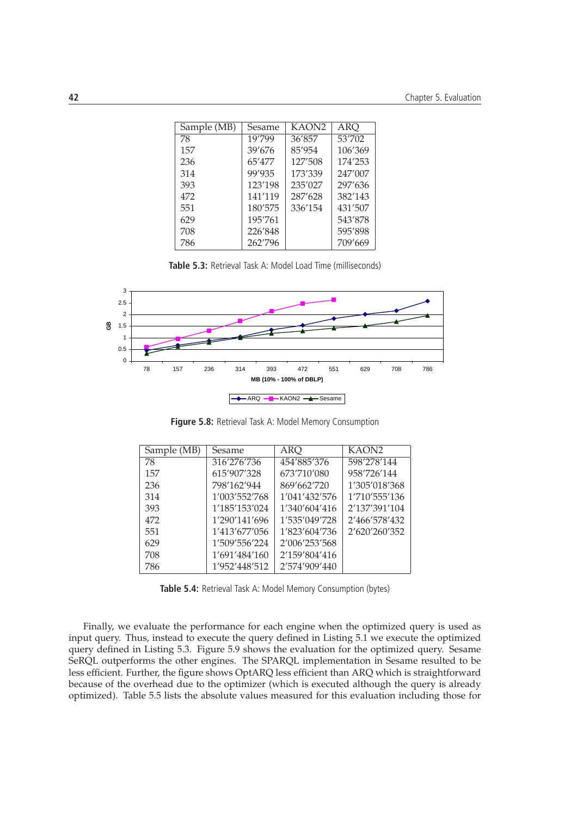| Sample (MB) | Sesame  | KAON <sub>2</sub> | <b>ARQ</b> |
|-------------|---------|-------------------|------------|
| 78          | 19'799  | 36'857            | 53'702     |
| 157         | 39'676  | 85'954            | 106'369    |
| 236         | 65'477  | 127'508           | 174'253    |
| 314         | 99'935  | 173'339           | 247'007    |
| 393         | 123'198 | 235'027           | 297'636    |
| 472         | 141'119 | 287'628           | 382'143    |
| 551         | 180'575 | 336'154           | 431'507    |
| 629         | 195'761 |                   | 543'878    |
| 708         | 226'848 |                   | 595'898    |
| 786         | 262'796 |                   | 709'669    |

**Table 5.3:** Retrieval Task A: Model Load Time (milliseconds)



**Figure 5.8:** Retrieval Task A: Model Memory Consumption

| Sample (MB) | Sesame        | ARO           | KAON <sub>2</sub> |
|-------------|---------------|---------------|-------------------|
| 78          | 316'276'736   | 454'885'376   | 598'278'144       |
| 157         | 615'907'328   | 673'710'080   | 958'726'144       |
| 236         | 798'162'944   | 869'662'720   | 1'305'018'368     |
| 314         | 1'003'552'768 | 1'041'432'576 | 1'710'555'136     |
| 393         | 1'185'153'024 | 1'340'604'416 | 2'137'391'104     |
| 472         | 1'290'141'696 | 1'535'049'728 | 2'466'578'432     |
| 551         | 1'413'677'056 | 1'823'604'736 | 2'620'260'352     |
| 629         | 1'509'556'224 | 2'006'253'568 |                   |
| 708         | 1'691'484'160 | 2'159'804'416 |                   |
| 786         | 1'952'448'512 | 2'574'909'440 |                   |

**Table 5.4:** Retrieval Task A: Model Memory Consumption (bytes)

Finally, we evaluate the performance for each engine when the optimized query is used as input query. Thus, instead to execute the query defined in Listing 5.1 we execute the optimized query defined in Listing 5.3. Figure 5.9 shows the evaluation for the optimized query. Sesame SeRQL outperforms the other engines. The SPARQL implementation in Sesame resulted to be less efficient. Further, the figure shows OptARQ less efficient than ARQ which is straightforward because of the overhead due to the optimizer (which is executed although the query is already optimized). Table 5.5 lists the absolute values measured for this evaluation including those for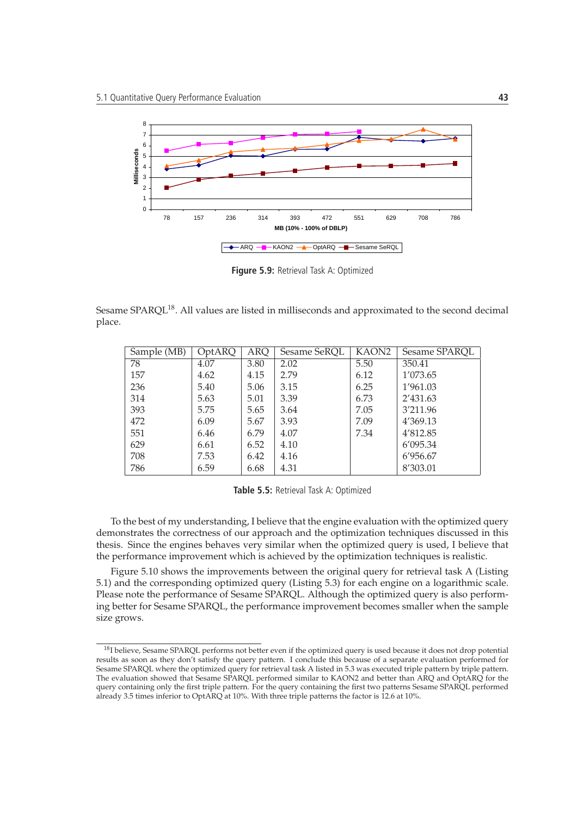

**Figure 5.9:** Retrieval Task A: Optimized

Sesame SPARQL<sup>18</sup>. All values are listed in milliseconds and approximated to the second decimal place.

| Sample (MB) | OptARQ | <b>ARQ</b> | Sesame SeRQL | KAON <sub>2</sub> | Sesame SPAROL |
|-------------|--------|------------|--------------|-------------------|---------------|
| 78          | 4.07   | 3.80       | 2.02         | 5.50              | 350.41        |
| 157         | 4.62   | 4.15       | 2.79         | 6.12              | 1'073.65      |
| 236         | 5.40   | 5.06       | 3.15         | 6.25              | 1'961.03      |
| 314         | 5.63   | 5.01       | 3.39         | 6.73              | 2'431.63      |
| 393         | 5.75   | 5.65       | 3.64         | 7.05              | 3'211.96      |
| 472         | 6.09   | 5.67       | 3.93         | 7.09              | 4'369.13      |
| 551         | 6.46   | 6.79       | 4.07         | 7.34              | 4'812.85      |
| 629         | 6.61   | 6.52       | 4.10         |                   | 6'095.34      |
| 708         | 7.53   | 6.42       | 4.16         |                   | 6'956.67      |
| 786         | 6.59   | 6.68       | 4.31         |                   | 8'303.01      |

**Table 5.5:** Retrieval Task A: Optimized

To the best of my understanding, I believe that the engine evaluation with the optimized query demonstrates the correctness of our approach and the optimization techniques discussed in this thesis. Since the engines behaves very similar when the optimized query is used, I believe that the performance improvement which is achieved by the optimization techniques is realistic.

Figure 5.10 shows the improvements between the original query for retrieval task A (Listing 5.1) and the corresponding optimized query (Listing 5.3) for each engine on a logarithmic scale. Please note the performance of Sesame SPARQL. Although the optimized query is also performing better for Sesame SPARQL, the performance improvement becomes smaller when the sample size grows.

<sup>&</sup>lt;sup>18</sup>I believe, Sesame SPARQL performs not better even if the optimized query is used because it does not drop potential results as soon as they don't satisfy the query pattern. I conclude this because of a separate evaluation performed for Sesame SPARQL where the optimized query for retrieval task A listed in 5.3 was executed triple pattern by triple pattern. The evaluation showed that Sesame SPARQL performed similar to KAON2 and better than ARQ and OptARQ for the query containing only the first triple pattern. For the query containing the first two patterns Sesame SPARQL performed already 3.5 times inferior to OptARQ at 10%. With three triple patterns the factor is 12.6 at 10%.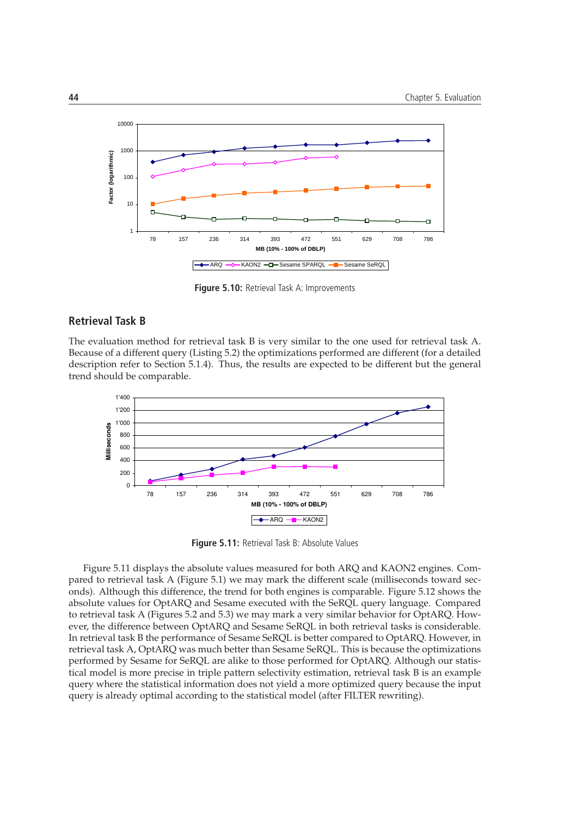

**Figure 5.10:** Retrieval Task A: Improvements

#### **Retrieval Task B**

The evaluation method for retrieval task B is very similar to the one used for retrieval task A. Because of a different query (Listing 5.2) the optimizations performed are different (for a detailed description refer to Section 5.1.4). Thus, the results are expected to be different but the general trend should be comparable.



**Figure 5.11:** Retrieval Task B: Absolute Values

Figure 5.11 displays the absolute values measured for both ARQ and KAON2 engines. Compared to retrieval task A (Figure 5.1) we may mark the different scale (milliseconds toward seconds). Although this difference, the trend for both engines is comparable. Figure 5.12 shows the absolute values for OptARQ and Sesame executed with the SeRQL query language. Compared to retrieval task A (Figures 5.2 and 5.3) we may mark a very similar behavior for OptARQ. However, the difference between OptARQ and Sesame SeRQL in both retrieval tasks is considerable. In retrieval task B the performance of Sesame SeRQL is better compared to OptARQ. However, in retrieval task A, OptARQ was much better than Sesame SeRQL. This is because the optimizations performed by Sesame for SeRQL are alike to those performed for OptARQ. Although our statistical model is more precise in triple pattern selectivity estimation, retrieval task B is an example query where the statistical information does not yield a more optimized query because the input query is already optimal according to the statistical model (after FILTER rewriting).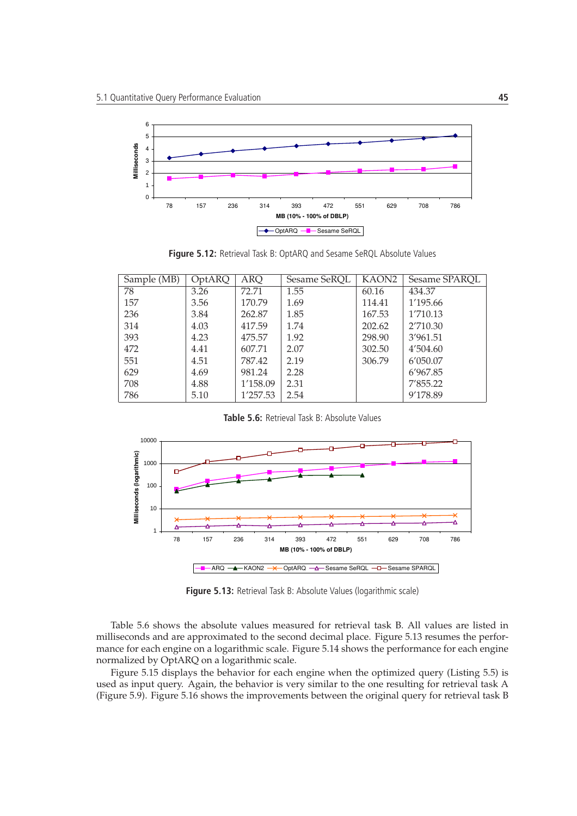

**Figure 5.12:** Retrieval Task B: OptARQ and Sesame SeRQL Absolute Values

| Sample (MB) | OptARQ | <b>ARQ</b> | Sesame SeRQL | KAON2  | Sesame SPARQL |
|-------------|--------|------------|--------------|--------|---------------|
| 78          | 3.26   | 72.71      | 1.55         | 60.16  | 434.37        |
| 157         | 3.56   | 170.79     | 1.69         | 114.41 | 1'195.66      |
| 236         | 3.84   | 262.87     | 1.85         | 167.53 | 1'710.13      |
| 314         | 4.03   | 417.59     | 1.74         | 202.62 | 2'710.30      |
| 393         | 4.23   | 475.57     | 1.92         | 298.90 | 3'961.51      |
| 472         | 4.41   | 607.71     | 2.07         | 302.50 | 4'504.60      |
| 551         | 4.51   | 787.42     | 2.19         | 306.79 | 6'050.07      |
| 629         | 4.69   | 981.24     | 2.28         |        | 6'967.85      |
| 708         | 4.88   | 1'158.09   | 2.31         |        | 7'855.22      |
| 786         | 5.10   | 1'257.53   | 2.54         |        | 9'178.89      |

**Table 5.6:** Retrieval Task B: Absolute Values



**Figure 5.13:** Retrieval Task B: Absolute Values (logarithmic scale)

Table 5.6 shows the absolute values measured for retrieval task B. All values are listed in milliseconds and are approximated to the second decimal place. Figure 5.13 resumes the performance for each engine on a logarithmic scale. Figure 5.14 shows the performance for each engine normalized by OptARQ on a logarithmic scale.

Figure 5.15 displays the behavior for each engine when the optimized query (Listing 5.5) is used as input query. Again, the behavior is very similar to the one resulting for retrieval task A (Figure 5.9). Figure 5.16 shows the improvements between the original query for retrieval task B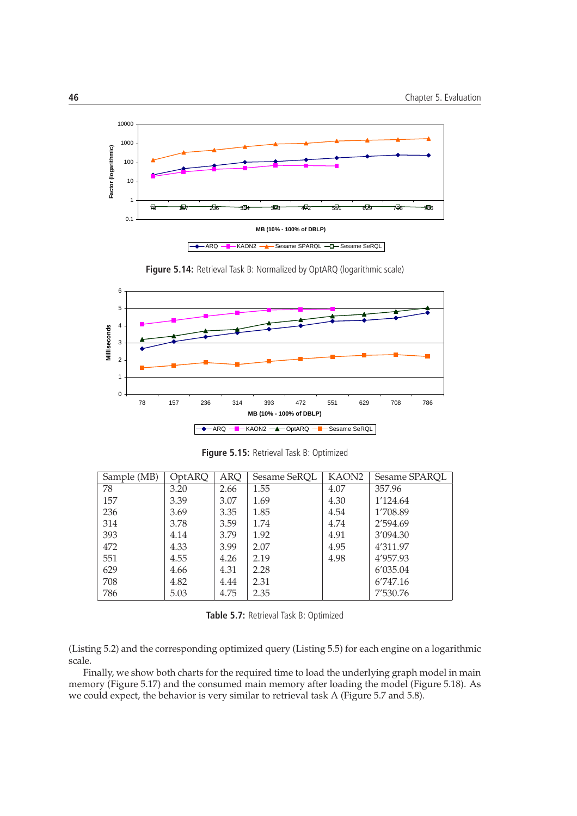

**Figure 5.14:** Retrieval Task B: Normalized by OptARQ (logarithmic scale)



**Figure 5.15:** Retrieval Task B: Optimized

| Sample (MB) | OptARQ | <b>ARQ</b> | Sesame SeRQL | KAON2 | Sesame SPAROL |
|-------------|--------|------------|--------------|-------|---------------|
| 78          | 3.20   | 2.66       | 1.55         | 4.07  | 357.96        |
| 157         | 3.39   | 3.07       | 1.69         | 4.30  | 1'124.64      |
| 236         | 3.69   | 3.35       | 1.85         | 4.54  | 1'708.89      |
| 314         | 3.78   | 3.59       | 1.74         | 4.74  | 2'594.69      |
| 393         | 4.14   | 3.79       | 1.92         | 4.91  | 3'094.30      |
| 472         | 4.33   | 3.99       | 2.07         | 4.95  | 4'311.97      |
| 551         | 4.55   | 4.26       | 2.19         | 4.98  | 4'957.93      |
| 629         | 4.66   | 4.31       | 2.28         |       | 6'035.04      |
| 708         | 4.82   | 4.44       | 2.31         |       | 6'747.16      |
| 786         | 5.03   | 4.75       | 2.35         |       | 7'530.76      |

**Table 5.7:** Retrieval Task B: Optimized

(Listing 5.2) and the corresponding optimized query (Listing 5.5) for each engine on a logarithmic scale.

Finally, we show both charts for the required time to load the underlying graph model in main memory (Figure 5.17) and the consumed main memory after loading the model (Figure 5.18). As we could expect, the behavior is very similar to retrieval task A (Figure 5.7 and 5.8).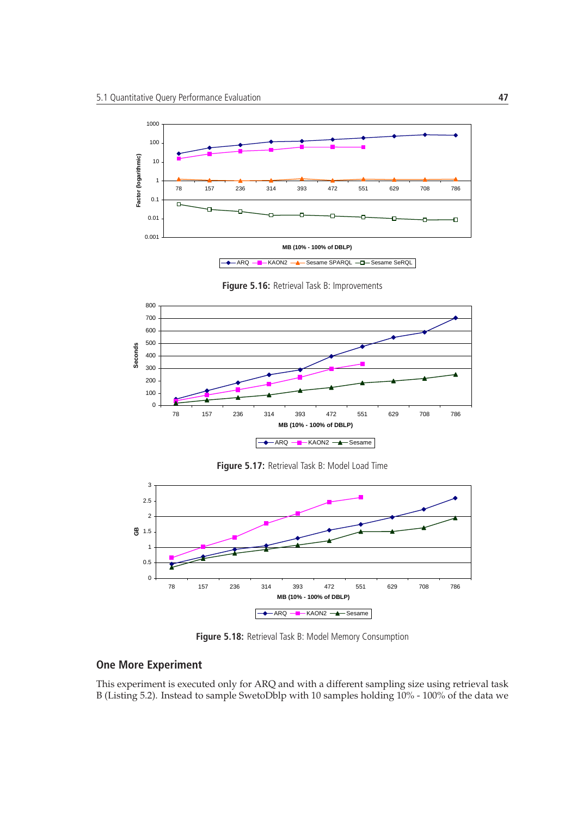

**Figure 5.16:** Retrieval Task B: Improvements





**Figure 5.18:** Retrieval Task B: Model Memory Consumption

#### **One More Experiment**

This experiment is executed only for ARQ and with a different sampling size using retrieval task B (Listing 5.2). Instead to sample SwetoDblp with 10 samples holding 10% - 100% of the data we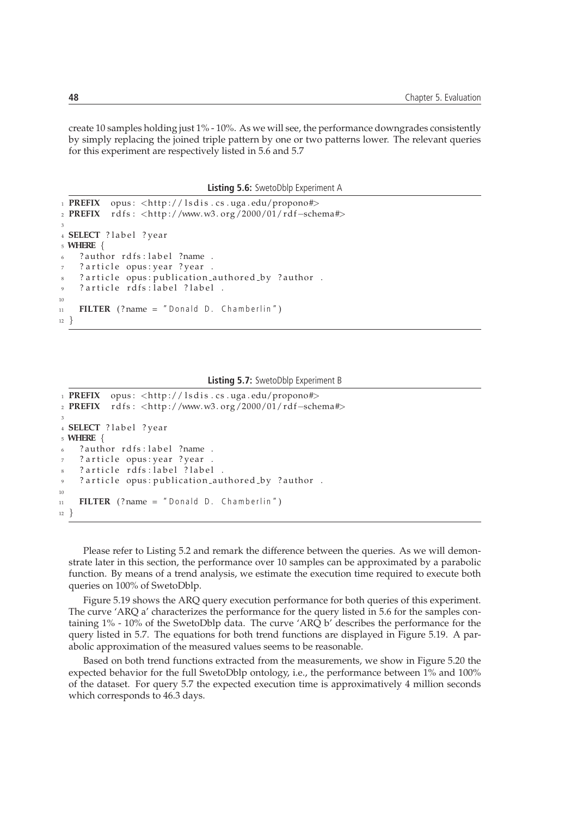create 10 samples holding just 1% - 10%. As we will see, the performance downgrades consistently by simply replacing the joined triple pattern by one or two patterns lower. The relevant queries for this experiment are respectively listed in 5.6 and 5.7

**Listing 5.6:** SwetoDblp Experiment A

```
1 PREFIX opus: <http://lsdis.cs.uga.edu/propono#>
2 PREFIX rdfs: <http://www.w3.org/2000/01/rdf-schema#>
3
4 SELECT ? label ? year
5 WHERE {
6 ? author rdfs: label ?name.
7 ? article opus: year ? year.
8 ? article opus: publication_authored_by ? author .
    ? article rdfs: label ? label .
10
11 FILTER (? name = "Donald D. Chamberlin")
12 }
```
#### **Listing 5.7:** SwetoDblp Experiment B

```
1 PREFIX opus: <http://lsdis.cs.uga.edu/propono#>
2 PREFIX r d f s : <h t tp ://www.w3 . org /2000/01/ rd f−schema#>
3
4 SELECT ? label ? year
5 WHERE {
    ? author rdfs: label ?name .
    ? article opus: year ? year.
    ? article rdfs: label ? label .
    ? article opus: publication_authored_by ?author .
10
11 FILTER (? name = "Donald D. Chamberlin")
12 }
```
Please refer to Listing 5.2 and remark the difference between the queries. As we will demonstrate later in this section, the performance over 10 samples can be approximated by a parabolic function. By means of a trend analysis, we estimate the execution time required to execute both queries on 100% of SwetoDblp.

Figure 5.19 shows the ARQ query execution performance for both queries of this experiment. The curve 'ARQ a' characterizes the performance for the query listed in 5.6 for the samples containing 1% - 10% of the SwetoDblp data. The curve 'ARQ b' describes the performance for the query listed in 5.7. The equations for both trend functions are displayed in Figure 5.19. A parabolic approximation of the measured values seems to be reasonable.

Based on both trend functions extracted from the measurements, we show in Figure 5.20 the expected behavior for the full SwetoDblp ontology, i.e., the performance between 1% and 100% of the dataset. For query 5.7 the expected execution time is approximatively 4 million seconds which corresponds to 46.3 days.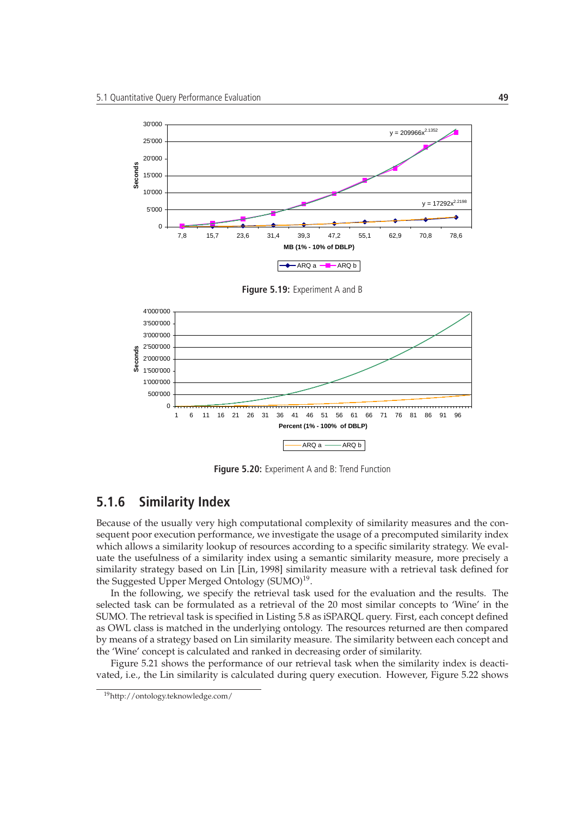

**Figure 5.19:** Experiment A and B



**Figure 5.20:** Experiment A and B: Trend Function

## **5.1.6 Similarity Index**

Because of the usually very high computational complexity of similarity measures and the consequent poor execution performance, we investigate the usage of a precomputed similarity index which allows a similarity lookup of resources according to a specific similarity strategy. We evaluate the usefulness of a similarity index using a semantic similarity measure, more precisely a similarity strategy based on Lin [Lin, 1998] similarity measure with a retrieval task defined for the Suggested Upper Merged Ontology (SUMO)<sup>19</sup>.

In the following, we specify the retrieval task used for the evaluation and the results. The selected task can be formulated as a retrieval of the 20 most similar concepts to 'Wine' in the SUMO. The retrieval task is specified in Listing 5.8 as iSPARQL query. First, each concept defined as OWL class is matched in the underlying ontology. The resources returned are then compared by means of a strategy based on Lin similarity measure. The similarity between each concept and the 'Wine' concept is calculated and ranked in decreasing order of similarity.

Figure 5.21 shows the performance of our retrieval task when the similarity index is deactivated, i.e., the Lin similarity is calculated during query execution. However, Figure 5.22 shows

<sup>19</sup>http://ontology.teknowledge.com/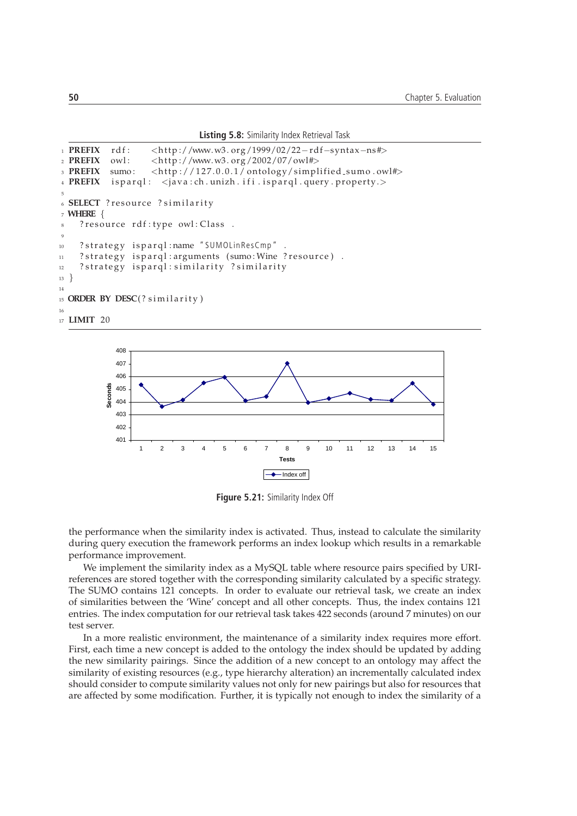**Listing 5.8:** Similarity Index Retrieval Task

```
1 PREFIX rdf: <http://www.w3.org/1999/02/22-rdf-syntax-ns#>
2 PREFIX owl : <h t tp ://www.w3 . org /2002/07/owl#>
3 PREFIX sumo: <http://127.0.0.1/ontology/simplified_sumo.owl#>
4 PREFIX isparql: < java: ch. unizh. if i. isparql. query. property.>
5
6 SELECT ? resource ? similarity
7 WHERE {
8 ? resource rdf: type owl: Class .
9
10 ? strategy isparql:name "SUMOLinResCmp".
11 ? strategy isparql: arguments (sumo: Wine ? resource).
12 ? strategy isparql: similarity ? similarity
13 \frac{1}{2}14
15 ORDER BY DESC(? similarity)
16
17 LIMIT 20
```


**Figure 5.21:** Similarity Index Off

the performance when the similarity index is activated. Thus, instead to calculate the similarity during query execution the framework performs an index lookup which results in a remarkable performance improvement.

We implement the similarity index as a MySQL table where resource pairs specified by URIreferences are stored together with the corresponding similarity calculated by a specific strategy. The SUMO contains 121 concepts. In order to evaluate our retrieval task, we create an index of similarities between the 'Wine' concept and all other concepts. Thus, the index contains 121 entries. The index computation for our retrieval task takes 422 seconds (around 7 minutes) on our test server.

In a more realistic environment, the maintenance of a similarity index requires more effort. First, each time a new concept is added to the ontology the index should be updated by adding the new similarity pairings. Since the addition of a new concept to an ontology may affect the similarity of existing resources (e.g., type hierarchy alteration) an incrementally calculated index should consider to compute similarity values not only for new pairings but also for resources that are affected by some modification. Further, it is typically not enough to index the similarity of a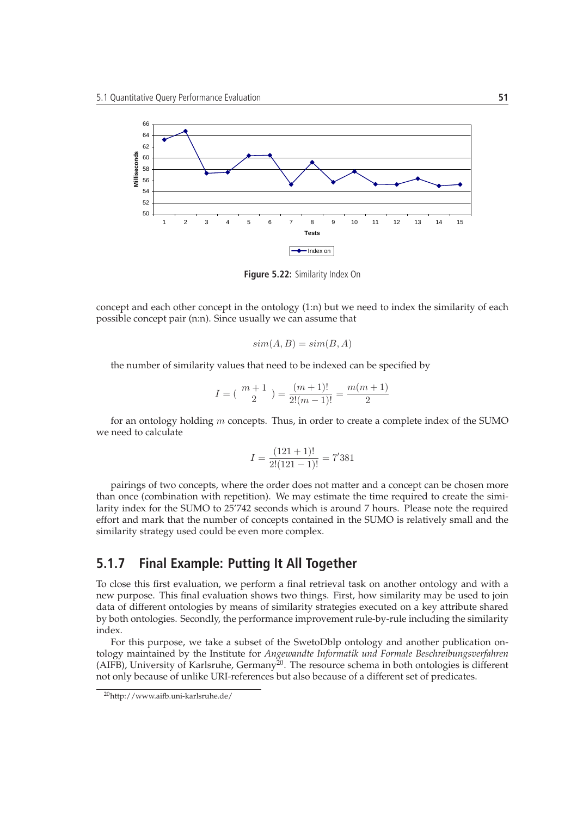

**Figure 5.22:** Similarity Index On

concept and each other concept in the ontology (1:n) but we need to index the similarity of each possible concept pair (n:n). Since usually we can assume that

$$
sim(A, B) = sim(B, A)
$$

the number of similarity values that need to be indexed can be specified by

$$
I = \binom{m+1}{2} = \frac{(m+1)!}{2!(m-1)!} = \frac{m(m+1)}{2}
$$

for an ontology holding  $m$  concepts. Thus, in order to create a complete index of the SUMO we need to calculate

$$
I = \frac{(121+1)!}{2!(121-1)!} = 7'381
$$

pairings of two concepts, where the order does not matter and a concept can be chosen more than once (combination with repetition). We may estimate the time required to create the similarity index for the SUMO to 25'742 seconds which is around 7 hours. Please note the required effort and mark that the number of concepts contained in the SUMO is relatively small and the similarity strategy used could be even more complex.

## **5.1.7 Final Example: Putting It All Together**

To close this first evaluation, we perform a final retrieval task on another ontology and with a new purpose. This final evaluation shows two things. First, how similarity may be used to join data of different ontologies by means of similarity strategies executed on a key attribute shared by both ontologies. Secondly, the performance improvement rule-by-rule including the similarity index.

For this purpose, we take a subset of the SwetoDblp ontology and another publication ontology maintained by the Institute for *Angewandte Informatik und Formale Beschreibungsverfahren* (AIFB), University of Karlsruhe, Germany<sup>20</sup>. The resource schema in both ontologies is different not only because of unlike URI-references but also because of a different set of predicates.

<sup>20</sup>http://www.aifb.uni-karlsruhe.de/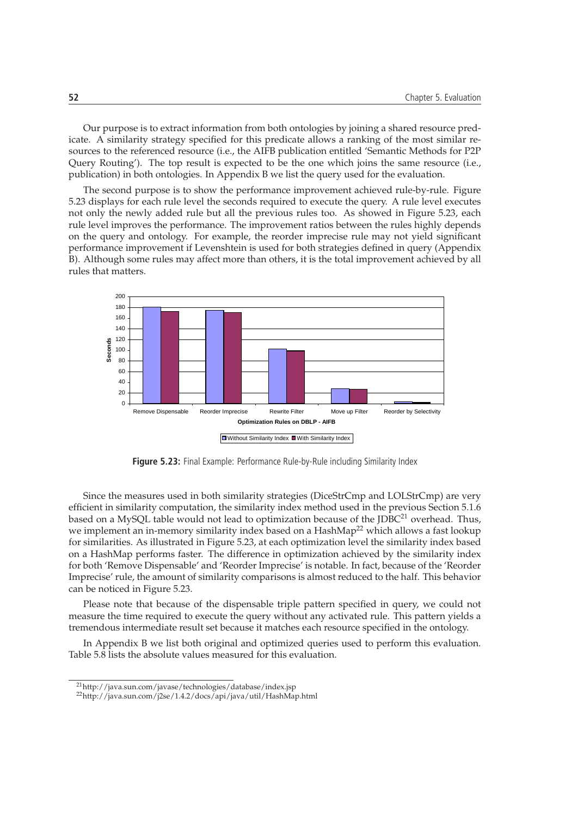Our purpose is to extract information from both ontologies by joining a shared resource predicate. A similarity strategy specified for this predicate allows a ranking of the most similar resources to the referenced resource (i.e., the AIFB publication entitled 'Semantic Methods for P2P Query Routing'). The top result is expected to be the one which joins the same resource (i.e., publication) in both ontologies. In Appendix B we list the query used for the evaluation.

The second purpose is to show the performance improvement achieved rule-by-rule. Figure 5.23 displays for each rule level the seconds required to execute the query. A rule level executes not only the newly added rule but all the previous rules too. As showed in Figure 5.23, each rule level improves the performance. The improvement ratios between the rules highly depends on the query and ontology. For example, the reorder imprecise rule may not yield significant performance improvement if Levenshtein is used for both strategies defined in query (Appendix B). Although some rules may affect more than others, it is the total improvement achieved by all rules that matters.



**Figure 5.23:** Final Example: Performance Rule-by-Rule including Similarity Index

Since the measures used in both similarity strategies (DiceStrCmp and LOLStrCmp) are very efficient in similarity computation, the similarity index method used in the previous Section 5.1.6 based on a MySQL table would not lead to optimization because of the JDBC<sup>21</sup> overhead. Thus, we implement an in-memory similarity index based on a HashMap<sup>22</sup> which allows a fast lookup for similarities. As illustrated in Figure 5.23, at each optimization level the similarity index based on a HashMap performs faster. The difference in optimization achieved by the similarity index for both 'Remove Dispensable' and 'Reorder Imprecise' is notable. In fact, because of the 'Reorder Imprecise' rule, the amount of similarity comparisons is almost reduced to the half. This behavior can be noticed in Figure 5.23.

Please note that because of the dispensable triple pattern specified in query, we could not measure the time required to execute the query without any activated rule. This pattern yields a tremendous intermediate result set because it matches each resource specified in the ontology.

In Appendix B we list both original and optimized queries used to perform this evaluation. Table 5.8 lists the absolute values measured for this evaluation.

<sup>21</sup>http://java.sun.com/javase/technologies/database/index.jsp

<sup>22</sup>http://java.sun.com/j2se/1.4.2/docs/api/java/util/HashMap.html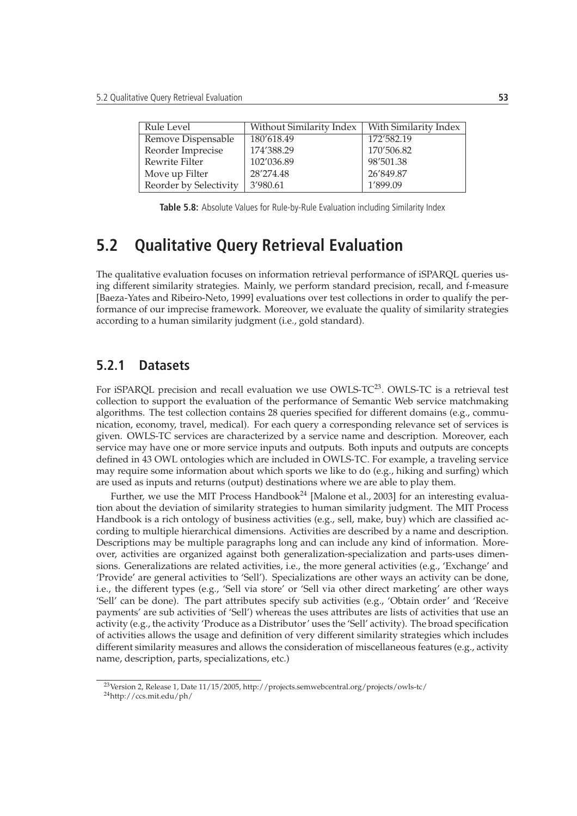| Without Similarity Index | With Similarity Index |
|--------------------------|-----------------------|
| 180'618.49               | 172'582.19            |
| 174'388.29               | 170'506.82            |
| 102'036.89               | 98'501.38             |
| 28'274.48                | 26'849.87             |
| 3'980.61                 | 1'899.09              |
|                          |                       |

**Table 5.8:** Absolute Values for Rule-by-Rule Evaluation including Similarity Index

# **5.2 Qualitative Query Retrieval Evaluation**

The qualitative evaluation focuses on information retrieval performance of iSPARQL queries using different similarity strategies. Mainly, we perform standard precision, recall, and f-measure [Baeza-Yates and Ribeiro-Neto, 1999] evaluations over test collections in order to qualify the performance of our imprecise framework. Moreover, we evaluate the quality of similarity strategies according to a human similarity judgment (i.e., gold standard).

#### **5.2.1 Datasets**

For iSPARQL precision and recall evaluation we use OWLS-TC<sup>23</sup>. OWLS-TC is a retrieval test collection to support the evaluation of the performance of Semantic Web service matchmaking algorithms. The test collection contains 28 queries specified for different domains (e.g., communication, economy, travel, medical). For each query a corresponding relevance set of services is given. OWLS-TC services are characterized by a service name and description. Moreover, each service may have one or more service inputs and outputs. Both inputs and outputs are concepts defined in 43 OWL ontologies which are included in OWLS-TC. For example, a traveling service may require some information about which sports we like to do (e.g., hiking and surfing) which are used as inputs and returns (output) destinations where we are able to play them.

Further, we use the MIT Process Handbook<sup>24</sup> [Malone et al., 2003] for an interesting evaluation about the deviation of similarity strategies to human similarity judgment. The MIT Process Handbook is a rich ontology of business activities (e.g., sell, make, buy) which are classified according to multiple hierarchical dimensions. Activities are described by a name and description. Descriptions may be multiple paragraphs long and can include any kind of information. Moreover, activities are organized against both generalization-specialization and parts-uses dimensions. Generalizations are related activities, i.e., the more general activities (e.g., 'Exchange' and 'Provide' are general activities to 'Sell'). Specializations are other ways an activity can be done, i.e., the different types (e.g., 'Sell via store' or 'Sell via other direct marketing' are other ways 'Sell' can be done). The part attributes specify sub activities (e.g., 'Obtain order' and 'Receive payments' are sub activities of 'Sell') whereas the uses attributes are lists of activities that use an activity (e.g., the activity 'Produce as a Distributor' uses the 'Sell' activity). The broad specification of activities allows the usage and definition of very different similarity strategies which includes different similarity measures and allows the consideration of miscellaneous features (e.g., activity name, description, parts, specializations, etc.)

<sup>23</sup>Version 2, Release 1, Date 11/15/2005, http://projects.semwebcentral.org/projects/owls-tc/

<sup>24</sup>http://ccs.mit.edu/ph/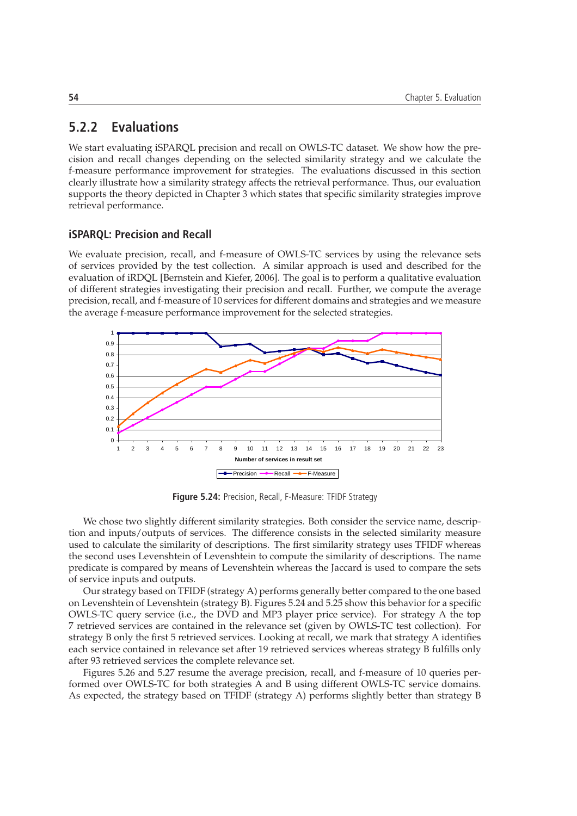### **5.2.2 Evaluations**

We start evaluating iSPARQL precision and recall on OWLS-TC dataset. We show how the precision and recall changes depending on the selected similarity strategy and we calculate the f-measure performance improvement for strategies. The evaluations discussed in this section clearly illustrate how a similarity strategy affects the retrieval performance. Thus, our evaluation supports the theory depicted in Chapter 3 which states that specific similarity strategies improve retrieval performance.

#### **iSPARQL: Precision and Recall**

We evaluate precision, recall, and f-measure of OWLS-TC services by using the relevance sets of services provided by the test collection. A similar approach is used and described for the evaluation of iRDQL [Bernstein and Kiefer, 2006]. The goal is to perform a qualitative evaluation of different strategies investigating their precision and recall. Further, we compute the average precision, recall, and f-measure of 10 services for different domains and strategies and we measure the average f-measure performance improvement for the selected strategies.



**Figure 5.24:** Precision, Recall, F-Measure: TFIDF Strategy

We chose two slightly different similarity strategies. Both consider the service name, description and inputs/outputs of services. The difference consists in the selected similarity measure used to calculate the similarity of descriptions. The first similarity strategy uses TFIDF whereas the second uses Levenshtein of Levenshtein to compute the similarity of descriptions. The name predicate is compared by means of Levenshtein whereas the Jaccard is used to compare the sets of service inputs and outputs.

Our strategy based on TFIDF (strategy A) performs generally better compared to the one based on Levenshtein of Levenshtein (strategy B). Figures 5.24 and 5.25 show this behavior for a specific OWLS-TC query service (i.e., the DVD and MP3 player price service). For strategy A the top 7 retrieved services are contained in the relevance set (given by OWLS-TC test collection). For strategy B only the first 5 retrieved services. Looking at recall, we mark that strategy A identifies each service contained in relevance set after 19 retrieved services whereas strategy B fulfills only after 93 retrieved services the complete relevance set.

Figures 5.26 and 5.27 resume the average precision, recall, and f-measure of 10 queries performed over OWLS-TC for both strategies A and B using different OWLS-TC service domains. As expected, the strategy based on TFIDF (strategy A) performs slightly better than strategy B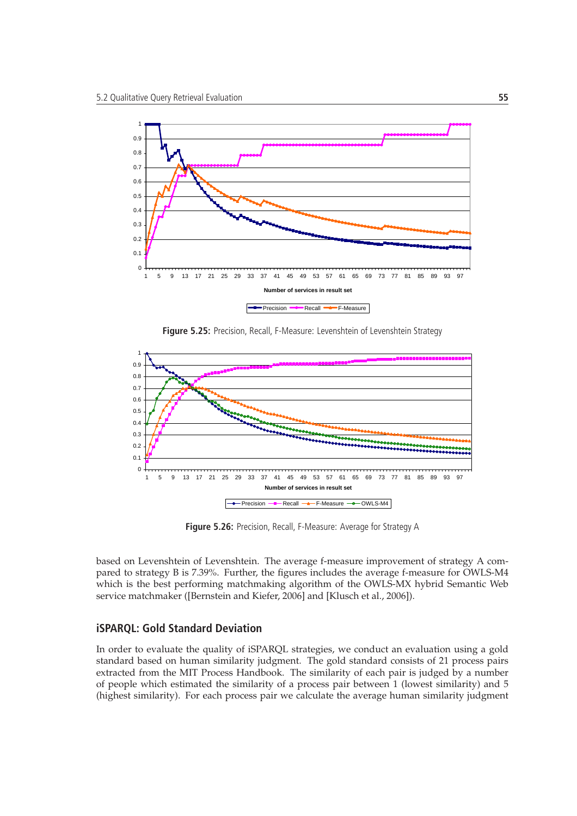

**Figure 5.25:** Precision, Recall, F-Measure: Levenshtein of Levenshtein Strategy



**Figure 5.26:** Precision, Recall, F-Measure: Average for Strategy A

based on Levenshtein of Levenshtein. The average f-measure improvement of strategy A compared to strategy B is 7.39%. Further, the figures includes the average f-measure for OWLS-M4 which is the best performing matchmaking algorithm of the OWLS-MX hybrid Semantic Web service matchmaker ([Bernstein and Kiefer, 2006] and [Klusch et al., 2006]).

#### **iSPARQL: Gold Standard Deviation**

In order to evaluate the quality of iSPARQL strategies, we conduct an evaluation using a gold standard based on human similarity judgment. The gold standard consists of 21 process pairs extracted from the MIT Process Handbook. The similarity of each pair is judged by a number of people which estimated the similarity of a process pair between 1 (lowest similarity) and 5 (highest similarity). For each process pair we calculate the average human similarity judgment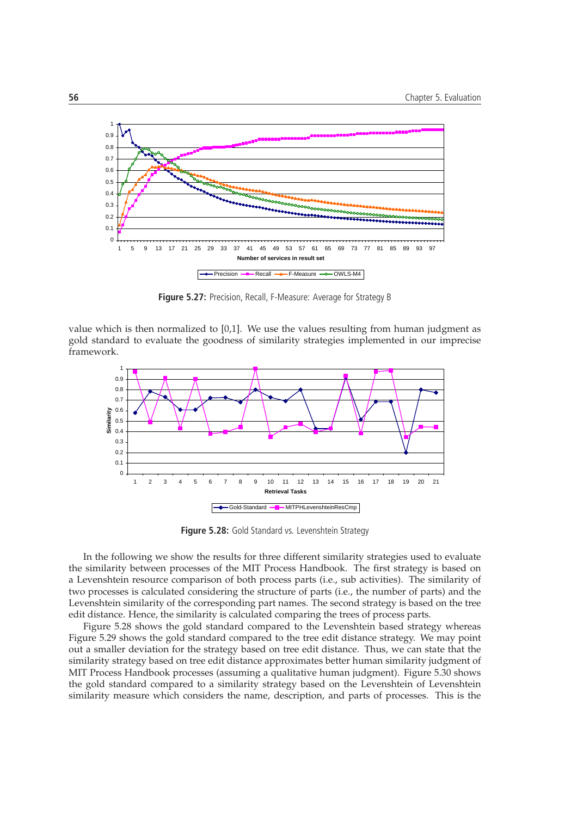

**Figure 5.27:** Precision, Recall, F-Measure: Average for Strategy B

value which is then normalized to [0,1]. We use the values resulting from human judgment as gold standard to evaluate the goodness of similarity strategies implemented in our imprecise framework.



**Figure 5.28:** Gold Standard vs. Levenshtein Strategy

In the following we show the results for three different similarity strategies used to evaluate the similarity between processes of the MIT Process Handbook. The first strategy is based on a Levenshtein resource comparison of both process parts (i.e., sub activities). The similarity of two processes is calculated considering the structure of parts (i.e., the number of parts) and the Levenshtein similarity of the corresponding part names. The second strategy is based on the tree edit distance. Hence, the similarity is calculated comparing the trees of process parts.

Figure 5.28 shows the gold standard compared to the Levenshtein based strategy whereas Figure 5.29 shows the gold standard compared to the tree edit distance strategy. We may point out a smaller deviation for the strategy based on tree edit distance. Thus, we can state that the similarity strategy based on tree edit distance approximates better human similarity judgment of MIT Process Handbook processes (assuming a qualitative human judgment). Figure 5.30 shows the gold standard compared to a similarity strategy based on the Levenshtein of Levenshtein similarity measure which considers the name, description, and parts of processes. This is the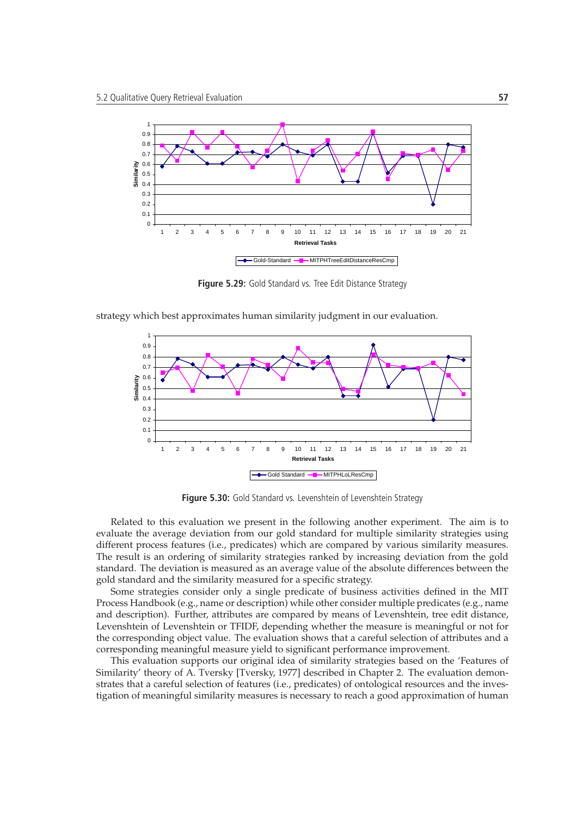

**Figure 5.29:** Gold Standard vs. Tree Edit Distance Strategy

strategy which best approximates human similarity judgment in our evaluation.



**Figure 5.30:** Gold Standard vs. Levenshtein of Levenshtein Strategy

Related to this evaluation we present in the following another experiment. The aim is to evaluate the average deviation from our gold standard for multiple similarity strategies using different process features (i.e., predicates) which are compared by various similarity measures. The result is an ordering of similarity strategies ranked by increasing deviation from the gold standard. The deviation is measured as an average value of the absolute differences between the gold standard and the similarity measured for a specific strategy.

Some strategies consider only a single predicate of business activities defined in the MIT Process Handbook (e.g., name or description) while other consider multiple predicates (e.g., name and description). Further, attributes are compared by means of Levenshtein, tree edit distance, Levenshtein of Levenshtein or TFIDF, depending whether the measure is meaningful or not for the corresponding object value. The evaluation shows that a careful selection of attributes and a corresponding meaningful measure yield to significant performance improvement.

This evaluation supports our original idea of similarity strategies based on the 'Features of Similarity' theory of A. Tversky [Tversky, 1977] described in Chapter 2. The evaluation demonstrates that a careful selection of features (i.e., predicates) of ontological resources and the investigation of meaningful similarity measures is necessary to reach a good approximation of human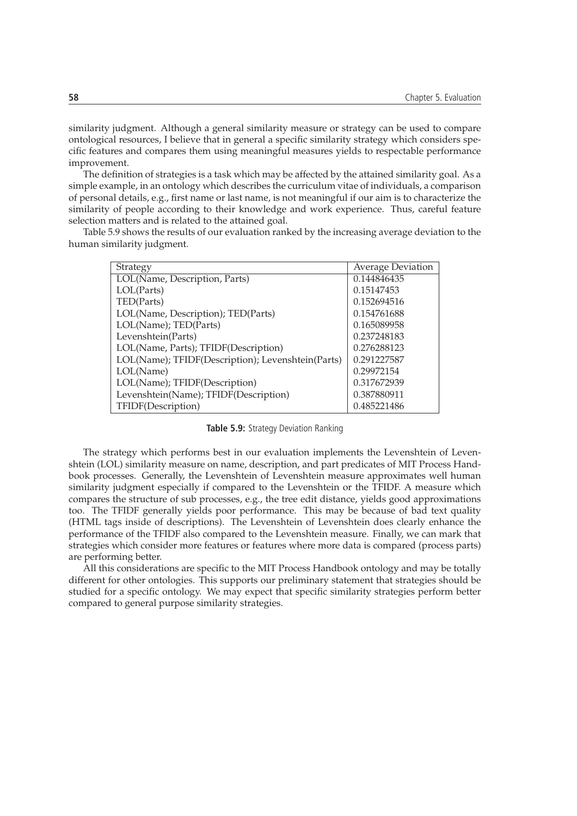similarity judgment. Although a general similarity measure or strategy can be used to compare ontological resources, I believe that in general a specific similarity strategy which considers specific features and compares them using meaningful measures yields to respectable performance improvement.

The definition of strategies is a task which may be affected by the attained similarity goal. As a simple example, in an ontology which describes the curriculum vitae of individuals, a comparison of personal details, e.g., first name or last name, is not meaningful if our aim is to characterize the similarity of people according to their knowledge and work experience. Thus, careful feature selection matters and is related to the attained goal.

Table 5.9 shows the results of our evaluation ranked by the increasing average deviation to the human similarity judgment.

| Strategy                                          | <b>Average Deviation</b> |
|---------------------------------------------------|--------------------------|
| LOL(Name, Description, Parts)                     | 0.144846435              |
| LOL(Parts)                                        | 0.15147453               |
| TED(Parts)                                        | 0.152694516              |
| LOL(Name, Description); TED(Parts)                | 0.154761688              |
| LOL(Name); TED(Parts)                             | 0.165089958              |
| Levenshtein(Parts)                                | 0.237248183              |
| LOL(Name, Parts); TFIDF(Description)              | 0.276288123              |
| LOL(Name); TFIDF(Description); Levenshtein(Parts) | 0.291227587              |
| LOL(Name)                                         | 0.29972154               |
| LOL(Name); TFIDF(Description)                     | 0.317672939              |
| Levenshtein(Name); TFIDF(Description)             | 0.387880911              |
| TFIDF(Description)                                | 0.485221486              |

**Table 5.9:** Strategy Deviation Ranking

The strategy which performs best in our evaluation implements the Levenshtein of Levenshtein (LOL) similarity measure on name, description, and part predicates of MIT Process Handbook processes. Generally, the Levenshtein of Levenshtein measure approximates well human similarity judgment especially if compared to the Levenshtein or the TFIDF. A measure which compares the structure of sub processes, e.g., the tree edit distance, yields good approximations too. The TFIDF generally yields poor performance. This may be because of bad text quality (HTML tags inside of descriptions). The Levenshtein of Levenshtein does clearly enhance the performance of the TFIDF also compared to the Levenshtein measure. Finally, we can mark that strategies which consider more features or features where more data is compared (process parts) are performing better.

All this considerations are specific to the MIT Process Handbook ontology and may be totally different for other ontologies. This supports our preliminary statement that strategies should be studied for a specific ontology. We may expect that specific similarity strategies perform better compared to general purpose similarity strategies.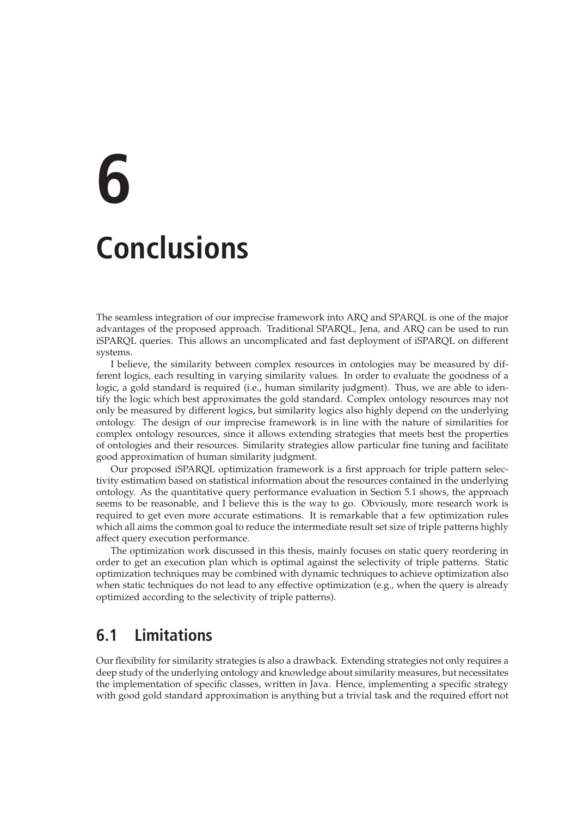# **6 Conclusions**

The seamless integration of our imprecise framework into ARQ and SPARQL is one of the major advantages of the proposed approach. Traditional SPARQL, Jena, and ARQ can be used to run iSPARQL queries. This allows an uncomplicated and fast deployment of iSPARQL on different systems.

I believe, the similarity between complex resources in ontologies may be measured by different logics, each resulting in varying similarity values. In order to evaluate the goodness of a logic, a gold standard is required (i.e., human similarity judgment). Thus, we are able to identify the logic which best approximates the gold standard. Complex ontology resources may not only be measured by different logics, but similarity logics also highly depend on the underlying ontology. The design of our imprecise framework is in line with the nature of similarities for complex ontology resources, since it allows extending strategies that meets best the properties of ontologies and their resources. Similarity strategies allow particular fine tuning and facilitate good approximation of human similarity judgment.

Our proposed iSPARQL optimization framework is a first approach for triple pattern selectivity estimation based on statistical information about the resources contained in the underlying ontology. As the quantitative query performance evaluation in Section 5.1 shows, the approach seems to be reasonable, and I believe this is the way to go. Obviously, more research work is required to get even more accurate estimations. It is remarkable that a few optimization rules which all aims the common goal to reduce the intermediate result set size of triple patterns highly affect query execution performance.

The optimization work discussed in this thesis, mainly focuses on static query reordering in order to get an execution plan which is optimal against the selectivity of triple patterns. Static optimization techniques may be combined with dynamic techniques to achieve optimization also when static techniques do not lead to any effective optimization (e.g., when the query is already optimized according to the selectivity of triple patterns).

# **6.1 Limitations**

Our flexibility for similarity strategies is also a drawback. Extending strategies not only requires a deep study of the underlying ontology and knowledge about similarity measures, but necessitates the implementation of specific classes, written in Java. Hence, implementing a specific strategy with good gold standard approximation is anything but a trivial task and the required effort not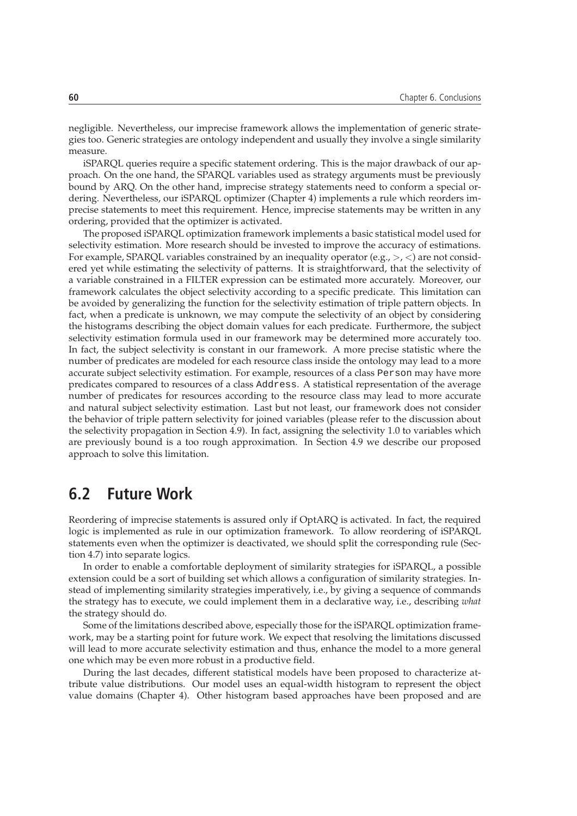negligible. Nevertheless, our imprecise framework allows the implementation of generic strategies too. Generic strategies are ontology independent and usually they involve a single similarity measure.

iSPARQL queries require a specific statement ordering. This is the major drawback of our approach. On the one hand, the SPARQL variables used as strategy arguments must be previously bound by ARQ. On the other hand, imprecise strategy statements need to conform a special ordering. Nevertheless, our iSPARQL optimizer (Chapter 4) implements a rule which reorders imprecise statements to meet this requirement. Hence, imprecise statements may be written in any ordering, provided that the optimizer is activated.

The proposed iSPARQL optimization framework implements a basic statistical model used for selectivity estimation. More research should be invested to improve the accuracy of estimations. For example, SPARQL variables constrained by an inequality operator (e.g.,  $>$ ,  $\lt$ ) are not considered yet while estimating the selectivity of patterns. It is straightforward, that the selectivity of a variable constrained in a FILTER expression can be estimated more accurately. Moreover, our framework calculates the object selectivity according to a specific predicate. This limitation can be avoided by generalizing the function for the selectivity estimation of triple pattern objects. In fact, when a predicate is unknown, we may compute the selectivity of an object by considering the histograms describing the object domain values for each predicate. Furthermore, the subject selectivity estimation formula used in our framework may be determined more accurately too. In fact, the subject selectivity is constant in our framework. A more precise statistic where the number of predicates are modeled for each resource class inside the ontology may lead to a more accurate subject selectivity estimation. For example, resources of a class Person may have more predicates compared to resources of a class Address. A statistical representation of the average number of predicates for resources according to the resource class may lead to more accurate and natural subject selectivity estimation. Last but not least, our framework does not consider the behavior of triple pattern selectivity for joined variables (please refer to the discussion about the selectivity propagation in Section 4.9). In fact, assigning the selectivity 1.0 to variables which are previously bound is a too rough approximation. In Section 4.9 we describe our proposed approach to solve this limitation.

# **6.2 Future Work**

Reordering of imprecise statements is assured only if OptARQ is activated. In fact, the required logic is implemented as rule in our optimization framework. To allow reordering of iSPARQL statements even when the optimizer is deactivated, we should split the corresponding rule (Section 4.7) into separate logics.

In order to enable a comfortable deployment of similarity strategies for iSPARQL, a possible extension could be a sort of building set which allows a configuration of similarity strategies. Instead of implementing similarity strategies imperatively, i.e., by giving a sequence of commands the strategy has to execute, we could implement them in a declarative way, i.e., describing *what* the strategy should do.

Some of the limitations described above, especially those for the iSPARQL optimization framework, may be a starting point for future work. We expect that resolving the limitations discussed will lead to more accurate selectivity estimation and thus, enhance the model to a more general one which may be even more robust in a productive field.

During the last decades, different statistical models have been proposed to characterize attribute value distributions. Our model uses an equal-width histogram to represent the object value domains (Chapter 4). Other histogram based approaches have been proposed and are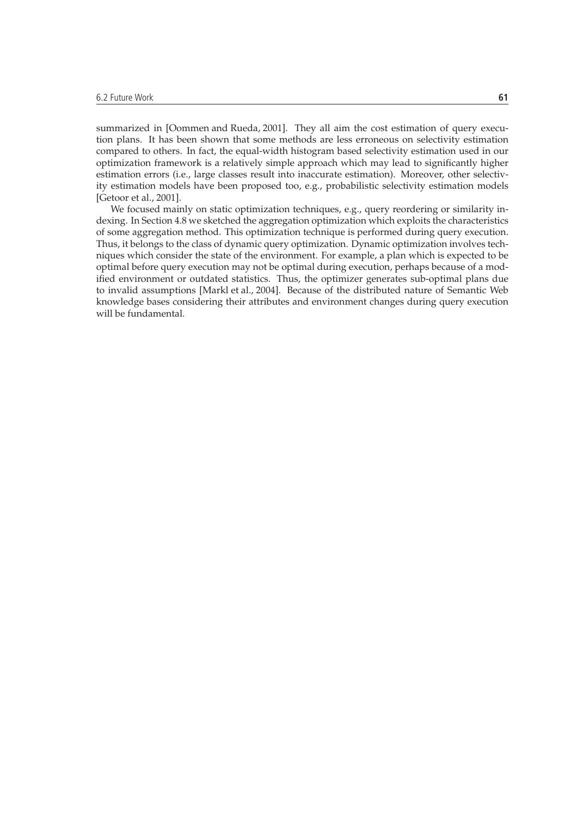summarized in [Oommen and Rueda, 2001]. They all aim the cost estimation of query execution plans. It has been shown that some methods are less erroneous on selectivity estimation compared to others. In fact, the equal-width histogram based selectivity estimation used in our optimization framework is a relatively simple approach which may lead to significantly higher estimation errors (i.e., large classes result into inaccurate estimation). Moreover, other selectivity estimation models have been proposed too, e.g., probabilistic selectivity estimation models [Getoor et al., 2001].

We focused mainly on static optimization techniques, e.g., query reordering or similarity indexing. In Section 4.8 we sketched the aggregation optimization which exploits the characteristics of some aggregation method. This optimization technique is performed during query execution. Thus, it belongs to the class of dynamic query optimization. Dynamic optimization involves techniques which consider the state of the environment. For example, a plan which is expected to be optimal before query execution may not be optimal during execution, perhaps because of a modified environment or outdated statistics. Thus, the optimizer generates sub-optimal plans due to invalid assumptions [Markl et al., 2004]. Because of the distributed nature of Semantic Web knowledge bases considering their attributes and environment changes during query execution will be fundamental.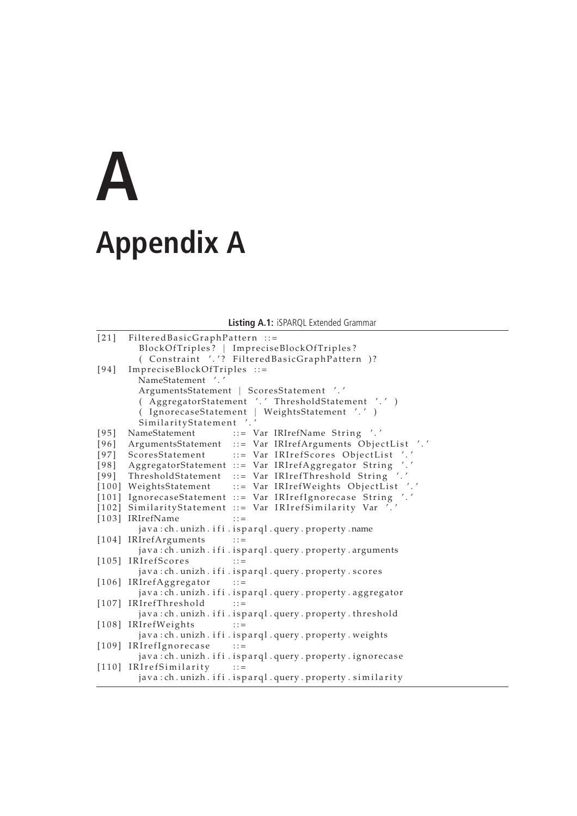## **A Appendix A**

**Listing A.1:** iSPARQL Extended Grammar

| $[21]$ | FilteredBasicGraphPattern ::=                                  |
|--------|----------------------------------------------------------------|
|        | BlockOfTriples?   ImpreciseBlockOfTriples?                     |
|        | (Constraint '.'? FilteredBasicGraphPattern )?                  |
| $[94]$ | ImpreciseBlockOfTriples ::=                                    |
|        | NameStatement '.'                                              |
|        | ArgumentsStatement   ScoresStatement '.'                       |
|        | ( AggregatorStatement '.' ThresholdStatement '.' )             |
|        | (IgnorecaseStatement   WeightsStatement '.' )                  |
|        | SimilarityStatement '.'                                        |
| $[95]$ | NameStatement<br>::= Var IRIrefName String '.'                 |
|        | [96] ArgumentsStatement ::= Var IRIrefArguments ObjectList '.' |
|        | [97] ScoresStatement ::= Var IRIrefScores ObjectList '.'       |
|        | [98] AggregatorStatement ::= Var IRIrefAggregator String '.'   |
|        | [99] ThresholdStatement ::= Var IRIrefThreshold String '.'     |
|        | [100] WeightsStatement ::= Var IRIrefWeights ObjectList '.'    |
|        | [101] IgnorecaseStatement ::= Var IRIrefIgnorecase String '.'  |
|        | [102] SimilarityStatement ::= Var IRIrefSimilarity Var '.'     |
|        | [103] IRIrefName<br>$\therefore$                               |
|        | java:ch.unizh.ifi.isparql.query.property.name                  |
|        | [104] IRIrefArguments<br>$\cdots$ : : =                        |
|        | java:ch.unizh.ifi.isparql.query.property.arguments             |
|        | [105] IRIrefScores<br>$\therefore$                             |
|        | java: ch. unizh. ifi. isparql. query. property. scores         |
|        | [106] IRIrefAggregator<br>$\cdots$ : : =                       |
|        | java:ch.unizh.ifi.isparql.query.property.aggregator            |
|        | [107] IRIrefThreshold<br>$\mathbf{1} \mathbf{1} =$             |
|        | java:ch.unizh.ifi.isparql.query.property.threshold             |
|        | [108] IRIrefWeights<br>$\therefore$                            |
|        | java:ch.unizh.ifi.isparql.query.property.weights               |
|        | [109] IRIrefIgnorecase<br>$\vdots$ :                           |
|        | java:ch.unizh.ifi.isparql.query.property.ignorecase            |
|        | [110] IRIrefSimilarity<br>$\therefore$ : : =                   |
|        | java:ch.unizh.ifi.isparql.query.property.similarity            |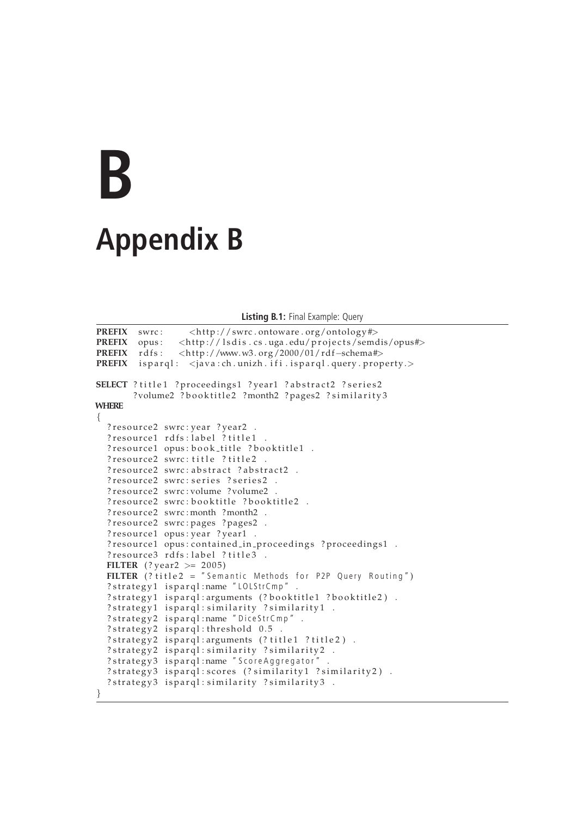## **B Appendix B**

**Listing B.1:** Final Example: Query

```
PREFIX swrc: <http://swrc.ontoware.org/ontology#>
PREFIX opus: \langle \text{http://lsdis.cs. uga.edu/projects/semdis/opus#}\ranglePREFIX rdfs: <http://www.w3.org/2000/01/rdf-schema#>
PREFIX is parql: <java: ch. unizh. if i. is parql. query. property.>
SELECT ? title1 ? proceedings1 ? year1 ? abstract2 ? series2
       ?volume2 ?booktitle2 ?month2 ?pages2 ?similarity3
WHERE
{
  ? resource2 swrc: year ? year2.
  ? resource1 rdfs: label ? title1.
  ? resource1 opus: book_title ? booktitle1 .
  ? resource2 swrc: title ? title2.
  ? resource2 swrc: abstract ? abstract2 .
  ? resource2 swrc: series ? series2 .
  ? resource2 swrc: volume ? volume2 .
  ? resource2 swrc: booktitle ? booktitle2.
  ? resource2 swrc: month ? month2 .
  ? resource2 swrc: pages ? pages2 .
  ? resource1 opus: year ? year1 .
  ? resource1 opus: contained_in_proceedings ? proceedings1 .
  ? resource3 rdfs: label ? title3 .
  FILTER (? year2 >= 2005)
  FILTER ( ? title 2 = " Semantic Methods for P2P Query Routing")
  ? strategy1 isparql:name "LOLStrCmp"
  ? strategy1 isparql: arguments (? booktitle1 ? booktitle2).
  ? strategy1 isparql: similarity ? similarity1 .
  ? strategy2 isparql:name "DiceStrCmp".
  ? strategy2 isparql: threshold 0.5
  ? strategy2 isparql: arguments (? title1 ? title2).
  ? strategy2 isparql: similarity ? similarity2 .
  ? strategy3 isparql:name "ScoreAggregator"
  ? strategy3 isparql: scores (? similarity1 ? similarity2).
  ? strategy3 isparql: similarity ? similarity3 .
```
}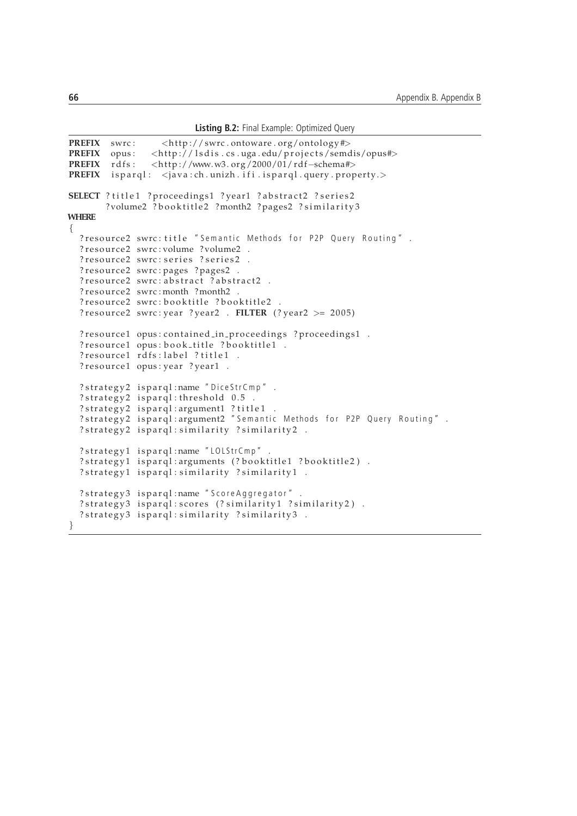**Listing B.2:** Final Example: Optimized Query

```
PREFIX swrc: <http://swrc.ontoware.org/ontology#><br>PREFIX opus: <http://lsdis.cs.uga.edu/projects/semc
                 \frac{1}{\sqrt{2}} // lsdis.cs.uga.edu/ projects/semdis/opus#>
PREFIX rdfs: <http://www.w3.org/2000/01/rdf-schema#>
PREFIX is parql: \langle java: ch. unizh. if i. is parql. query. property.
SELECT ? title1 ? proceedings1 ? year1 ? abstract2 ? series2
        ?volume2 ?booktitle2 ?month2 ?pages2 ?similarity3
WHERE
{
  ? resource2 swrc: title "Semantic Methods for P2P Query Routing".
  ? resource2 swrc: volume ? volume2
  ? resource2 swrc: series ? series2 .
  ? resource2 swrc: pages ? pages2 .
  ? resource2 swrc: abstract ? abstract2 .
  ? resource2 swrc: month ? month2.
  ? resource2 swrc: booktitle ? booktitle2.
  ? resource2 swrc: year ? year2 . FILTER (? year2 > = 2005)
  ? resource1 opus: contained_in_proceedings ? proceedings1 .
  ? resource1 opus: book_title ?booktitle1.
  ? resource1 rdfs: label ? title1 .
  ? resource1 opus: year ? year1 .
  ? strategy2 isparql:name "DiceStrCmp".
  ? strategy2 isparql: threshold 0.5.
  ? strategy2 isparql: argument1 ? title1.
  ?strategy2 isparql:argument2 "Semantic Methods for P2P Query Routing" .
  ?strategy2 isparql:similarity ?similarity2 .
  ? strategy1 isparql:name "LOLStrCmp".
  ? strategy1 isparql: arguments (? booktitle1 ? booktitle2).
  ? strategy1 isparql: similarity ? similarity1 .
  ? strategy3 isparql:name "ScoreAggregator".
  ? strategy3 isparql: scores (? similarity1 ? similarity2).
  ? strategy3 isparql: similarity ? similarity3.
}
```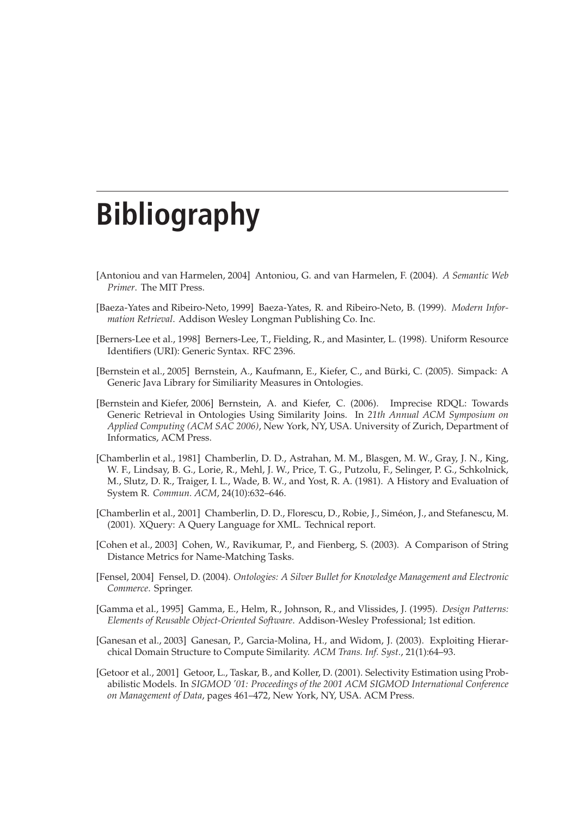## **Bibliography**

- [Antoniou and van Harmelen, 2004] Antoniou, G. and van Harmelen, F. (2004). *A Semantic Web Primer*. The MIT Press.
- [Baeza-Yates and Ribeiro-Neto, 1999] Baeza-Yates, R. and Ribeiro-Neto, B. (1999). *Modern Information Retrieval*. Addison Wesley Longman Publishing Co. Inc.
- [Berners-Lee et al., 1998] Berners-Lee, T., Fielding, R., and Masinter, L. (1998). Uniform Resource Identifiers (URI): Generic Syntax. RFC 2396.
- [Bernstein et al., 2005] Bernstein, A., Kaufmann, E., Kiefer, C., and Burki, C. (2005). Simpack: A ¨ Generic Java Library for Similiarity Measures in Ontologies.
- [Bernstein and Kiefer, 2006] Bernstein, A. and Kiefer, C. (2006). Imprecise RDQL: Towards Generic Retrieval in Ontologies Using Similarity Joins. In *21th Annual ACM Symposium on Applied Computing (ACM SAC 2006)*, New York, NY, USA. University of Zurich, Department of Informatics, ACM Press.
- [Chamberlin et al., 1981] Chamberlin, D. D., Astrahan, M. M., Blasgen, M. W., Gray, J. N., King, W. F., Lindsay, B. G., Lorie, R., Mehl, J. W., Price, T. G., Putzolu, F., Selinger, P. G., Schkolnick, M., Slutz, D. R., Traiger, I. L., Wade, B. W., and Yost, R. A. (1981). A History and Evaluation of System R. *Commun. ACM*, 24(10):632–646.
- [Chamberlin et al., 2001] Chamberlin, D. D., Florescu, D., Robie, J., Siméon, J., and Stefanescu, M. (2001). XQuery: A Query Language for XML. Technical report.
- [Cohen et al., 2003] Cohen, W., Ravikumar, P., and Fienberg, S. (2003). A Comparison of String Distance Metrics for Name-Matching Tasks.
- [Fensel, 2004] Fensel, D. (2004). *Ontologies: A Silver Bullet for Knowledge Management and Electronic Commerce*. Springer.
- [Gamma et al., 1995] Gamma, E., Helm, R., Johnson, R., and Vlissides, J. (1995). *Design Patterns: Elements of Reusable Object-Oriented Software*. Addison-Wesley Professional; 1st edition.
- [Ganesan et al., 2003] Ganesan, P., Garcia-Molina, H., and Widom, J. (2003). Exploiting Hierarchical Domain Structure to Compute Similarity. *ACM Trans. Inf. Syst.*, 21(1):64–93.
- [Getoor et al., 2001] Getoor, L., Taskar, B., and Koller, D. (2001). Selectivity Estimation using Probabilistic Models. In *SIGMOD '01: Proceedings of the 2001 ACM SIGMOD International Conference on Management of Data*, pages 461–472, New York, NY, USA. ACM Press.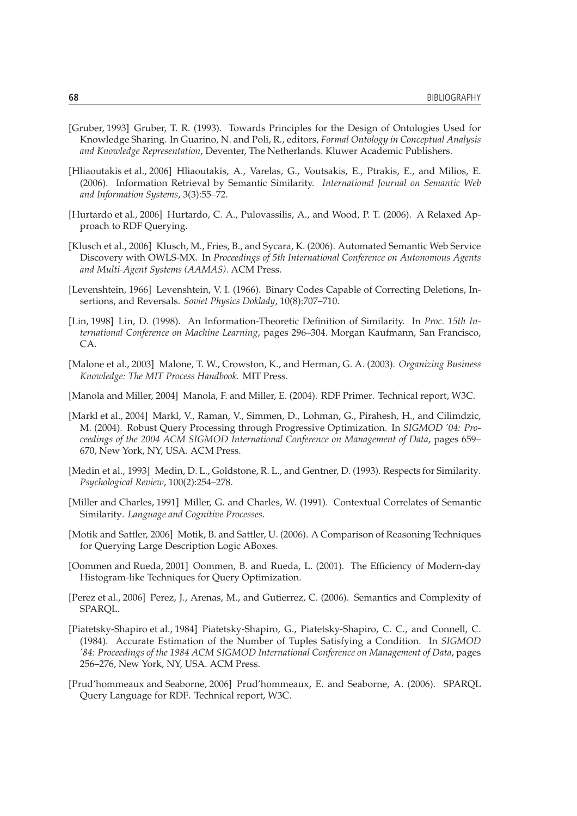- [Gruber, 1993] Gruber, T. R. (1993). Towards Principles for the Design of Ontologies Used for Knowledge Sharing. In Guarino, N. and Poli, R., editors, *Formal Ontology in Conceptual Analysis and Knowledge Representation*, Deventer, The Netherlands. Kluwer Academic Publishers.
- [Hliaoutakis et al., 2006] Hliaoutakis, A., Varelas, G., Voutsakis, E., Ptrakis, E., and Milios, E. (2006). Information Retrieval by Semantic Similarity. *International Journal on Semantic Web and Information Systems*, 3(3):55–72.
- [Hurtardo et al., 2006] Hurtardo, C. A., Pulovassilis, A., and Wood, P. T. (2006). A Relaxed Approach to RDF Querying.
- [Klusch et al., 2006] Klusch, M., Fries, B., and Sycara, K. (2006). Automated Semantic Web Service Discovery with OWLS-MX. In *Proceedings of 5th International Conference on Autonomous Agents and Multi-Agent Systems (AAMAS)*. ACM Press.
- [Levenshtein, 1966] Levenshtein, V. I. (1966). Binary Codes Capable of Correcting Deletions, Insertions, and Reversals. *Soviet Physics Doklady*, 10(8):707–710.
- [Lin, 1998] Lin, D. (1998). An Information-Theoretic Definition of Similarity. In *Proc. 15th International Conference on Machine Learning*, pages 296–304. Morgan Kaufmann, San Francisco, CA.
- [Malone et al., 2003] Malone, T. W., Crowston, K., and Herman, G. A. (2003). *Organizing Business Knowledge: The MIT Process Handbook*. MIT Press.
- [Manola and Miller, 2004] Manola, F. and Miller, E. (2004). RDF Primer. Technical report, W3C.
- [Markl et al., 2004] Markl, V., Raman, V., Simmen, D., Lohman, G., Pirahesh, H., and Cilimdzic, M. (2004). Robust Query Processing through Progressive Optimization. In *SIGMOD '04: Proceedings of the 2004 ACM SIGMOD International Conference on Management of Data*, pages 659– 670, New York, NY, USA. ACM Press.
- [Medin et al., 1993] Medin, D. L., Goldstone, R. L., and Gentner, D. (1993). Respects for Similarity. *Psychological Review*, 100(2):254–278.
- [Miller and Charles, 1991] Miller, G. and Charles, W. (1991). Contextual Correlates of Semantic Similarity. *Language and Cognitive Processes*.
- [Motik and Sattler, 2006] Motik, B. and Sattler, U. (2006). A Comparison of Reasoning Techniques for Querying Large Description Logic ABoxes.
- [Oommen and Rueda, 2001] Oommen, B. and Rueda, L. (2001). The Efficiency of Modern-day Histogram-like Techniques for Query Optimization.
- [Perez et al., 2006] Perez, J., Arenas, M., and Gutierrez, C. (2006). Semantics and Complexity of SPARQL.
- [Piatetsky-Shapiro et al., 1984] Piatetsky-Shapiro, G., Piatetsky-Shapiro, C. C., and Connell, C. (1984). Accurate Estimation of the Number of Tuples Satisfying a Condition. In *SIGMOD '84: Proceedings of the 1984 ACM SIGMOD International Conference on Management of Data*, pages 256–276, New York, NY, USA. ACM Press.
- [Prud'hommeaux and Seaborne, 2006] Prud'hommeaux, E. and Seaborne, A. (2006). SPARQL Query Language for RDF. Technical report, W3C.